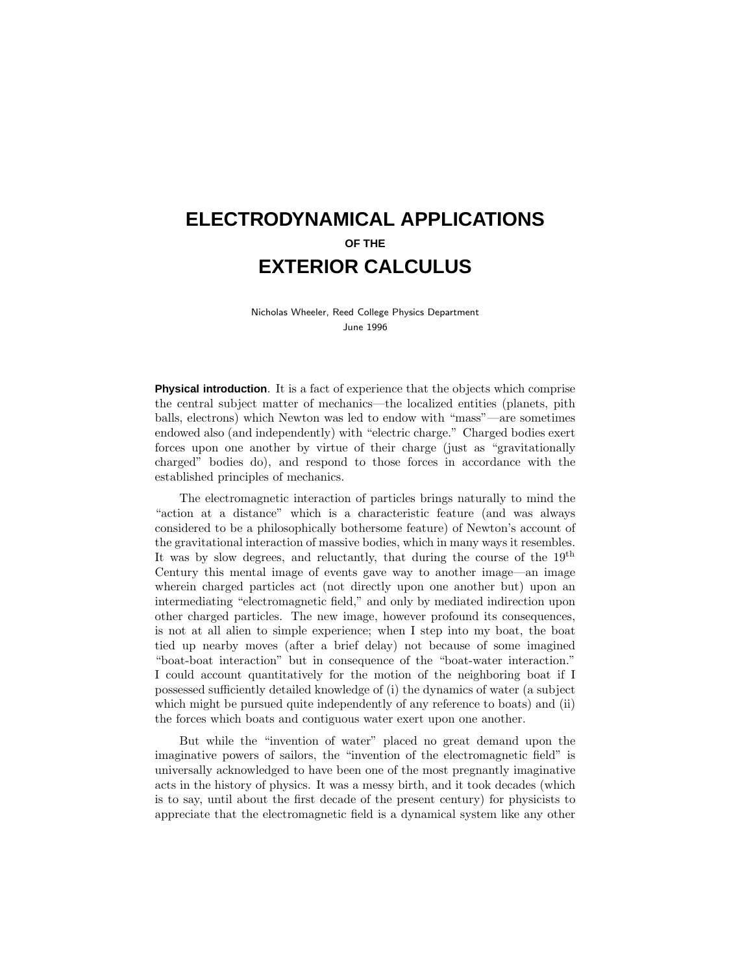# **ELECTRODYNAMICAL APPLICATIONS OF THE EXTERIOR CALCULUS**

Nicholas Wheeler, Reed College Physics Department June 1996

**Physical introduction**. It is a fact of experience that the objects which comprise the central subject matter of mechanics—the localized entities (planets, pith balls, electrons) which Newton was led to endow with "mass"—are sometimes endowed also (and independently) with "electric charge." Charged bodies exert forces upon one another by virtue of their charge (just as "gravitationally charged" bodies do), and respond to those forces in accordance with the established principles of mechanics.

The electromagnetic interaction of particles brings naturally to mind the "action at a distance" which is a characteristic feature (and was always considered to be a philosophically bothersome feature) of Newton's account of the gravitational interaction of massive bodies, which in manyways it resembles. It was by slow degrees, and reluctantly, that during the course of the  $19<sup>th</sup>$ Century this mental image of events gave way to another image—an image wherein charged particles act (not directlyupon one another but) upon an intermediating "electromagnetic field," and only by mediated indirection upon other charged particles. The new image, however profound its consequences, is not at all alien to simple experience; when I step into myboat, the boat tied up nearbymoves (after a brief delay) not because of some imagined "boat-boat interaction" but in consequence of the "boat-water interaction." I could account quantitatively for the motion of the neighboring boat if I possessed sufficientlydetailed knowledge of (i) the dynamics of water (a subject which might be pursued quite independently of any reference to boats) and (ii) the forces which boats and contiguous water exert upon one another.

But while the "invention of water" placed no great demand upon the imaginative powers of sailors, the "invention of the electromagnetic field" is universally acknowledged to have been one of the most pregnantly imaginative acts in the history of physics. It was a messy birth, and it took decades (which is to say, until about the first decade of the present century) for physicists to appreciate that the electromagnetic field is a dynamical system like any other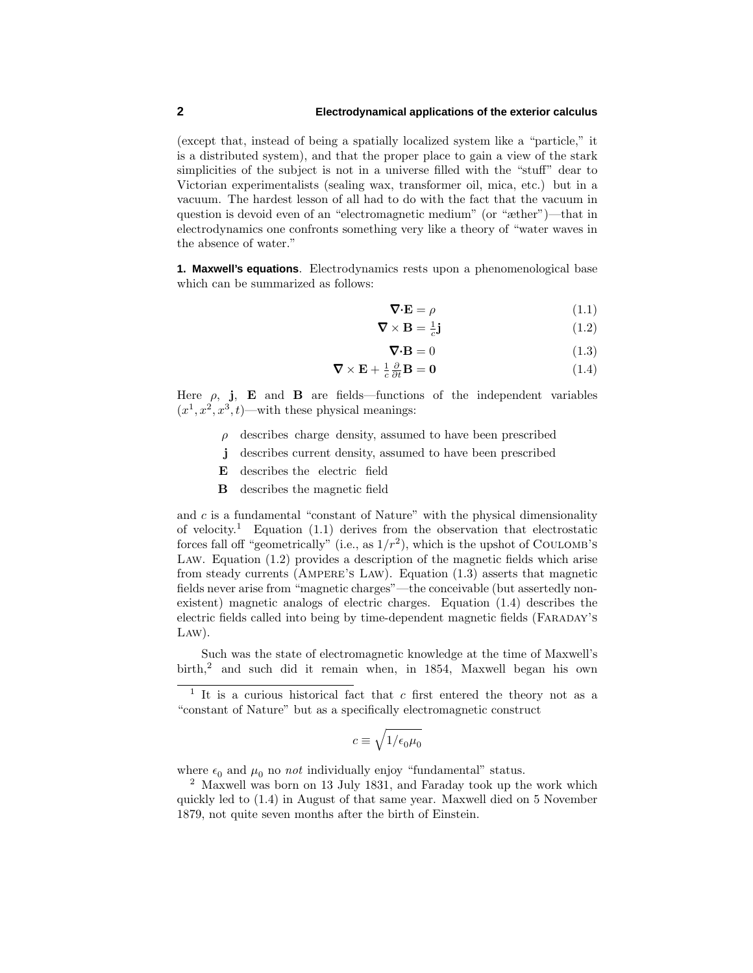(except that, instead of being a spatially localized system like a "particle," it is a distributed system), and that the proper place to gain a view of the stark simplicities of the subject is not in a universe filled with the "stuff" dear to Victorian experimentalists (sealing wax, transformer oil, mica, etc.) but in a vacuum. The hardest lesson of all had to do with the fact that the vacuum in question is devoid even of an "electromagnetic medium" (or "æther")—that in electrodynamics one confronts something very like a theory of "water waves in the absence of water."

**1. Maxwell's equations**. Electrodynamics rests upon a phenomenological base which can be summarized as follows:

$$
\nabla \cdot \mathbf{E} = \rho \tag{1.1}
$$

$$
\nabla \times \mathbf{B} = \frac{1}{c} \mathbf{j} \tag{1.2}
$$

 $\nabla \cdot \mathbf{B} = 0$  (1.3)

$$
\nabla \times \mathbf{E} + \frac{1}{c} \frac{\partial}{\partial t} \mathbf{B} = \mathbf{0}
$$
 (1.4)

Here  $\rho$ , **j**, **E** and **B** are fields—functions of the independent variables  $(x<sup>1</sup>, x<sup>2</sup>, x<sup>3</sup>, t)$ —with these physical meanings:

- *ρ* describes charge density, assumed to have been prescribed
- **j** describes current density, assumed to have been prescribed
- **E** describes the electric field
- **B** describes the magnetic field

and *c* is a fundamental "constant of Nature" with the physical dimensionality of velocity.<sup>1</sup> Equation  $(1.1)$  derives from the observation that electrostatic forces fall off "geometrically" (i.e., as  $1/r^2$ ), which is the upshot of COULOMB's Law. Equation (1.2) provides a description of the magnetic fields which arise from steady currents (AMPERE's LAW). Equation (1.3) asserts that magnetic fields never arise from "magnetic charges"—the conceivable (but assertedlynonexistent) magnetic analogs of electric charges. Equation (1.4) describes the electric fields called into being by time-dependent magnetic fields (FARADAY's Law).

Such was the state of electromagnetic knowledge at the time of Maxwell's birth,<sup>2</sup> and such did it remain when, in 1854, Maxwell began his own

$$
c \equiv \sqrt{1/\epsilon_0 \mu_0}
$$

where  $\epsilon_0$  and  $\mu_0$  no *not* individually enjoy "fundamental" status.

<sup>2</sup> Maxwell was born on 13 July 1831, and Faraday took up the work which quicklyled to (1.4) in August of that same year. Maxwell died on 5 November 1879, not quite seven months after the birth of Einstein.

 $\frac{1}{1}$  It is a curious historical fact that *c* first entered the theory not as a "constant of Nature" but as a specifically electromagnetic construct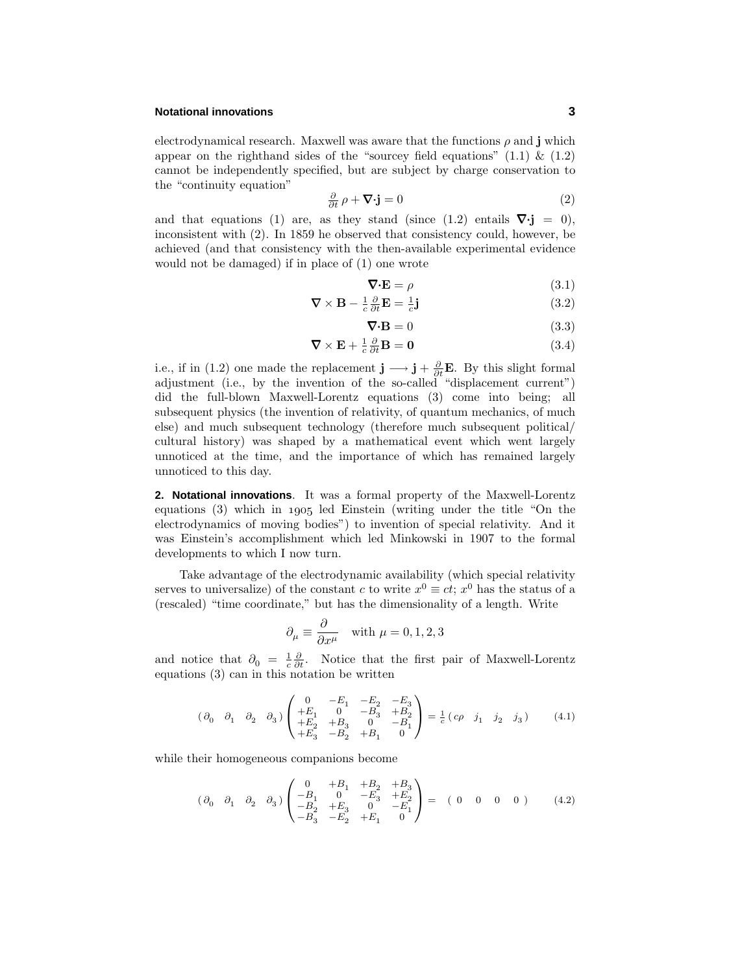## **Notational innovations 3**

electrodynamical research. Maxwell was aware that the functions  $\rho$  and **j** which appear on the righthand sides of the "sourcey field equations"  $(1.1) \& (1.2)$ cannot be independently specified, but are subject by charge conservation to the "continuity equation"

$$
\frac{\partial}{\partial t} \rho + \nabla \cdot \mathbf{j} = 0 \tag{2}
$$

and that equations (1) are, as they stand (since  $(1.2)$  entails  $\nabla \cdot \mathbf{j} = 0$ ), inconsistent with  $(2)$ . In 1859 he observed that consistency could, however, be achieved (and that consistencywith the then-available experimental evidence would not be damaged) if in place of (1) one wrote

$$
\nabla \cdot \mathbf{E} = \rho \tag{3.1}
$$

$$
\nabla \times \mathbf{B} - \frac{1}{c} \frac{\partial}{\partial t} \mathbf{E} = \frac{1}{c} \mathbf{j}
$$
 (3.2)

$$
\nabla \cdot \mathbf{B} = 0 \tag{3.3}
$$

$$
\nabla \times \mathbf{E} + \frac{1}{c} \frac{\partial}{\partial t} \mathbf{B} = \mathbf{0}
$$
 (3.4)

i.e., if in (1.2) one made the replacement  $\mathbf{j} \longrightarrow \mathbf{j} + \frac{\partial}{\partial t} \mathbf{E}$ . By this slight formal adjustment (i.e., by the invention of the so-called "displacement current") did the full-blown Maxwell-Lorentz equations (3) come into being; all subsequent physics (the invention of relativity, of quantum mechanics, of much else) and much subsequent technology(therefore much subsequent political/ cultural history) was shaped by a mathematical event which went largely unnoticed at the time, and the importance of which has remained largely unnoticed to this day.

**2. Notational innovations**. It was a formal propertyof the Maxwell-Lorentz equations  $(3)$  which in 1905 led Einstein (writing under the title "On the electrodynamics of moving bodies") to invention of special relativity. And it was Einstein's accomplishment which led Minkowski in 1907 to the formal developments to which I now turn.

Take advantage of the electrodynamic availability (which special relativity serves to universalize) of the constant *c* to write  $x^0 \equiv ct$ ;  $x^0$  has the status of a (rescaled) "time coordinate," but has the dimensionalityof a length. Write

$$
\partial_{\mu} \equiv \frac{\partial}{\partial x^{\mu}} \quad \text{with } \mu = 0, 1, 2, 3
$$

and notice that  $\partial_0 = \frac{1}{c} \frac{\partial}{\partial t}$ . Notice that the first pair of Maxwell-Lorentz equations (3) can in this notation be written

$$
(\partial_0 \quad \partial_1 \quad \partial_2 \quad \partial_3) \begin{pmatrix} 0 & -E_1 & -E_2 & -E_3 \\ +E_1 & 0 & -B_3 & +B_2 \\ +E_2 & +B_3 & 0 & -B_1 \\ +E_3 & -B_2 & +B_1 & 0 \end{pmatrix} = \frac{1}{c} (c\rho \quad j_1 \quad j_2 \quad j_3)
$$
(4.1)

while their homogeneous companions become

$$
(\partial_0 \quad \partial_1 \quad \partial_2 \quad \partial_3) \begin{pmatrix} 0 & +B_1 & +B_2 & +B_3 \\ -B_1 & 0 & -E_3 & +E_2 \\ -B_2 & +E_3 & 0 & -E_1 \\ -B_3 & -E_2 & +E_1 & 0 \end{pmatrix} = (0 \quad 0 \quad 0 \quad 0) \tag{4.2}
$$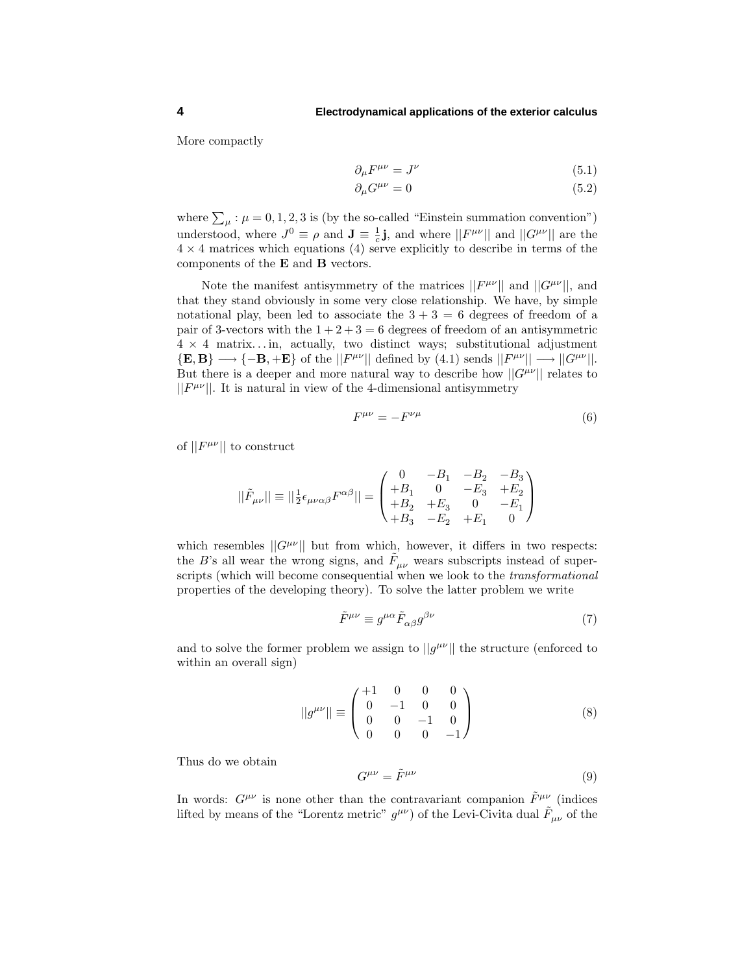More compactly

$$
\partial_{\mu}F^{\mu\nu} = J^{\nu} \tag{5.1}
$$

$$
\partial_{\mu}G^{\mu\nu} = 0 \tag{5.2}
$$

where  $\sum_{\mu}$ :  $\mu = 0, 1, 2, 3$  is (by the so-called "Einstein summation convention") understood, where  $J^0 \equiv \rho$  and  $\mathbf{J} \equiv \frac{1}{c}\mathbf{j}$ , and where  $||F^{\mu\nu}||$  and  $||G^{\mu\nu}||$  are the  $4 \times 4$  matrices which equations (4) serve explicitly to describe in terms of the components of the **E** and **B** vectors.

Note the manifest antisymmetry of the matrices  $||F^{\mu\nu}||$  and  $||G^{\mu\nu}||$ , and that they stand obviously in some very close relationship. We have, by simple notational play, been led to associate the  $3 + 3 = 6$  degrees of freedom of a pair of 3-vectors with the  $1+2+3=6$  degrees of freedom of an antisymmetric  $4 \times 4$  matrix...in, actually, two distinct ways; substitutional adjustment  ${E, B} \longrightarrow {-B, +E}$  of the  $||F^{\mu\nu}||$  defined by (4.1) sends  $||F^{\mu\nu}|| \longrightarrow ||G^{\mu\nu}||$ . But there is a deeper and more natural way to describe how  $||G^{\mu\nu}||$  relates to  $||F^{\mu\nu}||$ . It is natural in view of the 4-dimensional antisymmetry

$$
F^{\mu\nu} = -F^{\nu\mu} \tag{6}
$$

of  $||F^{\mu\nu}||$  to construct

$$
||\tilde{F}_{\mu\nu}|| \equiv ||\frac{1}{2}\epsilon_{\mu\nu\alpha\beta}F^{\alpha\beta}|| = \begin{pmatrix} 0 & -B_1 & -B_2 & -B_3 \ +B_1 & 0 & -E_3 & +E_2 \ +B_2 & +E_3 & 0 & -E_1 \ +B_3 & -E_2 & +E_1 & 0 \end{pmatrix}
$$

which resembles  $||G^{\mu\nu}||$  but from which, however, it differs in two respects: the *B*'s all wear the wrong signs, and  $\tilde{F}_{\mu\nu}$  wears subscripts instead of superscripts (which will become consequential when we look to the transformational properties of the developing theory). To solve the latter problem we write

$$
\tilde{F}^{\mu\nu} \equiv g^{\mu\alpha} \tilde{F}_{\alpha\beta} g^{\beta\nu} \tag{7}
$$

and to solve the former problem we assign to  $||g^{\mu\nu}||$  the structure (enforced to within an overall sign)

$$
||g^{\mu\nu}|| \equiv \begin{pmatrix} +1 & 0 & 0 & 0 \\ 0 & -1 & 0 & 0 \\ 0 & 0 & -1 & 0 \\ 0 & 0 & 0 & -1 \end{pmatrix}
$$
 (8)

Thus do we obtain

$$
G^{\mu\nu} = \tilde{F}^{\mu\nu} \tag{9}
$$

In words:  $G^{\mu\nu}$  is none other than the contravariant companion  $\tilde{F}^{\mu\nu}$  (indices lifted by means of the "Lorentz metric"  $g^{\mu\nu}$ ) of the Levi-Civita dual  $\tilde{F}_{\mu\nu}$  of the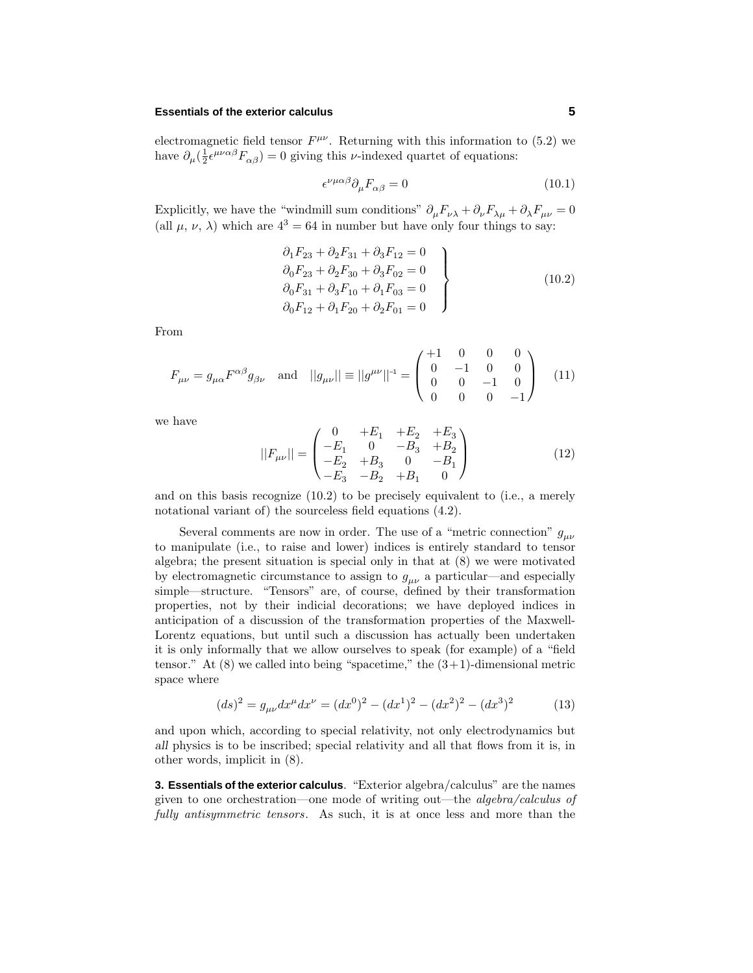## **Essentials of the exterior calculus 5**

electromagnetic field tensor  $F^{\mu\nu}$ . Returning with this information to (5.2) we have  $\partial_{\mu}(\frac{1}{2}\epsilon^{\mu\nu\alpha\beta}F_{\alpha\beta}) = 0$  giving this *v*-indexed quartet of equations:

$$
\epsilon^{\nu\mu\alpha\beta}\partial_{\mu}F_{\alpha\beta} = 0 \tag{10.1}
$$

Explicitly, we have the "windmill sum conditions"  $\partial_{\mu}F_{\nu\lambda} + \partial_{\nu}F_{\lambda\mu} + \partial_{\lambda}F_{\mu\nu} = 0$ (all  $\mu$ ,  $\nu$ ,  $\lambda$ ) which are  $4^3 = 64$  in number but have only four things to say:

$$
\partial_1 F_{23} + \partial_2 F_{31} + \partial_3 F_{12} = 0 \n\partial_0 F_{23} + \partial_2 F_{30} + \partial_3 F_{02} = 0 \n\partial_0 F_{31} + \partial_3 F_{10} + \partial_1 F_{03} = 0 \n\partial_0 F_{12} + \partial_1 F_{20} + \partial_2 F_{01} = 0
$$
\n(10.2)

From

$$
F_{\mu\nu} = g_{\mu\alpha} F^{\alpha\beta} g_{\beta\nu} \text{ and } ||g_{\mu\nu}|| \equiv ||g^{\mu\nu}||^{-1} = \begin{pmatrix} +1 & 0 & 0 & 0 \\ 0 & -1 & 0 & 0 \\ 0 & 0 & -1 & 0 \\ 0 & 0 & 0 & -1 \end{pmatrix}
$$
 (11)

we have

$$
||F_{\mu\nu}|| = \begin{pmatrix} 0 & +E_1 & +E_2 & +E_3 \ -E_1 & 0 & -B_3 & +B_2 \ -E_2 & +B_3 & 0 & -B_1 \ -E_3 & -B_2 & +B_1 & 0 \end{pmatrix}
$$
 (12)

and on this basis recognize  $(10.2)$  to be precisely equivalent to (i.e., a merely notational variant of) the sourceless field equations (4.2).

Several comments are now in order. The use of a "metric connection" *gµν* to manipulate (i.e., to raise and lower) indices is entirely standard to tensor algebra; the present situation is special only in that at  $(8)$  we were motivated by electromagnetic circumstance to assign to  $g_{\mu\nu}$  a particular—and especially simple—structure. "Tensors" are, of course, defined by their transformation properties, not by their indicial decorations; we have deployed indices in anticipation of a discussion of the transformation properties of the Maxwell-Lorentz equations, but until such a discussion has actually been undertaken it is only informally that we allow ourselves to speak (for example) of a "field tensor." At  $(8)$  we called into being "spacetime," the  $(3+1)$ -dimensional metric space where

$$
(ds)^{2} = g_{\mu\nu}dx^{\mu}dx^{\nu} = (dx^{0})^{2} - (dx^{1})^{2} - (dx^{2})^{2} - (dx^{3})^{2}
$$
 (13)

and upon which, according to special relativity, not only electrodynamics but *all* physics is to be inscribed; special relativity and all that flows from it is, in other words, implicit in (8).

**3. Essentials of the exterior calculus**. "Exterior algebra/calculus" are the names given to one orchestration—one mode of writing out—the algebra/calculus of fully antisymmetric tensors. As such, it is at once less and more than the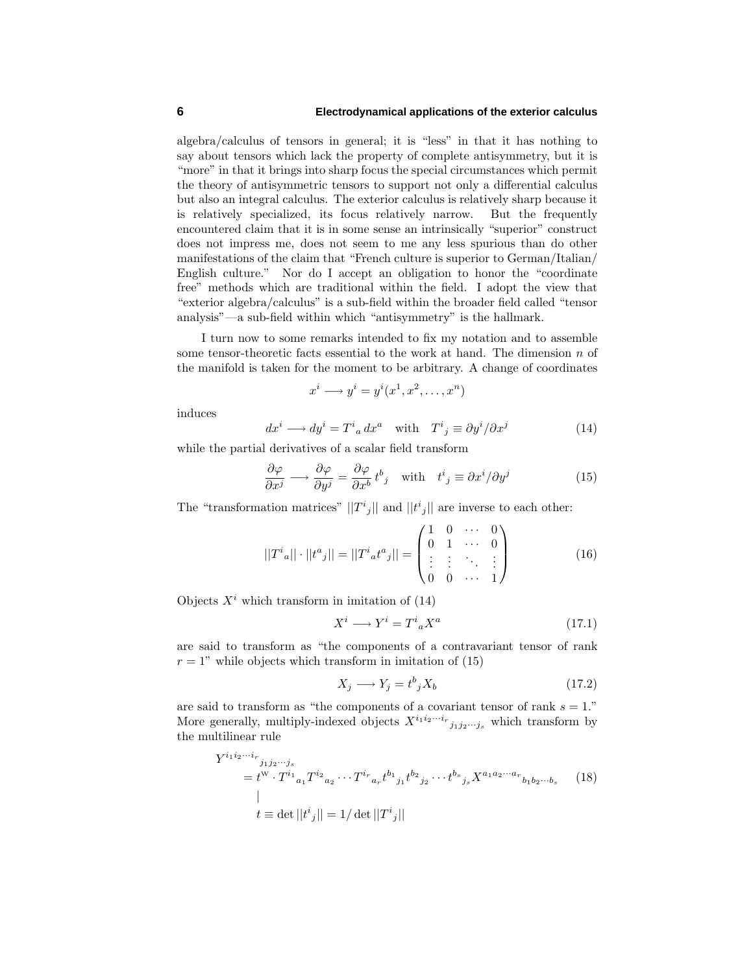algebra/calculus of tensors in general; it is "less" in that it has nothing to say about tensors which lack the property of complete antisymmetry, but it is "more" in that it brings into sharp focus the special circumstances which permit the theoryof antisymmetric tensors to support not onlya differential calculus but also an integral calculus. The exterior calculus is relativelysharp because it is relatively specialized, its focus relatively narrow. But the frequently encountered claim that it is in some sense an intrinsically"superior" construct does not impress me, does not seem to me any less spurious than do other manifestations of the claim that "French culture is superior to German/Italian/ English culture." Nor do I accept an obligation to honor the "coordinate free" methods which are traditional within the field. I adopt the view that "exterior algebra/calculus" is a sub-field within the broader field called "tensor analysis"—a sub-field within which "antisymmetry" is the hallmark.

I turn now to some remarks intended to fix mynotation and to assemble some tensor-theoretic facts essential to the work at hand. The dimension *n* of the manifold is taken for the moment to be arbitrary. A change of coordinates

$$
x^i \longrightarrow y^i = y^i(x^1, x^2, \dots, x^n)
$$

induces

$$
dx^{i} \longrightarrow dy^{i} = T^{i}{}_{a} dx^{a} \quad \text{with} \quad T^{i}{}_{j} \equiv \partial y^{i} / \partial x^{j} \tag{14}
$$

while the partial derivatives of a scalar field transform

$$
\frac{\partial \varphi}{\partial x^j} \longrightarrow \frac{\partial \varphi}{\partial y^j} = \frac{\partial \varphi}{\partial x^b} t^b{}_j \quad \text{with} \quad t^i{}_j \equiv \partial x^i / \partial y^j \tag{15}
$$

The "transformation matrices"  $||T^i{}_j||$  and  $||t^i{}_j||$  are inverse to each other:

$$
||T^i{}_a|| \cdot ||t^a{}_j|| = ||T^i{}_a t^a{}_j|| = \begin{pmatrix} 1 & 0 & \cdots & 0 \\ 0 & 1 & \cdots & 0 \\ \vdots & \vdots & \ddots & \vdots \\ 0 & 0 & \cdots & 1 \end{pmatrix}
$$
 (16)

Objects  $X^i$  which transform in imitation of  $(14)$ 

$$
X^i \longrightarrow Y^i = T^i{}_a X^a \tag{17.1}
$$

are said to transform as "the components of a contravariant tensor of rank  $r = 1$ " while objects which transform in imitation of (15)

$$
X_j \longrightarrow Y_j = t^b{}_j X_b \tag{17.2}
$$

are said to transform as "the components of a covariant tensor of rank *s* = 1." More generally, multiply-indexed objects  $X^{i_1 i_2 \cdots i_r}$  *j*<sub>1*j*2</sub>*···j<sub>s</sub>* which transform by the multilinear rule

$$
Y^{i_1 i_2 \cdots i_r}{}_{j_1 j_2 \cdots j_s}
$$
\n
$$
= t^{\mathcal{W}} \cdot T^{i_1}{}_{a_1} T^{i_2}{}_{a_2} \cdots T^{i_r}{}_{a_r} t^{b_1}{}_{j_1} t^{b_2}{}_{j_2} \cdots t^{b_s}{}_{j_s} X^{a_1 a_2 \cdots a_r}{}_{b_1 b_2 \cdots b_s}
$$
\n
$$
|t \equiv \det ||t^i{}_j|| = 1/\det ||T^i{}_j||
$$
\n
$$
(18)
$$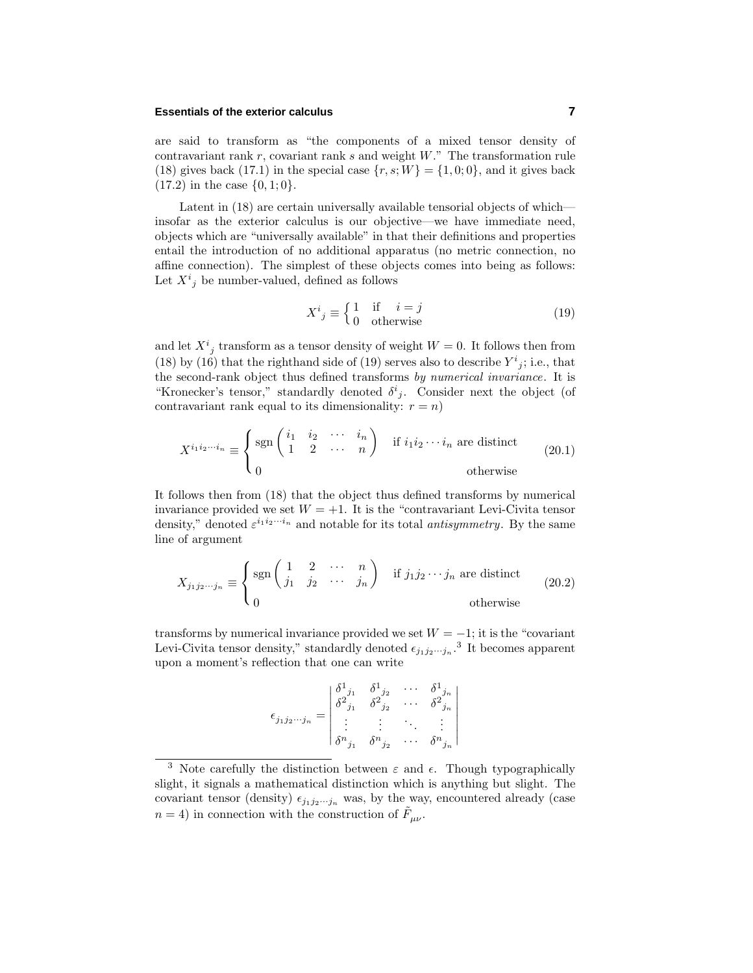## **Essentials of the exterior calculus 7**

are said to transform as "the components of a mixed tensor densityof contravariant rank *r*, covariant rank *s* and weight *W*." The transformation rule (18) gives back (17.1) in the special case  $\{r, s; W\} = \{1, 0; 0\}$ , and it gives back (17.2) in the case {0*,* 1; 0}.

Latent in  $(18)$  are certain universally available tensorial objects of which insofar as the exterior calculus is our objective—we have immediate need, objects which are "universally available" in that their definitions and properties entail the introduction of no additional apparatus (no metric connection, no affine connection). The simplest of these objects comes into being as follows: Let  $X^i_j$  be number-valued, defined as follows

$$
X^{i}{}_{j} \equiv \begin{cases} 1 & \text{if } i = j \\ 0 & \text{otherwise} \end{cases}
$$
 (19)

and let  $X^i_{j}$  transform as a tensor density of weight  $W = 0$ . It follows then from (18) by (16) that the righthand side of (19) serves also to describe  $Y^i{}_j$ ; i.e., that the second-rank object thus defined transforms by numerical invariance. It is "Kronecker's tensor," standardly denoted  $\delta^i_j$ . Consider next the object (of contravariant rank equal to its dimensionality:  $r = n$ )

$$
X^{i_1 i_2 \cdots i_n} \equiv \begin{cases} \text{sgn}\begin{pmatrix} i_1 & i_2 & \cdots & i_n \\ 1 & 2 & \cdots & n \end{pmatrix} & \text{if } i_1 i_2 \cdots i_n \text{ are distinct} \\ 0 & \text{otherwise} \end{cases} \tag{20.1}
$$

It follows then from  $(18)$  that the object thus defined transforms by numerical invariance provided we set  $W = +1$ . It is the "contravariant Levi-Civita tensor density," denoted  $\varepsilon^{i_1 i_2 \cdots i_n}$  and notable for its total *antisymmetry*. By the same line of argument

$$
X_{j_1 j_2 \cdots j_n} \equiv \begin{cases} \text{sgn}\begin{pmatrix} 1 & 2 & \cdots & n \\ j_1 & j_2 & \cdots & j_n \end{pmatrix} & \text{if } j_1 j_2 \cdots j_n \text{ are distinct} \\ 0 & \text{otherwise} \end{cases}
$$
 (20.2)

transforms by numerical invariance provided we set  $W = -1$ ; it is the "covariant" Levi-Civita tensor density," standardly denoted  $\epsilon_{j_1 j_2 \cdots j_n}$ .<sup>3</sup> It becomes apparent upon a moment's reflection that one can write

$$
\epsilon_{j_1 j_2 \cdots j_n} = \begin{vmatrix}\n\delta^1_{j_1} & \delta^1_{j_2} & \cdots & \delta^1_{j_n} \\
\delta^2_{j_1} & \delta^2_{j_2} & \cdots & \delta^2_{j_n} \\
\vdots & \vdots & \ddots & \vdots \\
\delta^n_{j_1} & \delta^n_{j_2} & \cdots & \delta^n_{j_n}\n\end{vmatrix}
$$

<sup>&</sup>lt;sup>3</sup> Note carefully the distinction between  $\varepsilon$  and  $\epsilon$ . Though typographically slight, it signals a mathematical distinction which is anything but slight. The covariant tensor (density)  $\epsilon_{j_1 j_2 \cdots j_n}$  was, by the way, encountered already (case  $n = 4$ ) in connection with the construction of  $\tilde{F}_{\mu\nu}$ .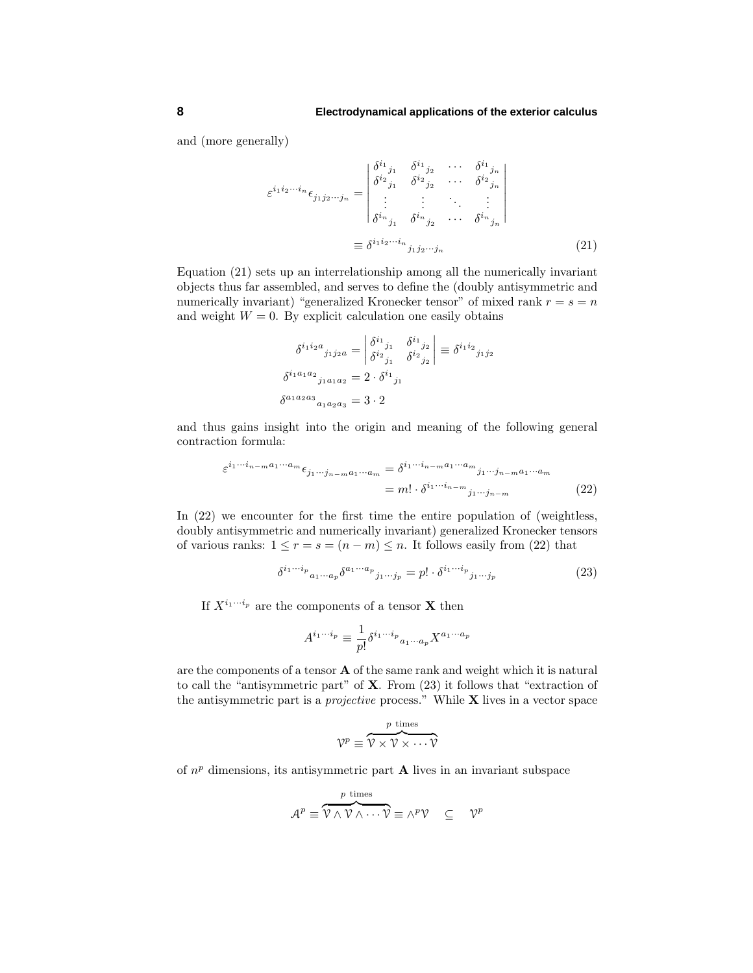and (more generally)

$$
\varepsilon^{i_1 i_2 \cdots i_n} \epsilon_{j_1 j_2 \cdots j_n} = \begin{vmatrix} \delta^{i_1}{}_{j_1} & \delta^{i_1}{}_{j_2} & \cdots & \delta^{i_1}{}_{j_n} \\ \delta^{i_2}{}_{j_1} & \delta^{i_2}{}_{j_2} & \cdots & \delta^{i_2}{}_{j_n} \\ \vdots & \vdots & \ddots & \vdots \\ \delta^{i_n}{}_{j_1} & \delta^{i_n}{}_{j_2} & \cdots & \delta^{i_n}{}_{j_n} \end{vmatrix}
$$
\n
$$
\equiv \delta^{i_1 i_2 \cdots i_n}{}_{j_1 j_2 \cdots j_n} \tag{21}
$$

Equation  $(21)$  sets up an interrelationship among all the numerically invariant objects thus far assembled, and serves to define the (doublyantisymmetric and numerically invariant) "generalized Kronecker tensor" of mixed rank  $r = s = n$ and weight  $W = 0$ . By explicit calculation one easily obtains

$$
\delta^{i_1 i_2 a}{}_{j_1 j_2 a} = \begin{vmatrix}\n\delta^{i_1}{}_{j_1} & \delta^{i_1}{}_{j_2} \\
\delta^{i_2}{}_{j_1} & \delta^{i_2}{}_{j_2}\n\end{vmatrix} \equiv \delta^{i_1 i_2}{}_{j_1 j_2}
$$
\n
$$
\delta^{i_1 a_1 a_2}{}_{j_1 a_1 a_2} = 2 \cdot \delta^{i_1}{}_{j_1}
$$
\n
$$
\delta^{a_1 a_2 a_3}{}_{a_1 a_2 a_3} = 3 \cdot 2
$$

and thus gains insight into the origin and meaning of the following general contraction formula:

$$
\varepsilon^{i_1 \cdots i_{n-m} a_1 \cdots a_m} \epsilon_{j_1 \cdots j_{n-m} a_1 \cdots a_m} = \delta^{i_1 \cdots i_{n-m} a_1 \cdots a_m}{}_{j_1 \cdots j_{n-m} a_1 \cdots a_m}
$$
\n
$$
= m! \cdot \delta^{i_1 \cdots i_{n-m}}{}_{j_1 \cdots j_{n-m}} \tag{22}
$$

In (22) we encounter for the first time the entire population of (weightless, doubly antisymmetric and numerically invariant) generalized Kronecker tensors of various ranks:  $1 \le r = s = (n - m) \le n$ . It follows easily from (22) that

$$
\delta^{i_1\cdots i_p}{}_{a_1\cdots a_p}\delta^{a_1\cdots a_p}{}_{j_1\cdots j_p} = p! \cdot \delta^{i_1\cdots i_p}{}_{j_1\cdots j_p} \tag{23}
$$

If  $X^{i_1 \cdots i_p}$  are the components of a tensor **X** then

$$
A^{i_1\cdots i_p} \equiv \frac{1}{p!} \delta^{i_1\cdots i_p}{}_{a_1\cdots a_p} X^{a_1\cdots a_p}
$$

are the components of a tensor **A** of the same rank and weight which it is natural to call the "antisymmetric part" of **X**. From (23) it follows that "extraction of the antisymmetric part is a projective process." While **X** lives in a vector space

$$
\mathcal{V}^p \equiv \overbrace{\mathcal{V} \times \mathcal{V} \times \cdots \mathcal{V}}^{p \text{ times}}
$$

of  $n^p$  dimensions, its antisymmetric part **A** lives in an invariant subspace

$$
\mathcal{A}^p \equiv \overbrace{\mathcal{V} \land \mathcal{V} \land \cdots \mathcal{V}}^{p \text{ times}} \equiv \land^p \mathcal{V} \quad \subseteq \quad \mathcal{V}^p
$$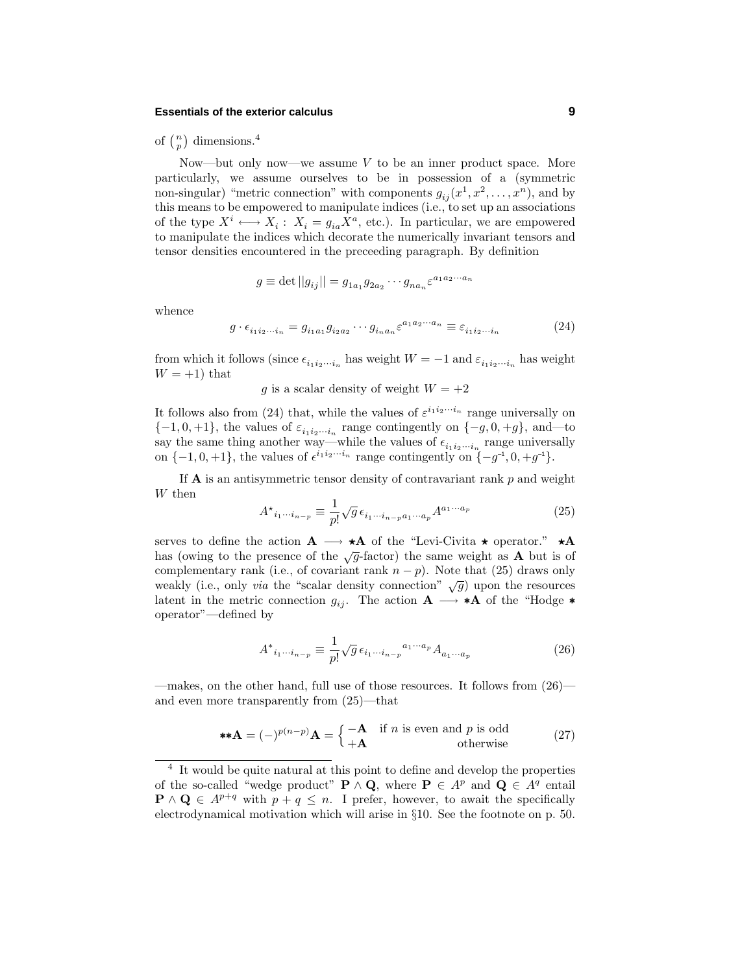## **Essentials of the exterior calculus 9**

of  $\binom{n}{p}$  dimensions.<sup>4</sup>

Now—but only now—we assume  $V$  to be an inner product space. More particularly, we assume ourselves to be in possession of a (symmetric non-singular) "metric connection" with components  $g_{ij}(x^1, x^2, \ldots, x^n)$ , and by this means to be empowered to manipulate indices (i.e., to set up an associations of the type  $X^i \longleftrightarrow X_i : X_i = g_{ia} X^a$ , etc.). In particular, we are empowered to manipulate the indices which decorate the numerically invariant tensors and tensor densities encountered in the preceeding paragraph. Bydefinition

$$
g \equiv \det ||g_{ij}|| = g_{1a_1}g_{2a_2}\cdots g_{na_n} \varepsilon^{a_1 a_2 \cdots a_n}
$$

whence

$$
g \cdot \epsilon_{i_1 i_2 \cdots i_n} = g_{i_1 a_1} g_{i_2 a_2} \cdots g_{i_n a_n} \varepsilon^{a_1 a_2 \cdots a_n} \equiv \varepsilon_{i_1 i_2 \cdots i_n} \tag{24}
$$

from which it follows (since  $\epsilon_{i_1 i_2 \cdots i_n}$  has weight  $W = -1$  and  $\varepsilon_{i_1 i_2 \cdots i_n}$  has weight  $W = +1$ ) that

*g* is a scalar density of weight  $W = +2$ 

It follows also from (24) that, while the values of  $\varepsilon^{i_1 i_2 \cdots i_n}$  range universally on  ${-1, 0, +1}$ , the values of  $\varepsilon_{i_1 i_2 \cdots i_n}$  range contingently on  ${-g, 0, +g}$ , and—to say the same thing another way—while the values of  $\epsilon_{i_1 i_2 \cdots i_n}$  range universally<br>on  $\{-1,0,+1\}$ , the values of  $\epsilon^{i_1 i_2 \cdots i_n}$  range contingently on  $\{-g^{-1},0,+g^{-1}\}$ .

If **A** is an antisymmetric tensor density of contravariant rank *p* and weight *W* then

$$
A^{\star}_{i_1\cdots i_{n-p}} \equiv \frac{1}{p!} \sqrt{g} \,\epsilon_{i_1\cdots i_{n-p}a_1\cdots a_p} A^{a_1\cdots a_p} \tag{25}
$$

serves to define the action  $\mathbf{A} \longrightarrow \star \mathbf{A}$  of the "Levi-Civita  $\star$  operator."  $\star \mathbf{A}$ has (owing to the presence of the  $\sqrt{g}$ -factor) the same weight as **A** but is of complementary rank (i.e., of covariant rank  $n - p$ ). Note that (25) draws only weakly (i.e., only *via* the "scalar density connection"  $\sqrt{g}$ ) upon the resources latent in the metric connection  $g_{ij}$ . The action  $\mathbf{A} \longrightarrow \mathbf{A}$  of the "Hodge  $\ast$ operator"—defined by

$$
A^*{}_{i_1\cdots i_{n-p}} \equiv \frac{1}{p!} \sqrt{g} \,\epsilon_{i_1\cdots i_{n-p}}{}^{a_1\cdots a_p} A_{a_1\cdots a_p} \tag{26}
$$

—makes, on the other hand, full use of those resources. It follows from (26) and even more transparently from  $(25)$ —that

$$
**\mathbf{A} = (-)^{p(n-p)}\mathbf{A} = \begin{cases} -\mathbf{A} & \text{if } n \text{ is even and } p \text{ is odd} \\ +\mathbf{A} & \text{otherwise} \end{cases}
$$
(27)

<sup>4</sup> It would be quite natural at this point to define and develop the properties of the so-called "wedge product" **P**  $\land$  **Q**, where **P**  $\in$  *A*<sup>*p*</sup> and **Q**  $\in$  *A*<sup>*q*</sup> entail **P** ∧ **Q** ∈  $A^{p+q}$  with  $p + q \leq n$ . I prefer, however, to await the specifically electrodynamical motivation which will arise in §10. See the footnote on p. 50.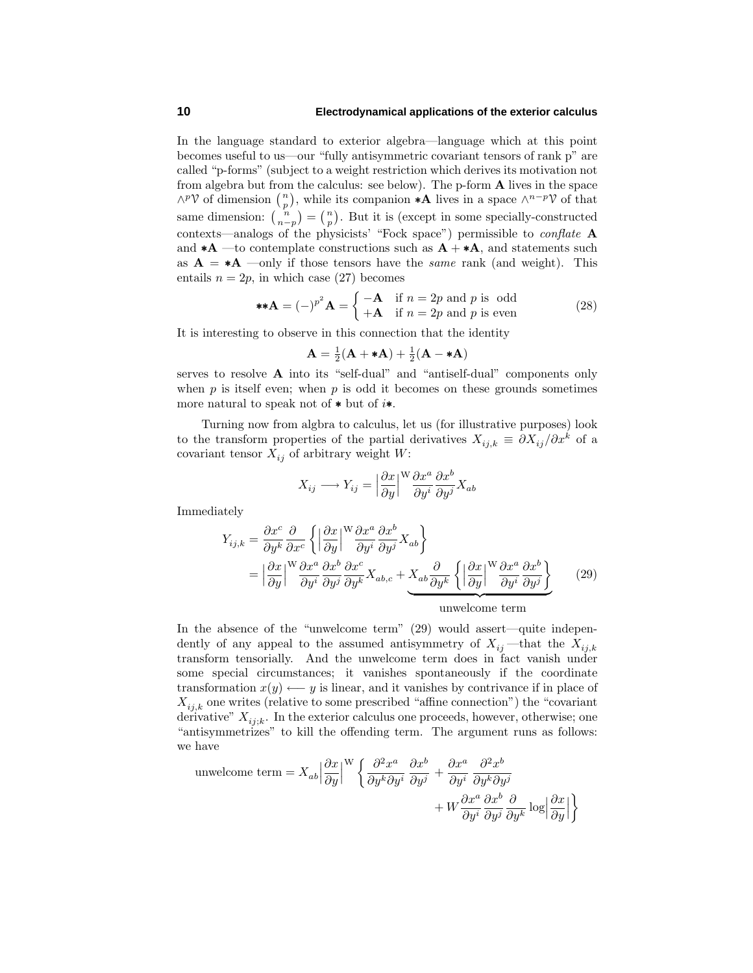## **10 Electrodynamical applications of the exterior calculus**

In the language standard to exterior algebra—language which at this point becomes useful to us—our "fully antisymmetric covariant tensors of rank p" are called "p-forms" (subject to a weight restriction which derives its motivation not from algebra but from the calculus: see below). The p-form **A** lives in the space  $\wedge^p$ V of dimension  $\binom{n}{p}$ , while its companion **\*A** lives in a space  $\wedge^{n-p}$ V of that same dimension:  $\binom{n}{n-p} = \binom{n}{p}$ . But it is (except in some specially-constructed contexts—analogs of the physicists' "Fock space") permissible to conflate **A** and  $*{\bf A}$  —to contemplate constructions such as  ${\bf A} + *{\bf A}$ , and statements such as  $A = *A$  —only if those tensors have the *same* rank (and weight). This entails  $n = 2p$ , in which case (27) becomes

$$
\ast \ast \mathbf{A} = (-)^{p^2} \mathbf{A} = \begin{cases} -\mathbf{A} & \text{if } n = 2p \text{ and } p \text{ is odd} \\ +\mathbf{A} & \text{if } n = 2p \text{ and } p \text{ is even} \end{cases}
$$
(28)

It is interesting to observe in this connection that the identity

$$
\mathbf{A} = \frac{1}{2}(\mathbf{A} + \mathbf{*A}) + \frac{1}{2}(\mathbf{A} - \mathbf{*A})
$$

serves to resolve **A** into its "self-dual" and "antiself-dual" components only when  $p$  is itself even; when  $p$  is odd it becomes on these grounds sometimes more natural to speak not of ∗ but of *i*∗.

Turning now from algbra to calculus, let us (for illustrative purposes) look to the transform properties of the partial derivatives  $X_{ij,k} \equiv \partial X_{ij}/\partial x^k$  of a covariant tensor  $X_{ij}$  of arbitrary weight *W*:

$$
X_{ij} \longrightarrow Y_{ij} = \left| \frac{\partial x}{\partial y} \right|^{W} \frac{\partial x^{a}}{\partial y^{i}} \frac{\partial x^{b}}{\partial y^{j}} X_{ab}
$$

Immediately

$$
Y_{ij,k} = \frac{\partial x^c}{\partial y^k} \frac{\partial}{\partial x^c} \left\{ \left| \frac{\partial x}{\partial y} \right|^W \frac{\partial x^a}{\partial y^i} \frac{\partial x^b}{\partial y^j} X_{ab} \right\}
$$
  

$$
= \left| \frac{\partial x}{\partial y} \right|^W \frac{\partial x^a}{\partial y^i} \frac{\partial x^b}{\partial y^j} \frac{\partial x^c}{\partial y^k} X_{ab,c} + X_{ab} \frac{\partial}{\partial y^k} \left\{ \left| \frac{\partial x}{\partial y} \right|^W \frac{\partial x^a}{\partial y^i} \frac{\partial x^b}{\partial y^j} \right\} \qquad (29)
$$
  
unwelcome term

In the absence of the "unwelcome term" (29) would assert—quite independently of any appeal to the assumed antisymmetry of  $X_{ij}$  —that the  $X_{ij,k}$ transform tensorially. And the unwelcome term does in fact vanish under some special circumstances; it vanishes spontaneously if the coordinate transformation  $x(y) \leftarrow y$  is linear, and it vanishes by contrivance if in place of  $X_{ij,k}$  one writes (relative to some prescribed "affine connection") the "covariant derivative"  $X_{i,j,k}$ . In the exterior calculus one proceeds, however, otherwise; one "antisymmetrizes" to kill the offending term. The argument runs as follows: we have

unwelcome term = 
$$
X_{ab} \left| \frac{\partial x}{\partial y} \right|^W \left\{ \frac{\partial^2 x^a}{\partial y^k \partial y^i} \frac{\partial x^b}{\partial y^j} + \frac{\partial x^a}{\partial y^i} \frac{\partial^2 x^b}{\partial y^k \partial y^j} + W \frac{\partial x^a}{\partial y^i} \frac{\partial x^b}{\partial y^j} \frac{\partial}{\partial y^k} \log \left| \frac{\partial x}{\partial y} \right| \right\}
$$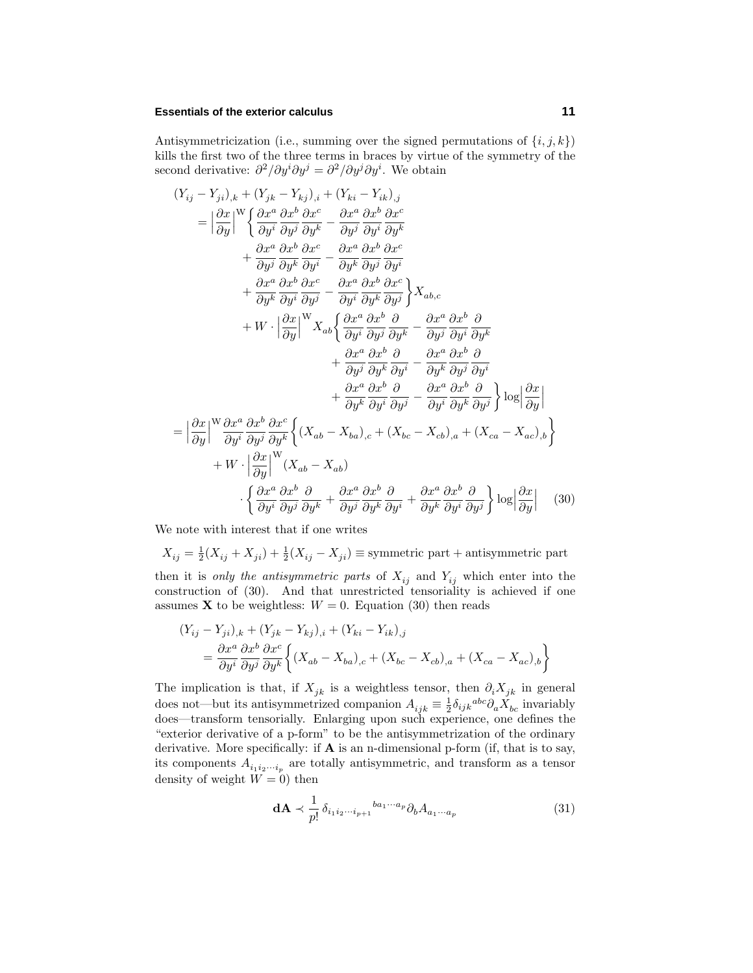## **Essentials of the exterior calculus 11**

Antisymmetricization (i.e., summing over the signed permutations of  $\{i, j, k\}$ ) kills the first two of the three terms in braces by virtue of the symmetry of the second derivative:  $\partial^2/\partial y^i \partial y^j = \partial^2/\partial y^j \partial y^i$ . We obtain

$$
(Y_{ij} - Y_{ji})_{,k} + (Y_{jk} - Y_{kj})_{,i} + (Y_{ki} - Y_{ik})_{,j}
$$
\n
$$
= \left| \frac{\partial x}{\partial y} \right|^{W} \left\{ \frac{\partial x^{a}}{\partial y^{i}} \frac{\partial x^{b}}{\partial y^{j}} \frac{\partial x^{c}}{\partial y^{k}} - \frac{\partial x^{a}}{\partial y^{j}} \frac{\partial x^{b}}{\partial y^{i}} \frac{\partial x^{c}}{\partial y^{k}}
$$
\n
$$
+ \frac{\partial x^{a}}{\partial y^{j}} \frac{\partial x^{b}}{\partial y^{k}} \frac{\partial x^{c}}{\partial y^{i}} - \frac{\partial x^{a}}{\partial y^{k}} \frac{\partial x^{b}}{\partial y^{j}} \frac{\partial x^{c}}{\partial y^{i}}
$$
\n
$$
+ \frac{\partial x^{a}}{\partial y^{k}} \frac{\partial x^{b}}{\partial y^{j}} - \frac{\partial x^{a}}{\partial y^{i}} \frac{\partial x^{b}}{\partial y^{j}} \frac{\partial x^{c}}{\partial y^{j}} \right\} X_{ab,c}
$$
\n
$$
+ W \cdot \left| \frac{\partial x}{\partial y} \right|^{W} X_{ab} \left\{ \frac{\partial x^{a}}{\partial y^{i}} \frac{\partial x^{b}}{\partial y^{j}} \frac{\partial x^{c}}{\partial y^{k}} - \frac{\partial x^{a}}{\partial y^{j}} \frac{\partial x^{b}}{\partial y^{i}} \frac{\partial x^{b}}{\partial y^{k}}
$$
\n
$$
+ \frac{\partial x^{a}}{\partial y^{j}} \frac{\partial x^{b}}{\partial y^{k}} \frac{\partial x^{c}}{\partial y^{j}} - \frac{\partial x^{a}}{\partial y^{k}} \frac{\partial x^{b}}{\partial y^{j}} \frac{\partial x^{c}}{\partial y^{i}}
$$
\n
$$
+ \frac{\partial x^{a}}{\partial y^{k}} \frac{\partial x^{b}}{\partial y^{j}} \frac{\partial x^{b}}{\partial y^{j}} - \frac{\partial x^{a}}{\partial y^{k}} \frac{\partial x^{b}}{\partial y^{j}} \frac{\partial x^{c}}{\partial y^{j}}
$$
\n
$$
= \left| \frac{\partial x}{\partial y} \right|^{W} \frac{\partial x^{a}}{\partial y^{j}} \frac{\partial x^{c}}{\partial y^{j}} \left\{ (X_{ab} - X_{ba})_{,c} + (X_{bc} - X_{cb})_{,a} + (X_{ca} - X
$$

We note with interest that if one writes

 $X_{ij} = \frac{1}{2}(X_{ij} + X_{ji}) + \frac{1}{2}(X_{ij} - X_{ji}) \equiv$  symmetric part + antisymmetric part then it is only the antisymmetric parts of  $X_{ij}$  and  $Y_{ij}$  which enter into the construction of  $(30)$ . And that unrestricted tensoriality is achieved if one assumes **X** to be weightless:  $W = 0$ . Equation (30) then reads

$$
(Y_{ij} - Y_{ji})_{,k} + (Y_{jk} - Y_{kj})_{,i} + (Y_{ki} - Y_{ik})_{,j}
$$
  
= 
$$
\frac{\partial x^a}{\partial y^i} \frac{\partial x^b}{\partial y^j} \frac{\partial x^c}{\partial y^k} \left\{ (X_{ab} - X_{ba})_{,c} + (X_{bc} - X_{cb})_{,a} + (X_{ca} - X_{ac})_{,b} \right\}
$$

The implication is that, if  $X_{jk}$  is a weightless tensor, then  $\partial_i X_{jk}$  in general does not—but its antisymmetrized companion  $A_{ijk} \equiv \frac{1}{2} \delta_{ijk}{}^{abc} \partial_a X_{bc}$  invariably does—transform tensorially. Enlarging upon such experience, one defines the "exterior derivative of a p-form" to be the antisymmetrization of the ordinary derivative. More specifically: if **A** is an n-dimensional p-form (if, that is to say, its components  $A_{i_1 i_2 \cdots i_p}$  are totally antisymmetric, and transform as a tensor density of weight  $W = 0$ ) then

$$
\mathbf{d}\mathbf{A} \prec \frac{1}{p!} \delta_{i_1 i_2 \cdots i_{p+1}}^{b a_1 \cdots a_p} \partial_b A_{a_1 \cdots a_p} \tag{31}
$$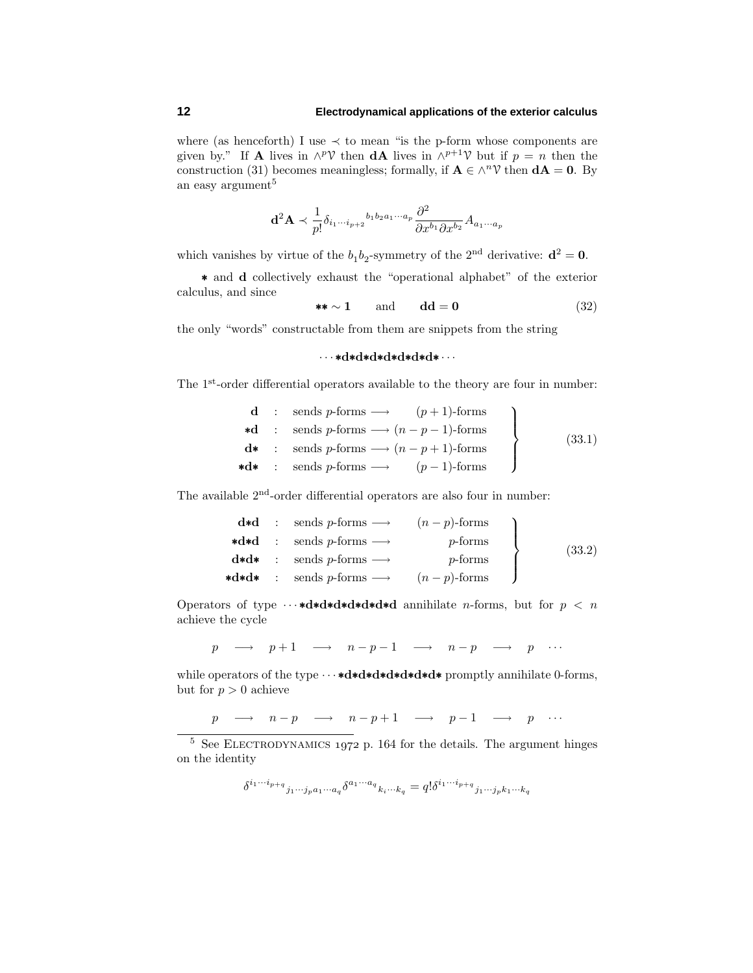where (as henceforth) I use  $\prec$  to mean "is the p-form whose components are given by." If **A** lives in  $\wedge^p \mathcal{V}$  then **dA** lives in  $\wedge^{p+1} \mathcal{V}$  but if  $p = n$  then the construction (31) becomes meaningless; formally, if  $\mathbf{A} \in \wedge^n \mathcal{V}$  then  $d\mathbf{A} = \mathbf{0}$ . By an easy argument<sup>5</sup>

$$
\mathbf{d}^2 \mathbf{A} \prec \frac{1}{p!} \delta_{i_1 \cdots i_{p+2}}{}^{b_1 b_2 a_1 \cdots a_p} \frac{\partial^2}{\partial x^{b_1} \partial x^{b_2}} A_{a_1 \cdots a_p}
$$

which vanishes by virtue of the  $b_1b_2$ -symmetry of the 2<sup>nd</sup> derivative:  $\mathbf{d}^2 = \mathbf{0}$ .

∗ and **d** collectivelyexhaust the "operational alphabet" of the exterior calculus, and since

 $\star \star \sim 1$  and **dd** = **0** (32)

the only"words" constructable from them are snippets from the string

## ···∗**d**∗**d**∗**d**∗**d**∗**d**∗**d**∗**d**∗ ···

The 1<sup>st</sup>-order differential operators available to the theory are four in number:

|  | <b>d</b> : sends p-forms $\longrightarrow$ $(p+1)$ -forms        |        |
|--|------------------------------------------------------------------|--------|
|  | *d : sends p-forms $\longrightarrow$ $(n-p-1)$ -forms            | (33.1) |
|  | $\mathbf{d*}$ : sends p-forms $\longrightarrow$ $(n-p+1)$ -forms |        |
|  | $\star d\star$ : sends p-forms $\longrightarrow$ $(p-1)$ -forms  |        |

The available 2nd-order differential operators are also four in number:

|  | $d*d$ : sends p-forms $\longrightarrow$ $(n-p)$ -forms                |                  |        |
|--|-----------------------------------------------------------------------|------------------|--------|
|  | $\ast \mathbf{d} \ast \mathbf{d}$ : sends p-forms $\longrightarrow$   | $p\text{-forms}$ | (33.2) |
|  | $\mathbf{d} * \mathbf{d} *$ : sends p-forms $\longrightarrow$         | $p\text{-forms}$ |        |
|  | $\ast d \ast d \ast : \text{ sends } p\text{-forms } \longrightarrow$ | $(n-p)$ -forms   |        |

Operators of type ···∗**d**∗**d**∗**d**∗**d**∗**d**∗**d**∗**d** annihilate *n*-forms, but for *p<n* achieve the cycle

*p* → *p* + 1 → *n* − *p* − 1 → *n* − *p* → *p* ···

while operators of the type ···∗**d**∗**d**∗**d**∗**d**∗**d**∗**d**∗**d**∗ promptlyannihilate 0-forms, but for  $p > 0$  achieve

*p* → *n* − *p* → *n* − *p* + 1 → *p* - 1 → *p* ···

 $5$  See ELECTRODYNAMICS 1972 p. 164 for the details. The argument hinges on the identity

$$
\delta^{i_1\cdots i_{p+q}}{}_{j_1\cdots j_p a_1\cdots a_q}\delta^{a_1\cdots a_q}{}_{k_i\cdots k_q}=q!\delta^{i_1\cdots i_{p+q}}{}_{j_1\cdots j_p k_1\cdots k_q}
$$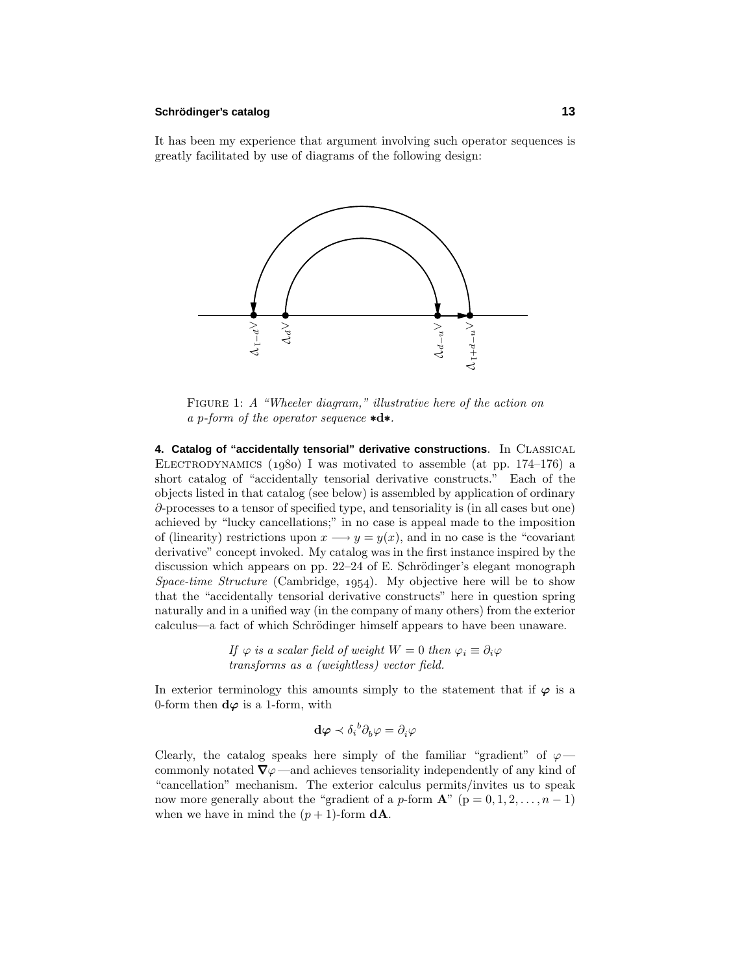## **Schrodinger ¨ 's catalog 13**

It has been my experience that argument involving such operator sequences is greatly facilitated by use of diagrams of the following design:



FIGURE 1: A "Wheeler diagram," illustrative here of the action on a *p*-form of the operator sequence ∗**d**∗.

**4. Catalog of "accidentally tensorial" derivative constructions**. In Classical ELECTRODYNAMICS  $(1980)$  I was motivated to assemble (at pp. 174–176) a short catalog of "accidentally tensorial derivative constructs." Each of the objects listed in that catalog (see below) is assembled byapplication of ordinary *∂*-processes to a tensor of specified type, and tensoriality is (in all cases but one) achieved by"luckycancellations;" in no case is appeal made to the imposition of (linearity) restrictions upon  $x \rightarrow y = y(x)$ , and in no case is the "covariant" derivative" concept invoked. My catalog was in the first instance inspired by the discussion which appears on pp.  $22-24$  of E. Schrödinger's elegant monograph Space-time Structure (Cambridge, 1954). My objective here will be to show that the "accidentally tensorial derivative constructs" here in question spring naturally and in a unified way (in the company of many others) from the exterior calculus—a fact of which Schrödinger himself appears to have been unaware.

> If  $\varphi$  is a scalar field of weight  $W = 0$  then  $\varphi_i \equiv \partial_i \varphi$ transforms as a (weightless) vector field.

In exterior terminology this amounts simply to the statement that if  $\varphi$  is a 0-form then  $d\varphi$  is a 1-form, with

$$
\mathbf{d}\boldsymbol{\varphi} \prec \delta_i{}^b \partial_b \boldsymbol{\varphi} = \partial_i \boldsymbol{\varphi}
$$

Clearly, the catalog speaks here simply of the familiar "gradient" of  $\varphi$ commonly notated  $\nabla \varphi$  —and achieves tensoriality independently of any kind of "cancellation" mechanism. The exterior calculus permits/invites us to speak now more generally about the "gradient of a *p*-form  $\mathbf{A}$ " ( $p = 0, 1, 2, \ldots, n - 1$ ) when we have in mind the  $(p+1)$ -form  $dA$ .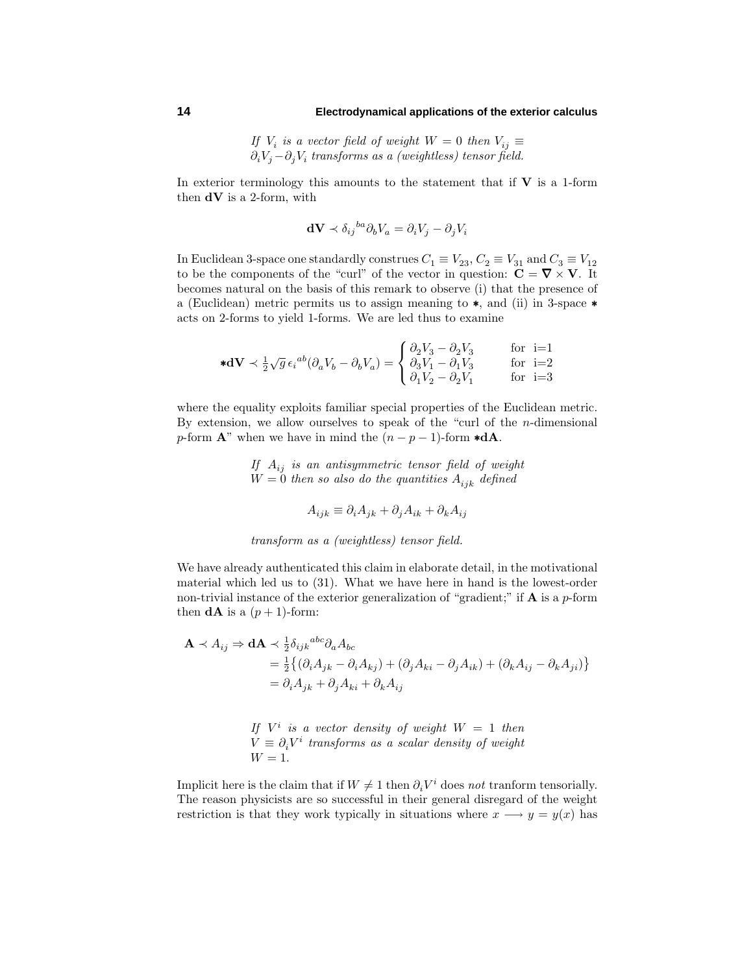## **14 Electrodynamical applications of the exterior calculus**

If  $V_i$  is a vector field of weight  $W = 0$  then  $V_{ij} \equiv$ *∂iV<sup>j</sup>* −*∂jV<sup>i</sup>* transforms as a (weightless) tensor field.

In exterior terminology this amounts to the statement that if  $V$  is a 1-form then **dV** is a 2-form, with

$$
\mathbf{dV} \prec \delta_{ij}{}^{ba} \partial_b V_a = \partial_i V_j - \partial_j V_i
$$

In Euclidean 3-space one standardly construes  $C_1 \equiv V_{23}$ ,  $C_2 \equiv V_{31}$  and  $C_3 \equiv V_{12}$ to be the components of the "curl" of the vector in question:  $\mathbf{C} = \nabla \times \mathbf{V}$ . It becomes natural on the basis of this remark to observe (i) that the presence of a (Euclidean) metric permits us to assign meaning to ∗, and (ii) in 3-space ∗ acts on 2-forms to yield 1-forms. We are led thus to examine

$$
\ast \mathbf{dV} \prec \frac{1}{2} \sqrt{g} \,\epsilon_i{}^{ab} (\partial_a V_b - \partial_b V_a) = \begin{cases} \partial_2 V_3 - \partial_2 V_3 & \text{for } i=1 \\ \partial_3 V_1 - \partial_1 V_3 & \text{for } i=2 \\ \partial_1 V_2 - \partial_2 V_1 & \text{for } i=3 \end{cases}
$$

where the equality exploits familiar special properties of the Euclidean metric. By extension, we allow ourselves to speak of the "curl of the *n*-dimensional *p*-form  $\mathbf{A}^n$  when we have in mind the  $(n - p - 1)$ -form  $\mathbf{*d}\mathbf{A}$ .

> If  $A_{ij}$  is an antisymmetric tensor field of weight  $W = 0$  then so also do the quantities  $A_{ijk}$  defined

$$
A_{ijk} \equiv \partial_i A_{jk} + \partial_j A_{ik} + \partial_k A_{ij}
$$

transform as a (weightless) tensor field.

We have already authenticated this claim in elaborate detail, in the motivational material which led us to (31). What we have here in hand is the lowest-order non-trivial instance of the exterior generalization of "gradient;" if **A** is a *p*-form then  $d\mathbf{A}$  is a  $(p+1)$ -form:

$$
\mathbf{A} \prec A_{ij} \Rightarrow \mathbf{d}\mathbf{A} \prec \frac{1}{2} \delta_{ijk}{}^{abc} \partial_a A_{bc}
$$
  
=  $\frac{1}{2} \{ (\partial_i A_{jk} - \partial_i A_{kj}) + (\partial_j A_{ki} - \partial_j A_{ik}) + (\partial_k A_{ij} - \partial_k A_{ji}) \}$   
=  $\partial_i A_{jk} + \partial_j A_{ki} + \partial_k A_{ij}$ 

If  $V^i$  is a vector density of weight  $W = 1$  then  $V = \partial_i V^i$  transforms as a scalar density of weight  $W = 1$ .

Implicit here is the claim that if  $W \neq 1$  then  $\partial_i V^i$  does not tranform tensorially. The reason physicists are so successful in their general disregard of the weight restriction is that they work typically in situations where  $x \rightarrow y = y(x)$  has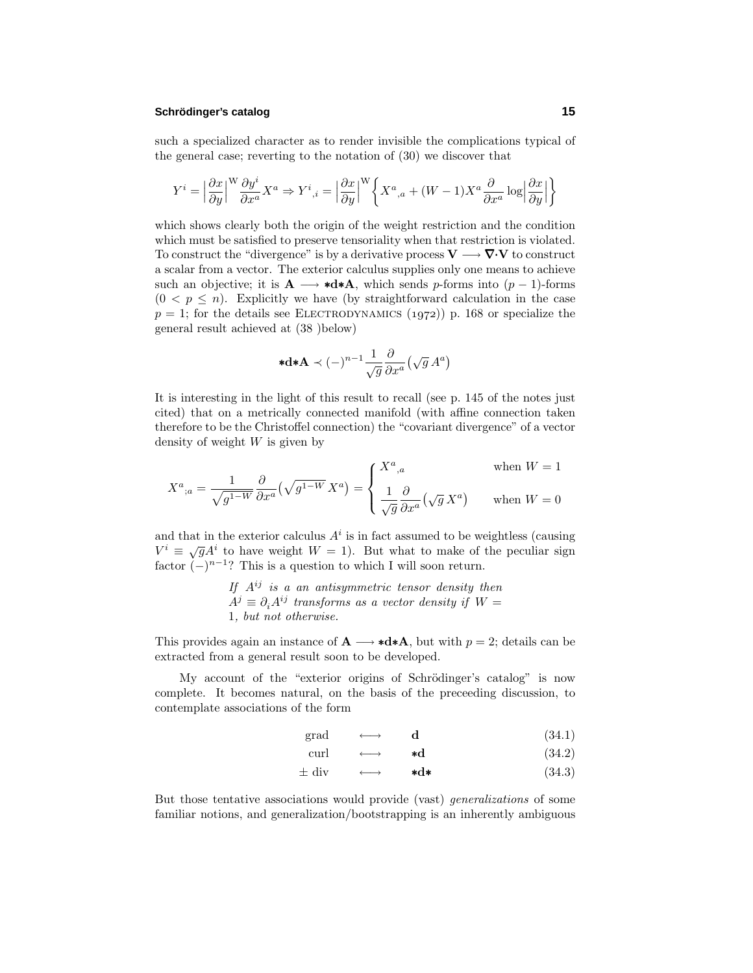## **Schrodinger ¨ 's catalog 15**

such a specialized character as to render invisible the complications typical of the general case; reverting to the notation of (30) we discover that

$$
Y^i=\Big|\frac{\partial x}{\partial y}\Big|^{\mathcal{W}}\frac{\partial y^i}{\partial x^a}X^a\Rightarrow Y^i{}_{,i}=\Big|\frac{\partial x}{\partial y}\Big|^{\mathcal{W}}\bigg\{X^a{}_{,a}+(W-1)X^a\frac{\partial}{\partial x^a}\log\Big|\frac{\partial x}{\partial y}\Big|\bigg\}
$$

which shows clearly both the origin of the weight restriction and the condition which must be satisfied to preserve tensoriality when that restriction is violated. To construct the "divergence" is by a derivative process  $V \longrightarrow \nabla \cdot V$  to construct a scalar from a vector. The exterior calculus supplies onlyone means to achieve such an objective; it is  $\mathbf{A} \longrightarrow \mathbf{A} \mathbf{A}$ , which sends *p*-forms into  $(p-1)$ -forms  $(0 < p \leq n)$ . Explicitly we have (by straightforward calculation in the case  $p = 1$ ; for the details see ELECTRODYNAMICS (1972)) p. 168 or specialize the general result achieved at (38 )below)

$$
* \mathbf{d} * \mathbf{A} \prec (-)^{n-1} \frac{1}{\sqrt{g}} \frac{\partial}{\partial x^a} \big( \sqrt{g} \, A^a \big)
$$

It is interesting in the light of this result to recall (see p. 145 of the notes just cited) that on a metrically connected manifold (with affine connection taken therefore to be the Christoffel connection) the "covariant divergence" of a vector densityof weight *W* is given by

$$
X^{a}{}_{;a} = \frac{1}{\sqrt{g^{1-W}}} \frac{\partial}{\partial x^{a}} \left(\sqrt{g^{1-W}} X^{a}\right) = \begin{cases} X^{a}{}_{,a} & \text{when } W = 1 \\ \frac{1}{\sqrt{g}} \frac{\partial}{\partial x^{a}} \left(\sqrt{g} X^{a}\right) & \text{when } W = 0 \end{cases}
$$

and that in the exterior calculus  $A^i$  is in fact assumed to be weightless (causing  $V^i \equiv \sqrt{q} A^i$  to have weight  $W = 1$ ). But what to make of the peculiar sign factor  $(-)^{n-1}$ ? This is a question to which I will soon return.

> If  $A^{ij}$  is a an antisymmetric tensor density then  $A^j \equiv \partial_i A^{ij}$  transforms as a vector density if  $W =$ 1, but not otherwise.

This provides again an instance of  $\mathbf{A} \longrightarrow \mathbf{A} \mathbf{A}$ , but with  $p = 2$ ; details can be extracted from a general result soon to be developed.

My account of the "exterior origins of Schrödinger's catalog" is now complete. It becomes natural, on the basis of the preceeding discussion, to contemplate associations of the form

$$
\text{grad} \qquad \longleftrightarrow \qquad \mathbf{d} \tag{34.1}
$$

$$
\text{curl} \qquad \longleftrightarrow \qquad \text{*d} \tag{34.2}
$$

$$
\pm \text{ div} \qquad \longleftrightarrow \qquad \star \mathbf{d} \star \tag{34.3}
$$

But those tentative associations would provide (vast) generalizations of some familiar notions, and generalization/bootstrapping is an inherentlyambiguous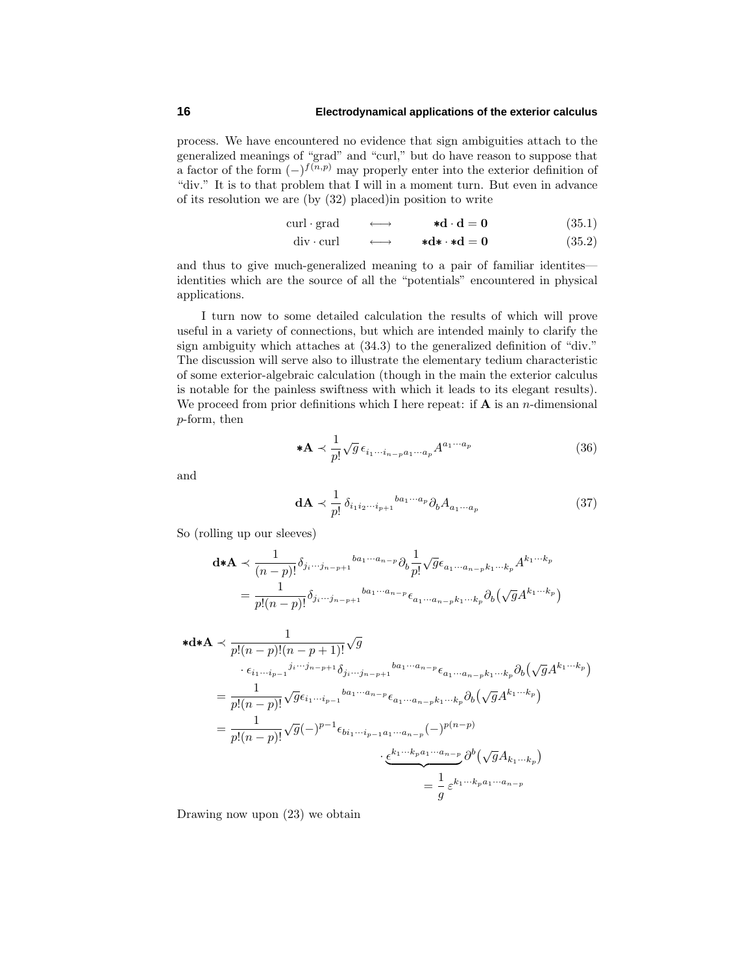process. We have encountered no evidence that sign ambiguities attach to the generalized meanings of "grad" and "curl," but do have reason to suppose that a factor of the form  $(-)^{f(n,p)}$  may properly enter into the exterior definition of "div." It is to that problem that I will in a moment turn. But even in advance of its resolution we are (by(32) placed)in position to write

$$
curl \cdot grad \qquad \longleftrightarrow \qquad \ast d \cdot d = 0 \tag{35.1}
$$

$$
\text{div curl} \qquad \longleftrightarrow \qquad \ast \mathbf{d} \ast \cdot \ast \mathbf{d} = \mathbf{0} \tag{35.2}
$$

and thus to give much-generalized meaning to a pair of familiar identites identities which are the source of all the "potentials" encountered in physical applications.

I turn now to some detailed calculation the results of which will prove useful in a variety of connections, but which are intended mainly to clarify the sign ambiguity which attaches at  $(34.3)$  to the generalized definition of "div." The discussion will serve also to illustrate the elementarytedium characteristic of some exterior-algebraic calculation (though in the main the exterior calculus is notable for the painless swiftness with which it leads to its elegant results). We proceed from prior definitions which I here repeat: if  $A$  is an *n*-dimensional *p*-form, then

$$
\mathbf{A} \prec \frac{1}{p!} \sqrt{g} \,\epsilon_{i_1 \cdots i_{n-p} a_1 \cdots a_p} A^{a_1 \cdots a_p} \tag{36}
$$

and

$$
\mathbf{d}\mathbf{A} \prec \frac{1}{p!} \delta_{i_1 i_2 \cdots i_{p+1}}^{b a_1 \cdots a_p} \partial_b A_{a_1 \cdots a_p} \tag{37}
$$

So (rolling up our sleeves)

$$
\mathbf{d} \cdot \mathbf{A} \prec \frac{1}{(n-p)!} \delta_{j_i \cdots j_{n-p+1}} b a_1 \cdots a_{n-p} \partial_b \frac{1}{p!} \sqrt{g} \epsilon_{a_1 \cdots a_{n-p} k_1 \cdots k_p} A^{k_1 \cdots k_p}
$$

$$
= \frac{1}{p! (n-p)!} \delta_{j_i \cdots j_{n-p+1}} b a_1 \cdots a_{n-p} \epsilon_{a_1 \cdots a_{n-p} k_1 \cdots k_p} \partial_b \left(\sqrt{g} A^{k_1 \cdots k_p}\right)
$$

$$
\ast d \ast A \prec \frac{1}{p!(n-p)!(n-p+1)!} \sqrt{g}
$$
  
\n
$$
\cdot \epsilon_{i_1 \cdots i_{p-1}} i^{i_1 \cdots j_{n-p+1}} \delta_{j_i \cdots j_{n-p+1}} b a_1 \cdots a_{n-p} \epsilon_{a_1 \cdots a_{n-p} k_1 \cdots k_p} \partial_b (\sqrt{g} A^{k_1 \cdots k_p})
$$
  
\n
$$
= \frac{1}{p!(n-p)!} \sqrt{g} \epsilon_{i_1 \cdots i_{p-1}} b a_1 \cdots a_{n-p} \epsilon_{a_1 \cdots a_{n-p} k_1 \cdots k_p} \partial_b (\sqrt{g} A^{k_1 \cdots k_p})
$$
  
\n
$$
= \frac{1}{p!(n-p)!} \sqrt{g} (-)^{p-1} \epsilon_{b i_1 \cdots i_{p-1} a_1 \cdots a_{n-p}} (-)^{p(n-p)}
$$
  
\n
$$
\cdot \underbrace{\epsilon^{k_1 \cdots k_p a_1 \cdots a_{n-p}}}_{=} \frac{\partial^b (\sqrt{g} A_{k_1 \cdots k_p})}{\partial^b (\sqrt{g} A_{k_1 \cdots k_p})}
$$

Drawing now upon (23) we obtain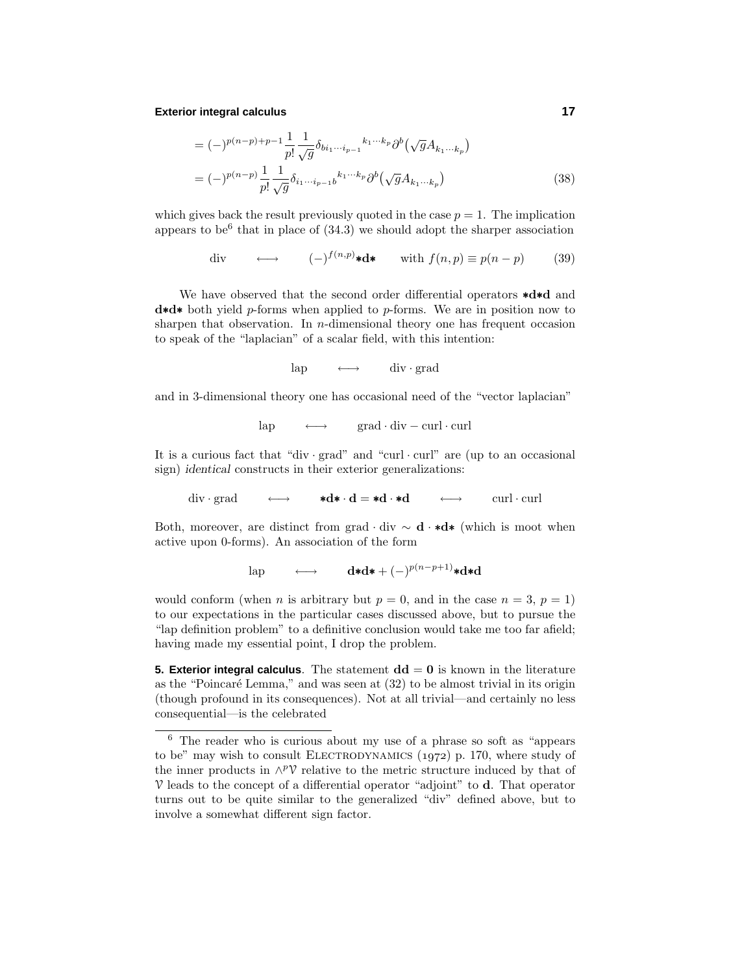## **Exterior integral calculus 17**

$$
= (-)^{p(n-p)+p-1} \frac{1}{p!} \frac{1}{\sqrt{g}} \delta_{bi_1 \cdots i_{p-1}}{}^{k_1 \cdots k_p} \partial^b (\sqrt{g} A_{k_1 \cdots k_p})
$$
  

$$
= (-)^{p(n-p)} \frac{1}{p!} \frac{1}{\sqrt{g}} \delta_{i_1 \cdots i_{p-1} b}{}^{k_1 \cdots k_p} \partial^b (\sqrt{g} A_{k_1 \cdots k_p})
$$
(38)

which gives back the result previously quoted in the case  $p = 1$ . The implication appears to be<sup>6</sup> that in place of  $(34.3)$  we should adopt the sharper association

div 
$$
\longleftrightarrow
$$
  $(-)^{f(n,p)} \star d \star$  with  $f(n,p) \equiv p(n-p)$  (39)

We have observed that the second order differential operators ∗**d**∗**d** and **d**∗**d**∗ both yield *p*-forms when applied to *p*-forms. We are in position now to sharpen that observation. In *n*-dimensional theoryone has frequent occasion to speak of the "laplacian" of a scalar field, with this intention:

 $\text{lap} \longrightarrow \text{div} \cdot \text{grad}$ 

and in 3-dimensional theory one has occasional need of the "vector laplacian"

 $\text{lap} \longrightarrow \text{grad} \cdot \text{div} - \text{curl} \cdot \text{curl}$ 

It is a curious fact that "div  $\cdot$  grad" and "curl  $\cdot$  curl" are (up to an occasional sign) *identical* constructs in their exterior generalizations:

div · grad ←→ **∗d**\* · **d** = **\*d** · **\*d** ←→ curl · curl

Both, moreover, are distinct from grad · div ∼ **d** · ∗**d**∗ (which is moot when active upon 0-forms). An association of the form

 $\quad \longleftrightarrow \qquad \mathbf{d}*\mathbf{d} * + (-)^{p(n-p+1)}*\mathbf{d}* \mathbf{d}$ 

would conform (when *n* is arbitrary but  $p = 0$ , and in the case  $n = 3$ ,  $p = 1$ ) to our expectations in the particular cases discussed above, but to pursue the "lap definition problem" to a definitive conclusion would take me too far afield; having made my essential point, I drop the problem.

**5. Exterior integral calculus**. The statement  $dd = 0$  is known in the literature as the "Poincaré Lemma," and was seen at  $(32)$  to be almost trivial in its origin (though profound in its consequences). Not at all trivial—and certainlyno less consequential—is the celebrated

 $\overline{6}$  The reader who is curious about my use of a phrase so soft as "appears" to be" may wish to consult ELECTRODYNAMICS  $(1972)$  p. 170, where study of the inner products in  $\land^p$  relative to the metric structure induced by that of V leads to the concept of a differential operator "adjoint" to **d**. That operator turns out to be quite similar to the generalized "div" defined above, but to involve a somewhat different sign factor.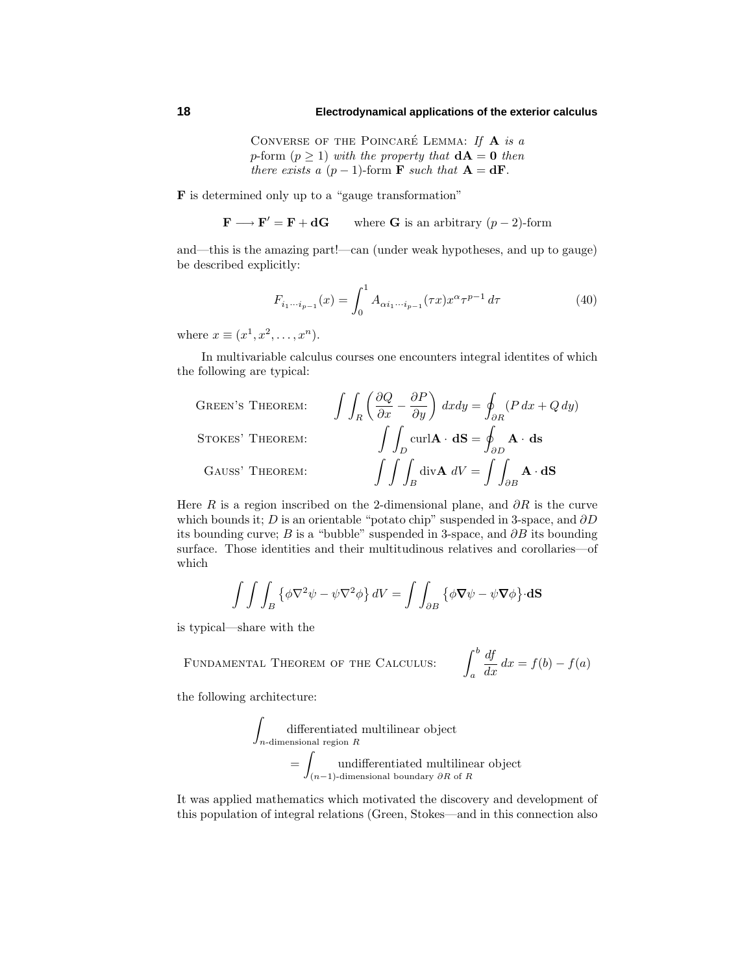CONVERSE OF THE POINCARÉ LEMMA: If  $A$  is a *p*-form  $(p \ge 1)$  with the property that  $dA = 0$  then there exists a  $(p-1)$ -form **F** such that  $A = dF$ .

**F** is determined onlyup to a "gauge transformation"

 $\mathbf{F} \longrightarrow \mathbf{F}' = \mathbf{F} + \mathbf{d}\mathbf{G}$  where **G** is an arbitrary (*p* − 2)-form

and—this is the amazing part!—can (under weak hypotheses, and up to gauge) be described explicitly:

$$
F_{i_1\cdots i_{p-1}}(x) = \int_0^1 A_{\alpha i_1\cdots i_{p-1}}(\tau x) x^{\alpha} \tau^{p-1} d\tau
$$
 (40)

where  $x \equiv (x^1, x^2, \ldots, x^n)$ .

In multivariable calculus courses one encounters integral identites of which the following are typical:

Green's Theorem:

\n
$$
\int \int_{R} \left( \frac{\partial Q}{\partial x} - \frac{\partial P}{\partial y} \right) dx dy = \oint_{\partial R} (P dx + Q dy)
$$
\nSTOKES' THEOREM:

\n
$$
\int \int_{D} \text{curl} \mathbf{A} \cdot d\mathbf{S} = \oint_{\partial D} \mathbf{A} \cdot d\mathbf{s}
$$
\nGauss' Theorem:

\n
$$
\int \int \int_{B} \text{div} \mathbf{A} \, dV = \int \int_{\partial B} \mathbf{A} \cdot d\mathbf{S}
$$

Here *R* is a region inscribed on the 2-dimensional plane, and  $\partial R$  is the curve which bounds it; *D* is an orientable "potato chip" suspended in 3-space, and *∂D* its bounding curve; *B* is a "bubble" suspended in 3-space, and *∂B* its bounding surface. Those identities and their multitudinous relatives and corollaries—of which

$$
\int \int \int_B \left\{ \phi \nabla^2 \psi - \psi \nabla^2 \phi \right\} dV = \int \int_{\partial B} \left\{ \phi \nabla \psi - \psi \nabla \phi \right\} d\mathbf{S}
$$

is typical—share with the

FUNDAMENTAL THEOREM OF THE CALCULUS: 
$$
\int_{a}^{b} \frac{df}{dx} dx = f(b) - f(a)
$$

the following architecture:

$$
\int_{n\text{-dimensional region }R}
$$
  
differential region *R*  
= 
$$
\int_{(n-1)\text{-dimensional boundary } \partial R \text{ of } R}
$$

It was applied mathematics which motivated the discoveryand development of this population of integral relations (Green, Stokes—and in this connection also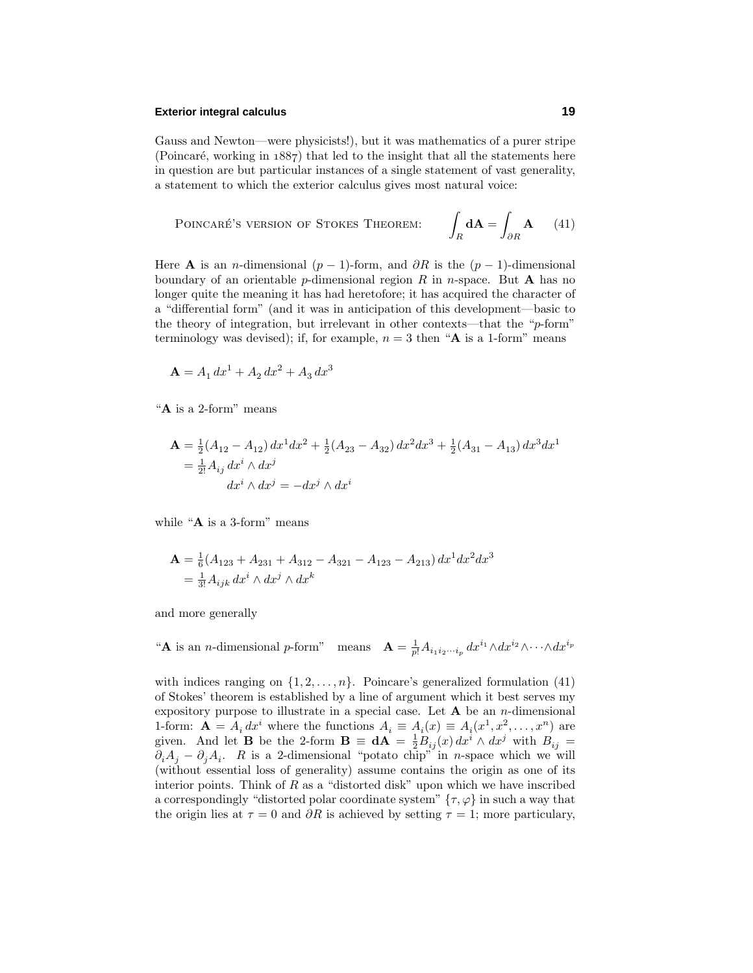## **Exterior integral calculus 19**

Gauss and Newton—were physicists!), but it was mathematics of a purer stripe (Poincaré, working in  $1887$ ) that led to the insight that all the statements here in question are but particular instances of a single statement of vast generality, a statement to which the exterior calculus gives most natural voice:

Poincaré's version of Stokes Theorem: 
$$
\int_R d\mathbf{A} = \int_{\partial R} \mathbf{A} \qquad (41)
$$

Here **A** is an *n*-dimensional ( $p-1$ )-form, and  $\partial R$  is the  $(p-1)$ -dimensional boundary of an orientable *p*-dimensional region  $R$  in *n*-space. But **A** has no longer quite the meaning it has had heretofore; it has acquired the character of a "differential form" (and it was in anticipation of this development—basic to the theoryof integration, but irrelevant in other contexts—that the "*p*-form" terminology was devised); if, for example,  $n = 3$  then " $\bf{A}$  is a 1-form" means

$$
\mathbf{A} = A_1 \, dx^1 + A_2 \, dx^2 + A_3 \, dx^3
$$

"**A** is a 2-form" means

$$
\begin{aligned} \mathbf{A} &= \frac{1}{2}(A_{12} - A_{12}) \, dx^1 dx^2 + \frac{1}{2}(A_{23} - A_{32}) \, dx^2 dx^3 + \frac{1}{2}(A_{31} - A_{13}) \, dx^3 dx^1 \\ &= \frac{1}{2!} A_{ij} \, dx^i \wedge dx^j \\ &= -dx^j \wedge dx^i \end{aligned}
$$

while "**A** is a 3-form" means

$$
\mathbf{A} = \frac{1}{6} (A_{123} + A_{231} + A_{312} - A_{321} - A_{123} - A_{213}) dx^1 dx^2 dx^3
$$
  
=  $\frac{1}{3!} A_{ijk} dx^i \wedge dx^j \wedge dx^k$ 

and more generally

"**A** is an *n*-dimensional *p*-form" means  $\mathbf{A} = \frac{1}{p!} A_{i_1 i_2 \cdots i_p} dx^{i_1} \wedge dx^{i_2} \wedge \cdots \wedge dx^{i_p}$ 

with indices ranging on  $\{1, 2, ..., n\}$ . Poincare's generalized formulation (41) of Stokes' theorem is established bya line of argument which it best serves my expository purpose to illustrate in a special case. Let  $A$  be an *n*-dimensional 1-form:  $\mathbf{A} = A_i dx^i$  where the functions  $A_i \equiv A_i(x) \equiv A_i(x^1, x^2, \dots, x^n)$  are given. And let **B** be the 2-form  $\mathbf{B} \equiv \mathbf{d}\mathbf{A} = \frac{1}{2}B_{ij}(x) dx^i \wedge dx^j$  with  $B_{ij} =$  $\partial_i A_j - \partial_j A_i$ . *R* is a 2-dimensional "potato chip" in *n*-space which we will (without essential loss of generality) assume contains the origin as one of its interior points. Think of *R* as a "distorted disk" upon which we have inscribed a correspondingly "distorted polar coordinate system"  $\{\tau, \varphi\}$  in such a way that the origin lies at  $\tau = 0$  and  $\partial R$  is achieved by setting  $\tau = 1$ ; more particulary,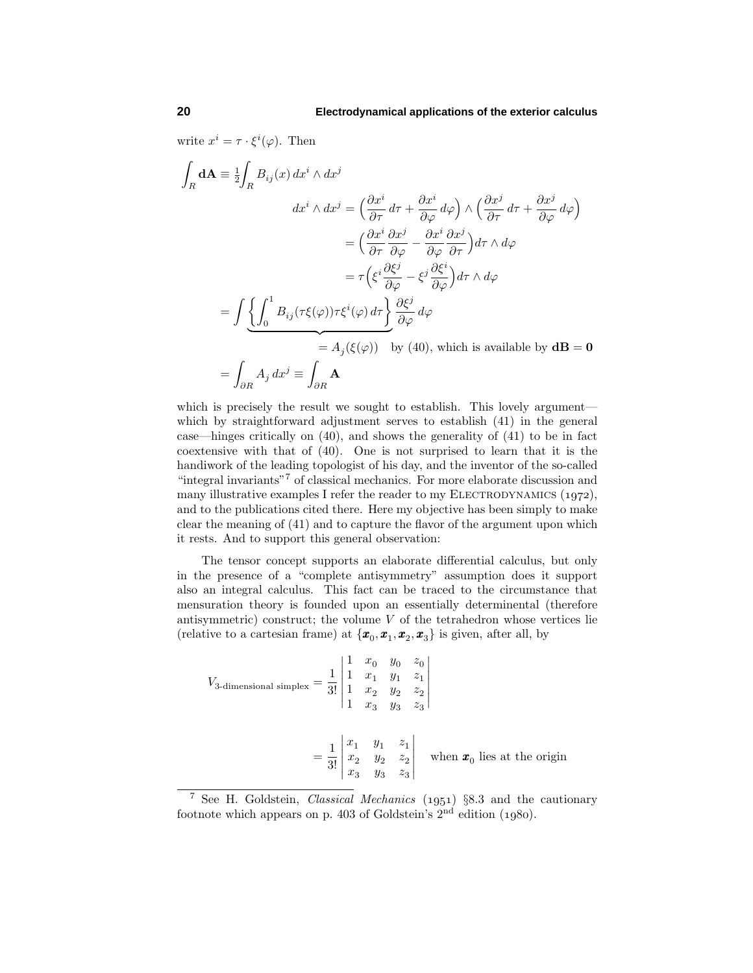write  $x^i = \tau \cdot \xi^i(\varphi)$ . Then

$$
\int_{R} \mathbf{dA} \equiv \frac{1}{2} \int_{R} B_{ij}(x) dx^{i} \wedge dx^{j}
$$
\n
$$
dx^{i} \wedge dx^{j} = \left(\frac{\partial x^{i}}{\partial \tau} d\tau + \frac{\partial x^{i}}{\partial \varphi} d\varphi\right) \wedge \left(\frac{\partial x^{j}}{\partial \tau} d\tau + \frac{\partial x^{j}}{\partial \varphi} d\varphi\right)
$$
\n
$$
= \left(\frac{\partial x^{i}}{\partial \tau} \frac{\partial x^{j}}{\partial \varphi} - \frac{\partial x^{i}}{\partial \varphi} \frac{\partial x^{j}}{\partial \tau}\right) d\tau \wedge d\varphi
$$
\n
$$
= \tau \left(\xi^{i} \frac{\partial \xi^{j}}{\partial \varphi} - \xi^{j} \frac{\partial \xi^{i}}{\partial \varphi}\right) d\tau \wedge d\varphi
$$
\n
$$
= \int \underbrace{\left\{\int_{0}^{1} B_{ij}(\tau\xi(\varphi))\tau\xi^{i}(\varphi) d\tau\right\}}_{= A_{j}(\xi(\varphi))} \underbrace{\frac{\partial \xi^{j}}{\partial \varphi}}_{= A_{j}(\xi(\varphi))} d\varphi
$$
\n
$$
= \int_{\partial R} A_{j} dx^{j} \equiv \int_{\partial R} \mathbf{A}
$$
\n49. The solution is available by  $\mathbf{dB} = \mathbf{0}$ .

which is precisely the result we sought to establish. This lovely argument which by straightforward adjustment serves to establish  $(41)$  in the general case—hinges critically on  $(40)$ , and shows the generality of  $(41)$  to be in fact coextensive with that of (40). One is not surprised to learn that it is the handiwork of the leading topologist of his day, and the inventor of the so-called "integral invariants"<sup>7</sup> of classical mechanics. For more elaborate discussion and many illustrative examples I refer the reader to my ELECTRODYNAMICS  $(1972)$ , and to the publications cited there. Here myobjective has been simplyto make clear the meaning of (41) and to capture the flavor of the argument upon which it rests. And to support this general observation:

The tensor concept supports an elaborate differential calculus, but only in the presence of a "complete antisymmetry" assumption does it support also an integral calculus. This fact can be traced to the circumstance that mensuration theory is founded upon an essentially determinental (therefore antisymmetric) construct; the volume *V* of the tetrahedron whose vertices lie (relative to a cartesian frame) at  $\{\boldsymbol{x}_0, \boldsymbol{x}_1, \boldsymbol{x}_2, \boldsymbol{x}_3\}$  is given, after all, by

$$
V_{3\text{-dimensional simplex}} = \frac{1}{3!} \begin{vmatrix} 1 & x_0 & y_0 & z_0 \\ 1 & x_1 & y_1 & z_1 \\ 1 & x_2 & y_2 & z_2 \\ 1 & x_3 & y_3 & z_3 \end{vmatrix}
$$
  
=  $\frac{1}{3!} \begin{vmatrix} x_1 & y_1 & z_1 \\ x_2 & y_2 & z_2 \\ x_3 & y_3 & z_3 \end{vmatrix}$  when  $\boldsymbol{x}_0$  lies at the origin

<sup>&</sup>lt;sup>7</sup> See H. Goldstein, *Classical Mechanics* (1951)  $\S$ 8.3 and the cautionary footnote which appears on p. 403 of Goldstein's  $2<sup>nd</sup>$  edition (1980).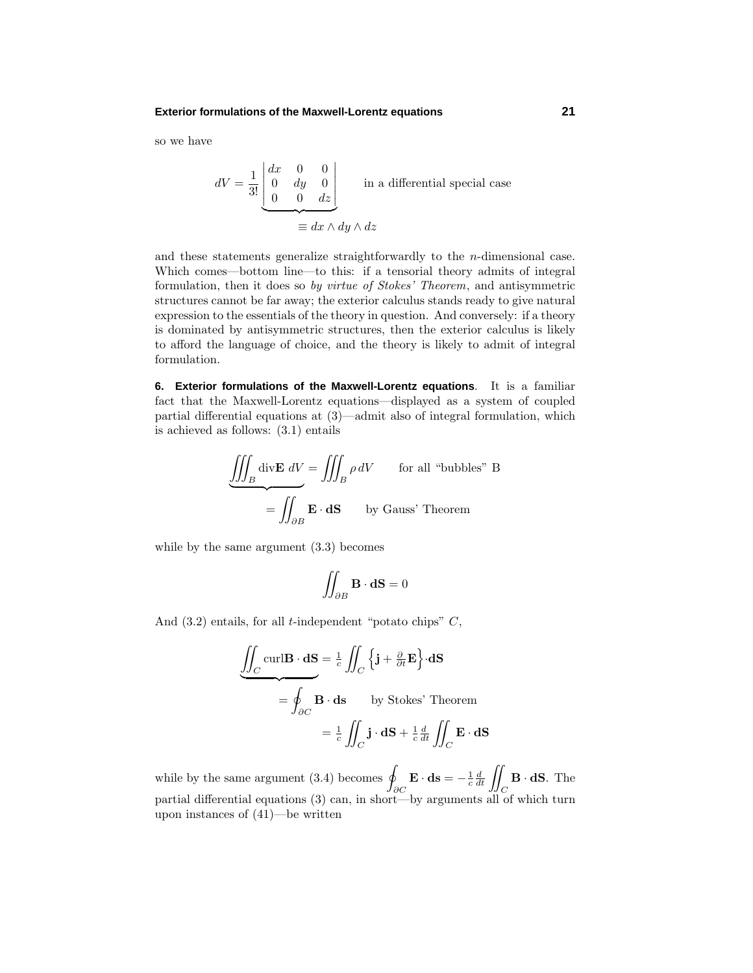## **Exterior formulations of the Maxwell-Lorentz equations 21**

so we have

$$
dV = \frac{1}{3!} \begin{bmatrix} dx & 0 & 0 \\ 0 & dy & 0 \\ 0 & 0 & dz \end{bmatrix}
$$
 in a differential special case  

$$
\equiv dx \wedge dy \wedge dz
$$

and these statements generalize straightforwardly to the  $n$ -dimensional case. Which comes—bottom line—to this: if a tensorial theory admits of integral formulation, then it does so by virtue of Stokes' Theorem, and antisymmetric structures cannot be far away; the exterior calculus stands ready to give natural expression to the essentials of the theory in question. And conversely: if a theory is dominated by antisymmetric structures, then the exterior calculus is likely to afford the language of choice, and the theory is likely to admit of integral formulation.

**6. Exterior formulations of the Maxwell-Lorentz equations**. It is a familiar fact that the Maxwell-Lorentz equations—displayed as a system of coupled partial differential equations at (3)—admit also of integral formulation, which is achieved as follows: (3.1) entails

$$
\underbrace{\iiint_B \text{div} \mathbf{E} \, dV}_{\mathbf{B}} = \iint_B \rho \, dV \qquad \text{for all "bubbles" B}
$$

$$
= \iint_{\partial B} \mathbf{E} \cdot d\mathbf{S} \qquad \text{by Gauss' Theorem}
$$

while by the same argument  $(3.3)$  becomes

$$
\iint_{\partial B} \mathbf{B} \cdot \mathbf{dS} = 0
$$

And (3.2) entails, for all *t*-independent "potato chips" *C*,

$$
\underbrace{\iint_C \text{curl}\mathbf{B} \cdot d\mathbf{S}}_{=\frac{1}{c} \iint_C \left\{ \mathbf{j} + \frac{\partial}{\partial t} \mathbf{E} \right\} \cdot d\mathbf{S}}_{=\frac{1}{c} \iint_C \mathbf{B} \cdot d\mathbf{s} \qquad \text{by Stokes' Theorem}
$$
\n
$$
= \frac{1}{c} \iint_C \mathbf{j} \cdot d\mathbf{S} + \frac{1}{c} \frac{d}{dt} \iint_C \mathbf{E} \cdot d\mathbf{S}
$$

while by the same argument  $(3.4)$  becomes  $\varphi$ *∂C*  $\mathbf{E} \cdot \mathbf{ds} = -\frac{1}{c} \frac{d}{dt} \iiint_C$ **B** · **dS**. The partial differential equations (3) can, in short—by arguments all of which turn upon instances of (41)—be written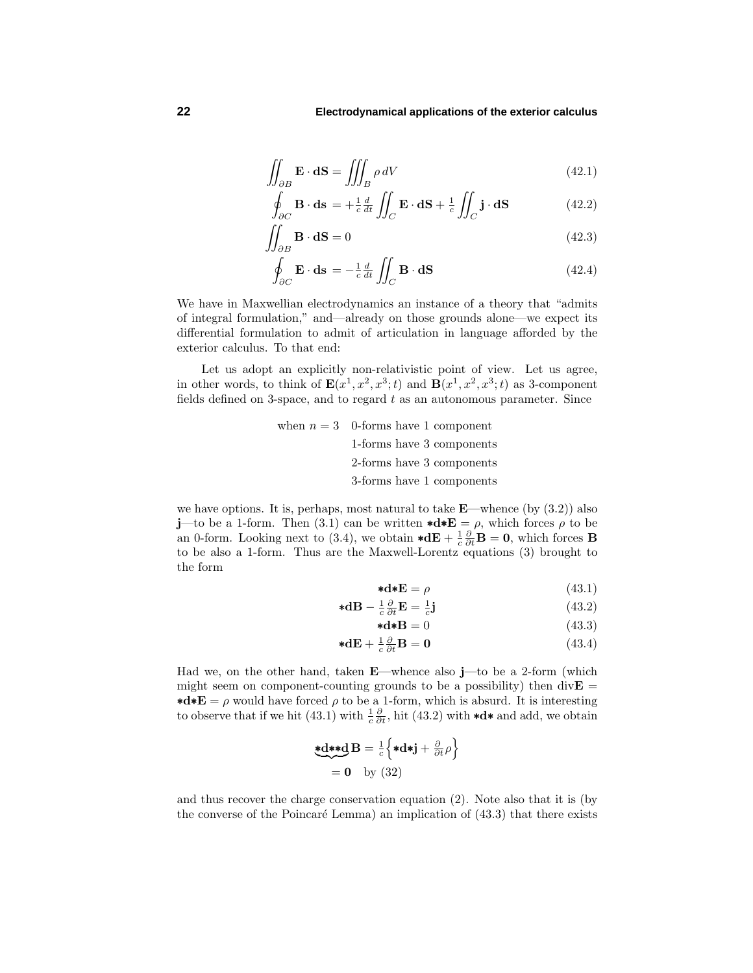$$
\iint_{\partial B} \mathbf{E} \cdot \mathbf{dS} = \iiint_{B} \rho \, dV \tag{42.1}
$$

$$
\oint_{\partial C} \mathbf{B} \cdot \mathbf{ds} = +\frac{1}{c} \frac{d}{dt} \iint_C \mathbf{E} \cdot \mathbf{dS} + \frac{1}{c} \iint_C \mathbf{j} \cdot \mathbf{dS}
$$
\n(42.2)

$$
\iint_{\partial B} \mathbf{B} \cdot \mathbf{dS} = 0 \tag{42.3}
$$

$$
\oint_{\partial C} \mathbf{E} \cdot \mathbf{ds} = -\frac{1}{c} \frac{d}{dt} \iint_C \mathbf{B} \cdot \mathbf{dS}
$$
\n(42.4)

We have in Maxwellian electrodynamics an instance of a theory that "admits of integral formulation," and—alreadyon those grounds alone—we expect its differential formulation to admit of articulation in language afforded by the exterior calculus. To that end:

Let us adopt an explicitly non-relativistic point of view. Let us agree, in other words, to think of  $\mathbf{E}(x^1, x^2, x^3; t)$  and  $\mathbf{B}(x^1, x^2, x^3; t)$  as 3-component fields defined on 3-space, and to regard *t* as an autonomous parameter. Since

when 
$$
n = 3
$$
 0-forms have 1 component 1-forms have 3 components 2-forms have 3 components 3-forms have 1 components

we have options. It is, perhaps, most natural to take  $\mathbf{E}$ —whence (by (3.2)) also **j**—to be a 1-form. Then (3.1) can be written  $\star d \star E = \rho$ , which forces  $\rho$  to be an 0-form. Looking next to (3.4), we obtain  $\star d\mathbf{E} + \frac{1}{c} \frac{\partial}{\partial t} \mathbf{B} = \mathbf{0}$ , which forces **B** to be also a 1-form. Thus are the Maxwell-Lorentz equations (3) brought to the form

$$
\ast \mathbf{d} \ast \mathbf{E} = \rho \tag{43.1}
$$

$$
\ast \mathbf{dB} - \frac{1}{c} \frac{\partial}{\partial t} \mathbf{E} = \frac{1}{c} \mathbf{j} \tag{43.2}
$$

$$
\ast \mathbf{d} \ast \mathbf{B} = 0 \tag{43.3}
$$

$$
\ast \mathbf{d} \mathbf{E} + \frac{1}{c} \frac{\partial}{\partial t} \mathbf{B} = \mathbf{0} \tag{43.4}
$$

Had we, on the other hand, taken **E**—whence also **j**—to be a 2-form (which might seem on component-counting grounds to be a possibility) then  $div$ **E** = **\*d\*E** =  $\rho$  would have forced  $\rho$  to be a 1-form, which is absurd. It is interesting to observe that if we hit (43.1) with  $\frac{1}{c} \frac{\partial}{\partial t}$ , hit (43.2) with  $\star d \star$  and add, we obtain

\*
$$
d
$$
\* $d$ **B** =  $\frac{1}{c}$  { $\ast d$  $\ast j + \frac{\partial}{\partial t} \rho$ }  
= 0 by (32)

and thus recover the charge conservation equation (2). Note also that it is (by the converse of the Poincaré Lemma) an implication of  $(43.3)$  that there exists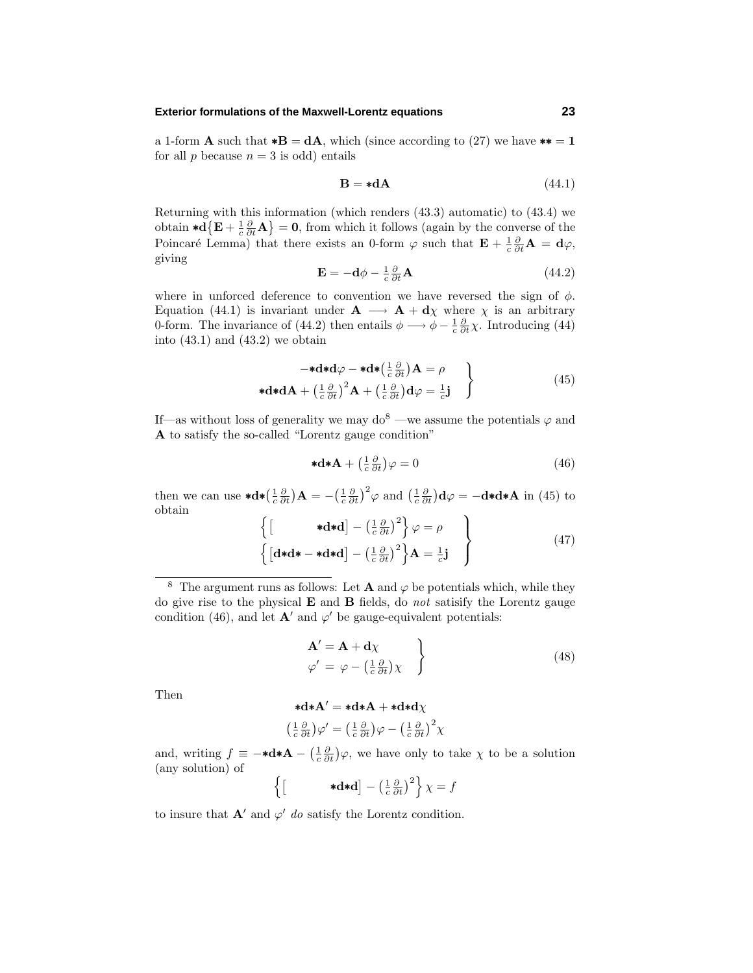## **Exterior formulations of the Maxwell-Lorentz equations 23**

a 1-form **A** such that  $*{\bf B} = d{\bf A}$ , which (since according to (27) we have  $** = 1$ for all  $p$  because  $n = 3$  is odd) entails

$$
\mathbf{B} = * \mathbf{d}\mathbf{A} \tag{44.1}
$$

Returning with this information (which renders (43.3) automatic) to (43.4) we obtain  $\star d\left\{\mathbf{E} + \frac{1}{c}\frac{\partial}{\partial t}\mathbf{A}\right\} = \mathbf{0}$ , from which it follows (again by the converse of the Poincaré Lemma) that there exists an 0-form  $\varphi$  such that  $\mathbf{E} + \frac{1}{c} \frac{\partial}{\partial t} \mathbf{A} = \mathbf{d}\varphi$ , giving

$$
\mathbf{E} = -\mathbf{d}\phi - \frac{1}{c} \frac{\partial}{\partial t} \mathbf{A} \tag{44.2}
$$

where in unforced deference to convention we have reversed the sign of  $\phi$ . Equation (44.1) is invariant under  $\mathbf{A} \longrightarrow \mathbf{A} + \mathbf{d}\chi$  where  $\chi$  is an arbitrary 0-form. The invariance of (44.2) then entails  $\phi \longrightarrow \phi - \frac{1}{c} \frac{\partial}{\partial t} \chi$ . Introducing (44) into  $(43.1)$  and  $(43.2)$  we obtain

$$
-*\mathbf{d}*\mathbf{d}\varphi - *\mathbf{d}*\left(\frac{1}{c}\frac{\partial}{\partial t}\right)\mathbf{A} = \rho
$$
  
\n
$$
*\mathbf{d}*\mathbf{d}\mathbf{A} + \left(\frac{1}{c}\frac{\partial}{\partial t}\right)^2 \mathbf{A} + \left(\frac{1}{c}\frac{\partial}{\partial t}\right)\mathbf{d}\varphi = \frac{1}{c}\mathbf{j}
$$
\n(45)

If—as without loss of generality we may  $d\phi^8$  —we assume the potentials  $\varphi$  and A to satisfy the so-called "Lorentz gauge condition"

$$
\ast \mathbf{d} \ast \mathbf{A} + \left(\frac{1}{c}\frac{\partial}{\partial t}\right)\varphi = 0\tag{46}
$$

then we can use  $\star d \star \left( \frac{1}{c} \frac{\partial}{\partial t} \right) \mathbf{A} = - \left( \frac{1}{c} \frac{\partial}{\partial t} \right)^2 \varphi$  and  $\left( \frac{1}{c} \frac{\partial}{\partial t} \right) d\varphi = -d \star d \star \mathbf{A}$  in (45) to obtain

$$
\left\{ \begin{bmatrix} *d* d \end{bmatrix} - \left(\frac{1}{c} \frac{\partial}{\partial t}\right)^2 \right\} \varphi = \rho \qquad \left\{ \begin{bmatrix} d*d* - *d* d \end{bmatrix} - \left(\frac{1}{c} \frac{\partial}{\partial t}\right)^2 \right\} A = \frac{1}{c} \mathbf{j} \qquad \left\}
$$
\n(47)

<sup>8</sup> The argument runs as follows: Let **A** and  $\varphi$  be potentials which, while they do give rise to the physical  $E$  and  $B$  fields, do not satisify the Lorentz gauge condition (46), and let  $\mathbf{A}'$  and  $\varphi'$  be gauge-equivalent potentials:

$$
\begin{aligned}\n\mathbf{A}' &= \mathbf{A} + \mathbf{d}\chi \\
\varphi' &= \varphi - \left(\frac{1}{c}\frac{\partial}{\partial t}\right)\chi\n\end{aligned}
$$
\n(48)

Then  $\star d \star A' = \star d \star A + \star d \star d \star$ 

$$
\mathbf{A} \mathbf{A} = \mathbf{A} \mathbf{A} + \mathbf{A} \mathbf{A} \mathbf{A}
$$

$$
\left(\frac{1}{c}\frac{\partial}{\partial t}\right)\varphi' = \left(\frac{1}{c}\frac{\partial}{\partial t}\right)\varphi - \left(\frac{1}{c}\frac{\partial}{\partial t}\right)^2 \chi
$$

and, writing  $f \equiv -\star d\star A - \left(\frac{1}{c}\frac{\partial}{\partial t}\right)\varphi$ , we have only to take  $\chi$  to be a solution (anysolution) of

$$
\left\{ \begin{bmatrix} * \mathbf{d} * \mathbf{d} \end{bmatrix} - \left( \frac{1}{c} \frac{\partial}{\partial t} \right)^2 \right\} \chi = f
$$

to insure that  $\mathbf{A}'$  and  $\varphi'$  do satisfy the Lorentz condition.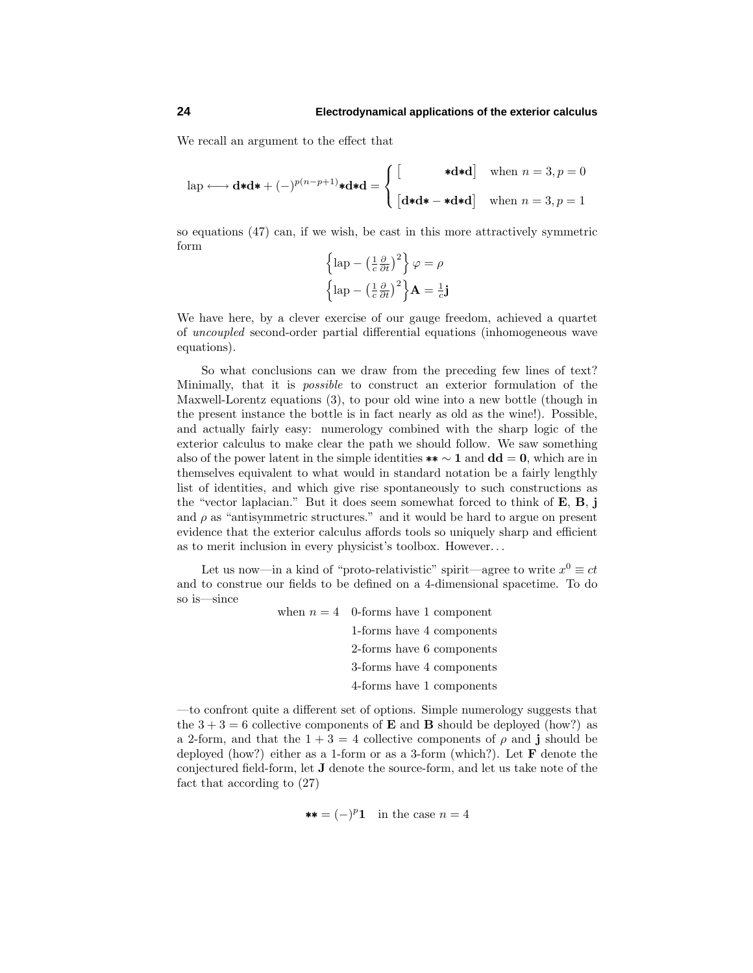We recall an argument to the effect that

$$
\text{lap} \longleftrightarrow \mathbf{d} * \mathbf{d} * + (-)^{p(n-p+1)} * \mathbf{d} * \mathbf{d} = \begin{cases} \begin{bmatrix} * \mathbf{d} * \mathbf{d} \\ [\mathbf{d} * \mathbf{d} * - * \mathbf{d} * \mathbf{d}] \end{bmatrix} & \text{when } n = 3, p = 0 \\ [\mathbf{d} * \mathbf{d} * - * \mathbf{d} * \mathbf{d}] & \text{when } n = 3, p = 1 \end{bmatrix}
$$

so equations  $(47)$  can, if we wish, be cast in this more attractively symmetric form

$$
\left\{\text{lap} - \left(\frac{1}{c}\frac{\partial}{\partial t}\right)^2\right\}\varphi = \rho
$$

$$
\left\{\text{lap} - \left(\frac{1}{c}\frac{\partial}{\partial t}\right)^2\right\}\mathbf{A} = \frac{1}{c}\mathbf{j}
$$

We have here, by a clever exercise of our gauge freedom, achieved a quartet of uncoupled second-order partial differential equations (inhomogeneous wave equations).

So what conclusions can we draw from the preceding few lines of text? Minimally, that it is possible to construct an exterior formulation of the Maxwell-Lorentz equations (3), to pour old wine into a new bottle (though in the present instance the bottle is in fact nearlyas old as the wine!). Possible, and actually fairly easy: numerology combined with the sharp logic of the exterior calculus to make clear the path we should follow. We saw something also of the power latent in the simple identities  $** \sim 1$  and  $dd = 0$ , which are in themselves equivalent to what would in standard notation be a fairly lengthly list of identities, and which give rise spontaneously to such constructions as the "vector laplacian." But it does seem somewhat forced to think of **E**, **B**, **j** and  $\rho$  as "antisymmetric structures." and it would be hard to argue on present evidence that the exterior calculus affords tools so uniquelysharp and efficient as to merit inclusion in everyphysicist's toolbox. However*...*

Let us now—in a kind of "proto-relativistic" spirit—agree to write  $x^0 \equiv ct$ and to construe our fields to be defined on a 4-dimensional spacetime. To do so is—since

| when $n = 4$ 0-forms have 1 component |
|---------------------------------------|
| 1-forms have 4 components             |
| 2-forms have 6 components             |
| 3-forms have 4 components             |
| 4-forms have 1 components             |

—to confront quite a different set of options. Simple numerologysuggests that the  $3 + 3 = 6$  collective components of **E** and **B** should be deployed (how?) as a 2-form, and that the  $1 + 3 = 4$  collective components of  $\rho$  and **j** should be deployed (how?) either as a 1-form or as a 3-form (which?). Let **F** denote the conjectured field-form, let **J** denote the source-form, and let us take note of the fact that according to (27)

$$
** = (-)^p 1
$$
 in the case  $n = 4$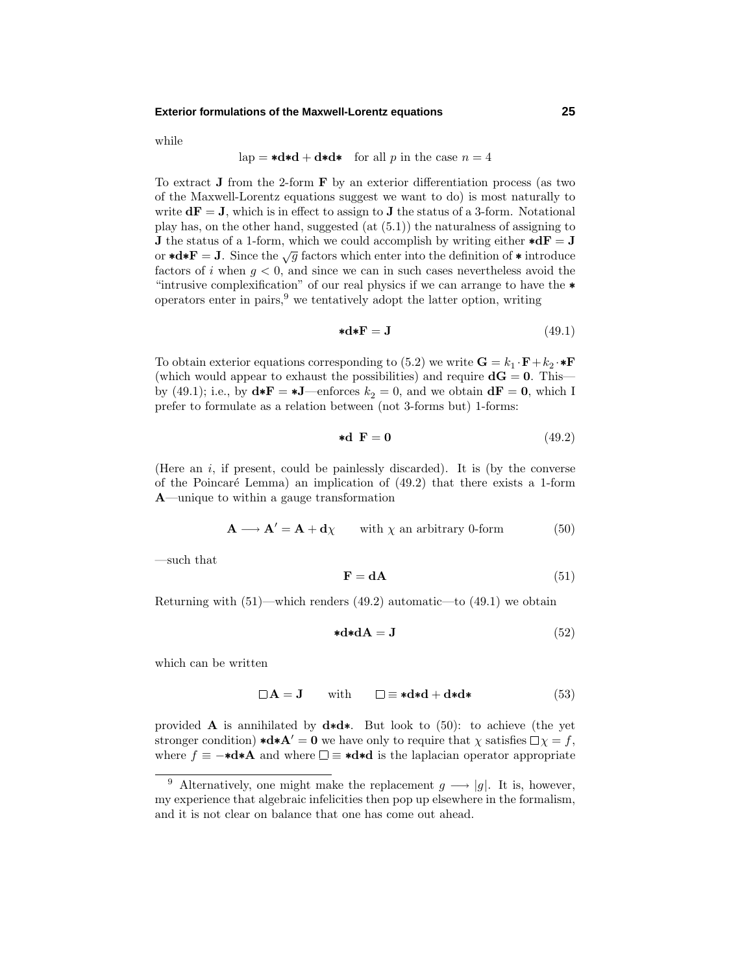## **Exterior formulations of the Maxwell-Lorentz equations 25**

while

$$
lap = *d*d + d*d* \text{ for all } p \text{ in the case } n = 4
$$

To extract **J** from the 2-form  $\bf{F}$  by an exterior differentiation process (as two of the Maxwell-Lorentz equations suggest we want to do) is most naturallyto write  $d\mathbf{F} = \mathbf{J}$ , which is in effect to assign to  $\mathbf{J}$  the status of a 3-form. Notational play has, on the other hand, suggested  $(at (5.1))$  the naturalness of assigning to **J** the status of a 1-form, which we could accomplish by writing either  $\star d\mathbf{F} = \mathbf{J}$ or **\*d\*F** = **J**. Since the  $\sqrt{g}$  factors which enter into the definition of **\*** introduce factors of *i* when  $g < 0$ , and since we can in such cases nevertheless avoid the "intrusive complexification" of our real physics if we can arrange to have the ∗ operators enter in pairs,  $9$  we tentatively adopt the latter option, writing

$$
\ast \mathbf{d} \ast \mathbf{F} = \mathbf{J} \tag{49.1}
$$

To obtain exterior equations corresponding to (5.2) we write  $\mathbf{G} = k_1 \cdot \mathbf{F} + k_2 \cdot \mathbf{F}$ (which would appear to exhaust the possibilities) and require  $dG = 0$ . This by (49.1); i.e., by  $\mathbf{d} \ast \mathbf{F} = \mathbf{d} \mathbf{J}$ —enforces  $k_2 = 0$ , and we obtain  $\mathbf{d} \mathbf{F} = \mathbf{0}$ , which I prefer to formulate as a relation between (not 3-forms but) 1-forms:

$$
\text{*d } \mathbf{F} = \mathbf{0} \tag{49.2}
$$

(Here an  $i$ , if present, could be painlessly discarded). It is (by the converse of the Poincaré Lemma) an implication of  $(49.2)$  that there exists a 1-form **A**—unique to within a gauge transformation

$$
\mathbf{A} \longrightarrow \mathbf{A}' = \mathbf{A} + \mathbf{d}\chi \qquad \text{with } \chi \text{ an arbitrary 0-form} \tag{50}
$$

—such that

$$
\mathbf{F} = \mathbf{d}\mathbf{A} \tag{51}
$$

Returning with  $(51)$ —which renders  $(49.2)$  automatic—to  $(49.1)$  we obtain

$$
\ast \mathbf{d} \ast \mathbf{d} \mathbf{A} = \mathbf{J} \tag{52}
$$

which can be written

$$
\Box A = J \quad \text{with} \quad \Box \equiv *d*d + d*d*\n \tag{53}
$$

provided **A** is annihilated by **d**∗**d**∗. But look to (50): to achieve (the yet stronger condition)  $\star d \star A' = 0$  we have only to require that  $\chi$  satisfies  $\Box \chi = f$ , where  $f \equiv -\ast d \ast A$  and where  $\Box \equiv \ast d \ast d$  is the laplacian operator appropriate

<sup>&</sup>lt;sup>9</sup> Alternatively, one might make the replacement  $g \rightarrow |g|$ . It is, however, myexperience that algebraic infelicities then pop up elsewhere in the formalism, and it is not clear on balance that one has come out ahead.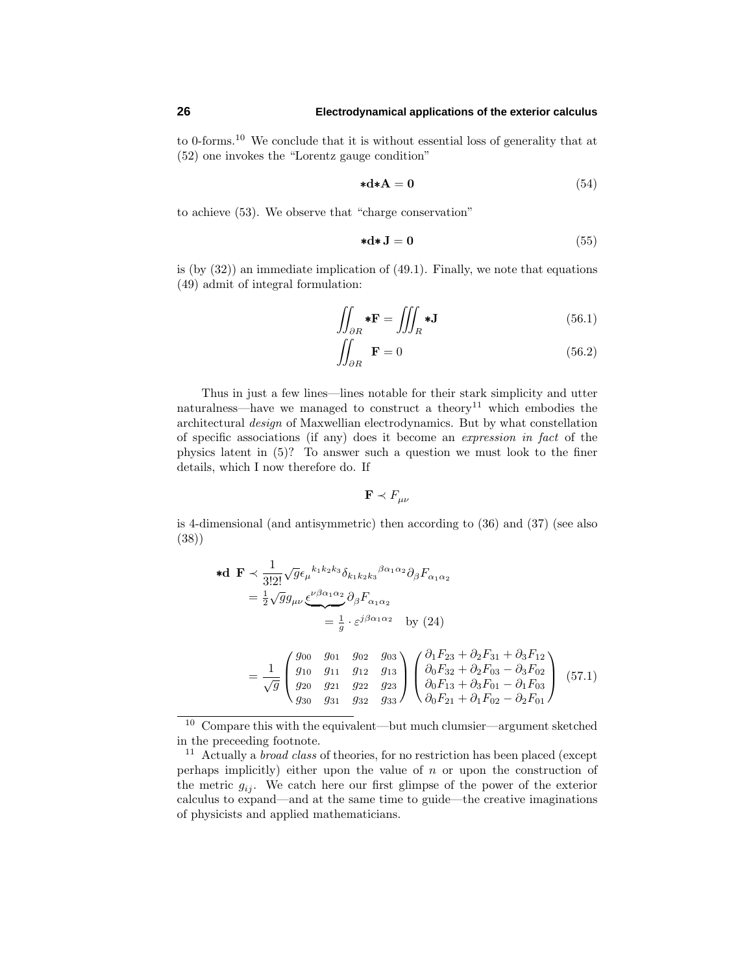to 0-forms.<sup>10</sup> We conclude that it is without essential loss of generality that at (52) one invokes the "Lorentz gauge condition"

$$
\ast \mathbf{d} \ast \mathbf{A} = \mathbf{0} \tag{54}
$$

to achieve (53). We observe that "charge conservation"

$$
\ast \mathbf{d} \ast \mathbf{J} = \mathbf{0} \tag{55}
$$

is (by  $(32)$ ) an immediate implication of  $(49.1)$ . Finally, we note that equations (49) admit of integral formulation:

$$
\iint_{\partial R} * \mathbf{F} = \iiint_{R} * \mathbf{J}
$$
\n(56.1)

$$
\iint_{\partial R} \mathbf{F} = 0 \tag{56.2}
$$

Thus in just a few lines—lines notable for their stark simplicityand utter naturalness—have we managed to construct a theory<sup>11</sup> which embodies the architectural design of Maxwellian electrodynamics. But by what constellation of specific associations (if any) does it become an expression in fact of the physics latent in (5)? To answer such a question we must look to the finer details, which I now therefore do. If

$$
\mathbf{F} \prec F_{\mu\nu}
$$

is 4-dimensional (and antisymmetric) then according to (36) and (37) (see also (38))

$$
\begin{split}\n\ast \mathbf{d} \quad & \mathbf{F} \prec \frac{1}{3!2!} \sqrt{g} \epsilon_{\mu}{}^{k_1 k_2 k_3} \delta_{k_1 k_2 k_3}{}^{\beta \alpha_1 \alpha_2} \partial_{\beta} F_{\alpha_1 \alpha_2} \\
& = \frac{1}{2} \sqrt{g} g_{\mu\nu} \underbrace{\epsilon^{\nu \beta \alpha_1 \alpha_2}}_{\text{F}} \partial_{\beta} F_{\alpha_1 \alpha_2} \\
& = \frac{1}{g} \cdot \varepsilon^{j \beta \alpha_1 \alpha_2} \quad \text{by (24)} \\
& = \frac{1}{\sqrt{g}} \begin{pmatrix} g_{00} & g_{01} & g_{02} & g_{03} \\ g_{10} & g_{11} & g_{12} & g_{13} \\ g_{20} & g_{21} & g_{22} & g_{23} \\ g_{30} & g_{31} & g_{32} & g_{33} \end{pmatrix} \begin{pmatrix} \partial_1 F_{23} + \partial_2 F_{31} + \partial_3 F_{12} \\ \partial_0 F_{32} + \partial_2 F_{03} - \partial_3 F_{02} \\ \partial_0 F_{13} + \partial_3 F_{01} - \partial_1 F_{03} \\ \partial_0 F_{21} + \partial_1 F_{02} - \partial_2 F_{01} \end{pmatrix} \end{split} \tag{57.1}
$$

 $10$  Compare this with the equivalent—but much clumsier—argument sketched in the preceeding footnote.

<sup>&</sup>lt;sup>11</sup> Actually a *broad class* of theories, for no restriction has been placed (except perhaps implicitly) either upon the value of *n* or upon the construction of the metric  $g_{ij}$ . We catch here our first glimpse of the power of the exterior calculus to expand—and at the same time to guide—the creative imaginations of physicists and applied mathematicians.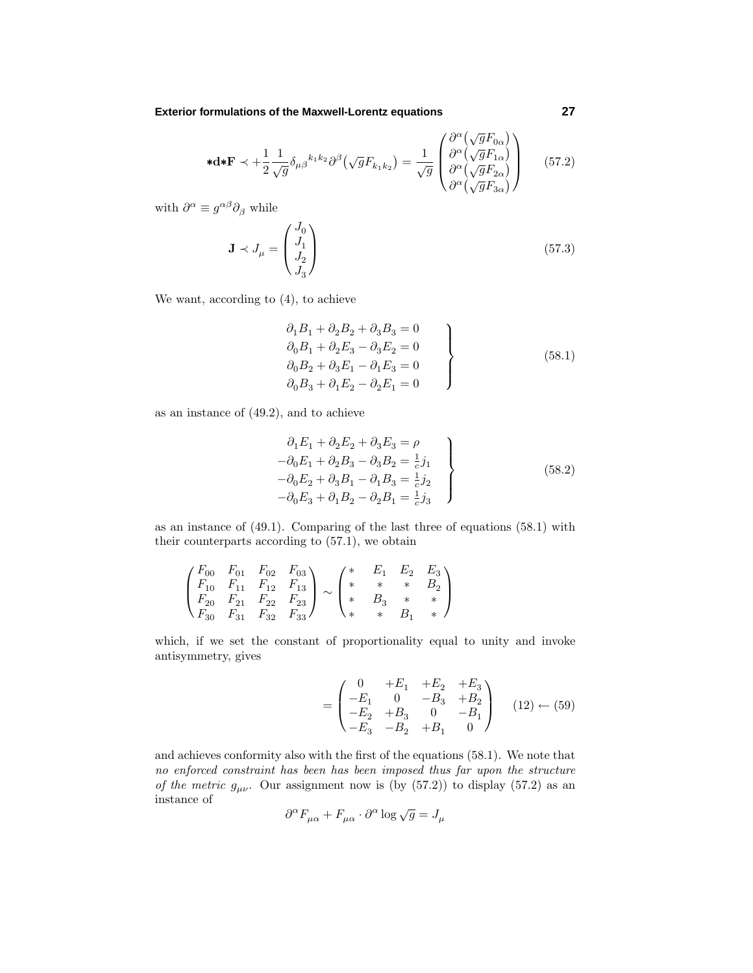**Exterior formulations of the Maxwell-Lorentz equations 27**

$$
\ast \mathbf{d} \ast \mathbf{F} \prec +\frac{1}{2} \frac{1}{\sqrt{g}} \delta_{\mu\beta}{}^{k_1 k_2} \partial^{\beta} (\sqrt{g} F_{k_1 k_2}) = \frac{1}{\sqrt{g}} \begin{pmatrix} \partial^{\alpha} (\sqrt{g} F_{0\alpha}) \\ \partial^{\alpha} (\sqrt{g} F_{1\alpha}) \\ \partial^{\alpha} (\sqrt{g} F_{2\alpha}) \\ \partial^{\alpha} (\sqrt{g} F_{3\alpha}) \end{pmatrix}
$$
(57.2)

with  $\partial^{\alpha} \equiv g^{\alpha\beta}\partial_{\beta}$  while

$$
\mathbf{J} \prec J_{\mu} = \begin{pmatrix} J_0 \\ J_1 \\ J_2 \\ J_3 \end{pmatrix} \tag{57.3}
$$

We want, according to (4), to achieve

$$
\partial_1 B_1 + \partial_2 B_2 + \partial_3 B_3 = 0 \n\partial_0 B_1 + \partial_2 E_3 - \partial_3 E_2 = 0 \n\partial_0 B_2 + \partial_3 E_1 - \partial_1 E_3 = 0 \n\partial_0 B_3 + \partial_1 E_2 - \partial_2 E_1 = 0
$$
\n(58.1)

as an instance of (49.2), and to achieve

$$
\left\{\n\begin{aligned}\n\partial_1 E_1 + \partial_2 E_2 + \partial_3 E_3 &= \rho \\
-\partial_0 E_1 + \partial_2 B_3 - \partial_3 B_2 &= \frac{1}{c} j_1 \\
-\partial_0 E_2 + \partial_3 B_1 - \partial_1 B_3 &= \frac{1}{c} j_2 \\
-\partial_0 E_3 + \partial_1 B_2 - \partial_2 B_1 &= \frac{1}{c} j_3\n\end{aligned}\n\right\}\n\tag{58.2}
$$

as an instance of (49.1). Comparing of the last three of equations (58.1) with their counterparts according to (57.1), we obtain

$$
\begin{pmatrix}\nF_{00} & F_{01} & F_{02} & F_{03} \\
F_{10} & F_{11} & F_{12} & F_{13} \\
F_{20} & F_{21} & F_{22} & F_{23} \\
F_{30} & F_{31} & F_{32} & F_{33}\n\end{pmatrix}\n\sim\n\begin{pmatrix}\n* & F_1 & F_2 & F_3 \\
* & * & * & B_2 \\
* & B_3 & * & * \\
* & * & B_1 & * \n\end{pmatrix}
$$

which, if we set the constant of proportionality equal to unity and invoke antisymmetry, gives

$$
= \begin{pmatrix} 0 & +E_1 & +E_2 & +E_3 \\ -E_1 & 0 & -B_3 & +B_2 \\ -E_2 & +B_3 & 0 & -B_1 \\ -E_3 & -B_2 & +B_1 & 0 \end{pmatrix} (12) \leftarrow (59)
$$

and achieves conformity also with the first of the equations (58.1). We note that no enforced constraint has been has been imposed thus far upon the structure of the metric  $g_{\mu\nu}$ . Our assignment now is (by (57.2)) to display (57.2) as an instance of

$$
\partial^{\alpha} F_{\mu\alpha} + F_{\mu\alpha} \cdot \partial^{\alpha} \log \sqrt{g} = J_{\mu}
$$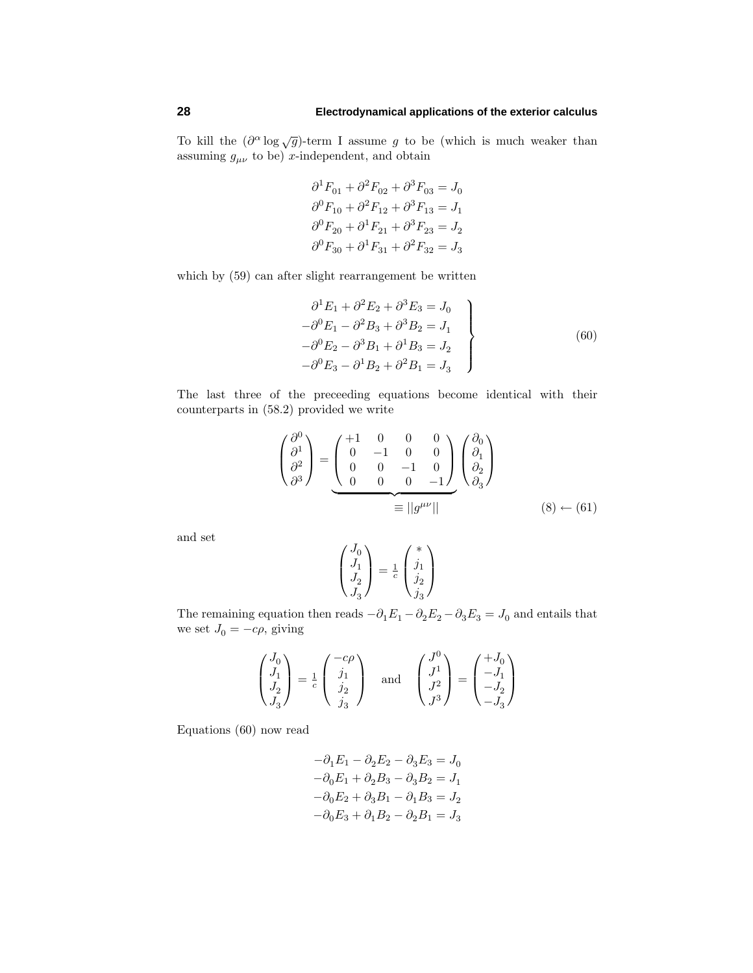To kill the  $(\partial^{\alpha} \log \sqrt{g})$ -term I assume *g* to be (which is much weaker than assuming  $g_{\mu\nu}$  to be) *x*-independent, and obtain

$$
\partial^1 F_{01} + \partial^2 F_{02} + \partial^3 F_{03} = J_0
$$
  

$$
\partial^0 F_{10} + \partial^2 F_{12} + \partial^3 F_{13} = J_1
$$
  

$$
\partial^0 F_{20} + \partial^1 F_{21} + \partial^3 F_{23} = J_2
$$
  

$$
\partial^0 F_{30} + \partial^1 F_{31} + \partial^2 F_{32} = J_3
$$

which by (59) can after slight rearrangement be written

$$
\begin{aligned}\n\partial^1 E_1 + \partial^2 E_2 + \partial^3 E_3 &= J_0 \\
-\partial^0 E_1 - \partial^2 B_3 + \partial^3 B_2 &= J_1 \\
-\partial^0 E_2 - \partial^3 B_1 + \partial^1 B_3 &= J_2 \\
-\partial^0 E_3 - \partial^1 B_2 + \partial^2 B_1 &= J_3\n\end{aligned}\n\tag{60}
$$

The last three of the preceeding equations become identical with their counterparts in (58.2) provided we write

$$
\begin{pmatrix}\n\frac{\partial^0}{\partial^1} \\
\frac{\partial^2}{\partial^3}\n\end{pmatrix} = \underbrace{\begin{pmatrix}\n+1 & 0 & 0 & 0 \\
0 & -1 & 0 & 0 \\
0 & 0 & -1 & 0 \\
0 & 0 & 0 & -1\n\end{pmatrix}}_{\equiv ||g^{\mu\nu}||} \begin{pmatrix}\n\frac{\partial_0}{\partial_1} \\
\frac{\partial_2}{\partial_3}\n\end{pmatrix}
$$
\n
$$
\equiv ||g^{\mu\nu}|| \qquad (8) \leftarrow (61)
$$

and set

$$
\begin{pmatrix} J_0 \\ J_1 \\ J_2 \\ J_3 \end{pmatrix} = \frac{1}{c} \begin{pmatrix} * \\ j_1 \\ j_2 \\ j_3 \end{pmatrix}
$$

The remaining equation then reads  $-\partial_1 E_1 - \partial_2 E_2 - \partial_3 E_3 = J_0$  and entails that we set  $J_0 = -c\rho$ , giving

$$
\begin{pmatrix} J_0 \\ J_1 \\ J_2 \\ J_3 \end{pmatrix} = \frac{1}{c} \begin{pmatrix} -c\rho \\ j_1 \\ j_2 \\ j_3 \end{pmatrix} \quad \text{and} \quad \begin{pmatrix} J^0 \\ J^1 \\ J^2 \\ J^3 \end{pmatrix} = \begin{pmatrix} +J_0 \\ -J_1 \\ -J_2 \\ -J_3 \end{pmatrix}
$$

Equations (60) now read

$$
-\partial_1 E_1 - \partial_2 E_2 - \partial_3 E_3 = J_0
$$
  

$$
-\partial_0 E_1 + \partial_2 B_3 - \partial_3 B_2 = J_1
$$
  

$$
-\partial_0 E_2 + \partial_3 B_1 - \partial_1 B_3 = J_2
$$
  

$$
-\partial_0 E_3 + \partial_1 B_2 - \partial_2 B_1 = J_3
$$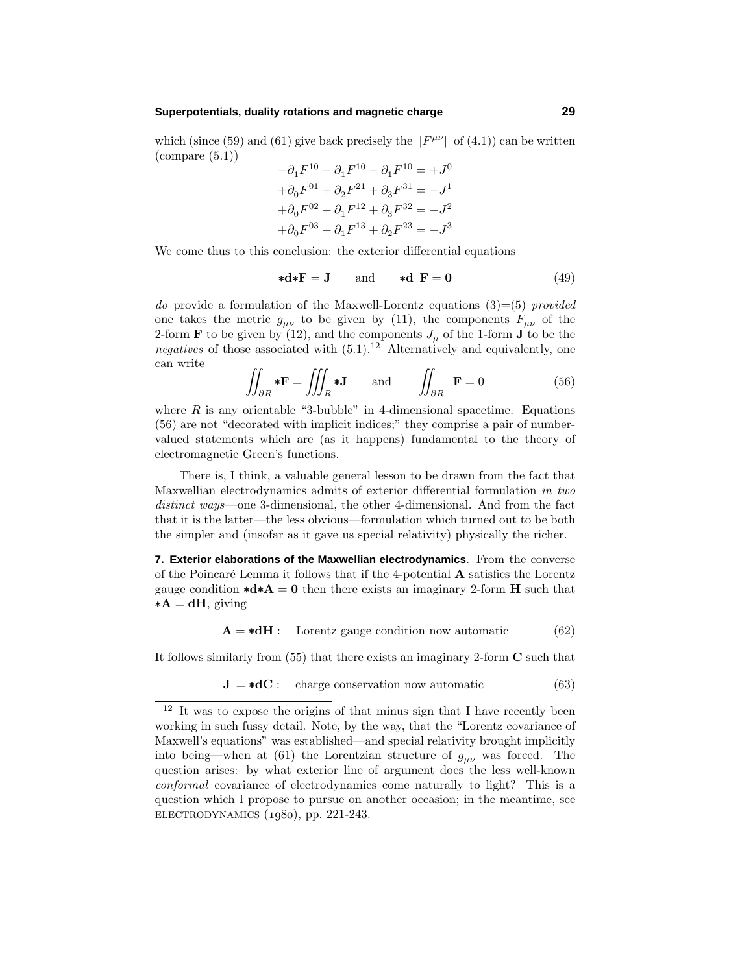## **Superpotentials, duality rotations and magnetic charge 29**

which (since (59) and (61) give back precisely the  $||F^{\mu\nu}||$  of (4.1)) can be written  $\text{(compare (5.1))}$ 

$$
-\partial_1 F^{10} - \partial_1 F^{10} - \partial_1 F^{10} = +J^0
$$
  
+  $\partial_0 F^{01} + \partial_2 F^{21} + \partial_3 F^{31} = -J^1$   
+  $\partial_0 F^{02} + \partial_1 F^{12} + \partial_3 F^{32} = -J^2$   
+  $\partial_0 F^{03} + \partial_1 F^{13} + \partial_2 F^{23} = -J^3$ 

We come thus to this conclusion: the exterior differential equations

$$
\ast \mathbf{d} \ast \mathbf{F} = \mathbf{J} \qquad \text{and} \qquad \ast \mathbf{d} \ \mathbf{F} = \mathbf{0} \tag{49}
$$

do provide a formulation of the Maxwell-Lorentz equations  $(3)=(5)$  provided one takes the metric  $g_{\mu\nu}$  to be given by (11), the components  $F_{\mu\nu}$  of the 2-form **F** to be given by (12), and the components  $J_{\mu}$  of the 1-form **J** to be the negatives of those associated with  $(5.1).^{12}$  Alternatively and equivalently, one can write

$$
\iint_{\partial R} * \mathbf{F} = \iiint_{R} * \mathbf{J} \quad \text{and} \quad \iint_{\partial R} \mathbf{F} = 0 \tag{56}
$$

where  $R$  is any orientable "3-bubble" in 4-dimensional spacetime. Equations (56) are not "decorated with implicit indices;" theycomprise a pair of numbervalued statements which are (as it happens) fundamental to the theoryof electromagnetic Green's functions.

There is, I think, a valuable general lesson to be drawn from the fact that Maxwellian electrodynamics admits of exterior differential formulation in two distinct ways—one 3-dimensional, the other 4-dimensional. And from the fact that it is the latter—the less obvious—formulation which turned out to be both the simpler and (insofar as it gave us special relativity) physically the richer.

**7. Exterior elaborations of the Maxwellian electrodynamics**. From the converse of the Poincar´e Lemma it follows that if the 4-potential **A** satisfies the Lorentz gauge condition  $\star d \star A = 0$  then there exists an imaginary 2-form **H** such that  $*{\bf A} = {\bf d} {\bf H}$ , giving

$$
\mathbf{A} = * \mathbf{d}\mathbf{H} : \quad \text{Lorentz gauge condition now automatic} \tag{62}
$$

It follows similarly from  $(55)$  that there exists an imaginary 2-form **C** such that

$$
\mathbf{J} = *d\mathbf{C} : \quad \text{charge conservation now automatic} \tag{63}
$$

 $12$  It was to expose the origins of that minus sign that I have recently been working in such fussy detail. Note, by the way, that the "Lorentz covariance of Maxwell's equations" was established—and special relativity brought implicitly into being—when at (61) the Lorentzian structure of  $g_{\mu\nu}$  was forced. The question arises: by what exterior line of argument does the less well-known conformal covariance of electrodynamics come naturally to light? This is a question which I propose to pursue on another occasion; in the meantime, see  $ELECTRODYNAMICS (1980), pp. 221-243.$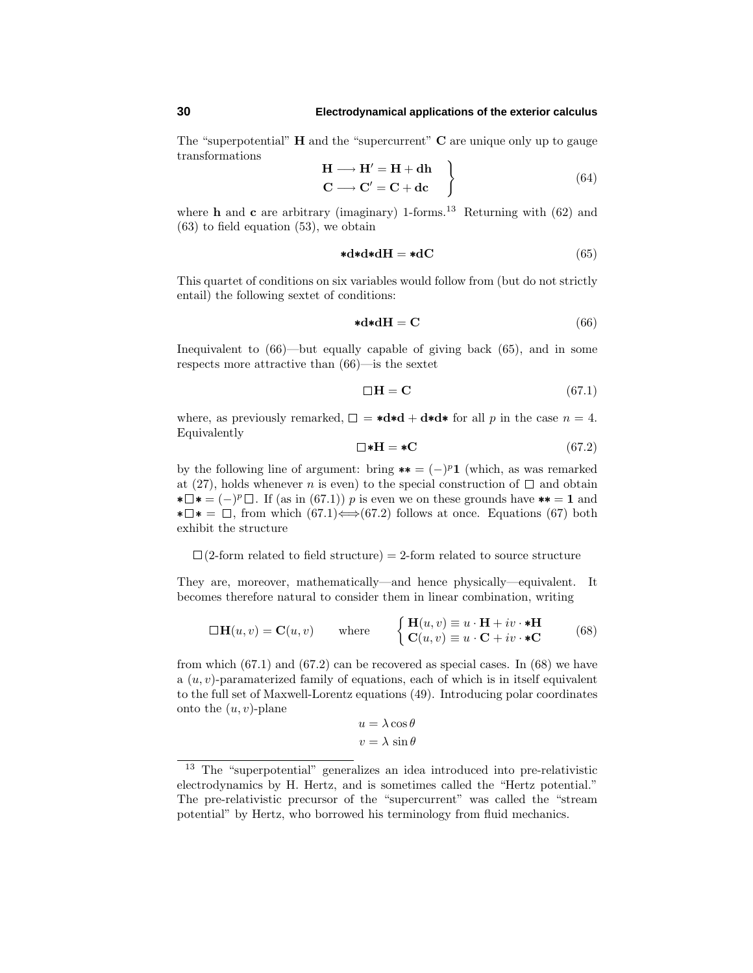The "superpotential" **H** and the "supercurrent" **C** are unique onlyup to gauge transformations

$$
\mathbf{H} \longrightarrow \mathbf{H}' = \mathbf{H} + \mathbf{dh} \n\mathbf{C} \longrightarrow \mathbf{C}' = \mathbf{C} + \mathbf{dc}
$$
\n(64)

where **h** and **c** are arbitrary (imaginary) 1-forms.<sup>13</sup> Returning with (62) and (63) to field equation (53), we obtain

$$
\mathbf{*} \mathbf{d} \mathbf{*} \mathbf{d} \mathbf{H} = \mathbf{*} \mathbf{d} \mathbf{C} \tag{65}
$$

This quartet of conditions on six variables would follow from (but do not strictly entail) the following sextet of conditions:

$$
\mathbf{*d} \mathbf{*d} \mathbf{H} = \mathbf{C} \tag{66}
$$

Inequivalent to  $(66)$ —but equally capable of giving back  $(65)$ , and in some respects more attractive than (66)—is the sextet

$$
\Box \mathbf{H} = \mathbf{C} \tag{67.1}
$$

where, as previously remarked,  $\Box = \star d \star d + d \star d \star$  for all p in the case  $n = 4$ . Equivalently

$$
\Box * \mathbf{H} = * \mathbf{C} \tag{67.2}
$$

by the following line of argument: bring \*\* =  $(-)^p$ **1** (which, as was remarked at (27), holds whenever *n* is even) to the special construction of  $\Box$  and obtain  $\mathbf{L} \mathbf{F} = (-)^p \mathbf{D}$ . If (as in (67.1)) *p* is even we on these grounds have  $\mathbf{F} = \mathbf{1}$  and  $\star \Box \star = \Box$ , from which (67.1)  $\Longleftrightarrow$  (67.2) follows at once. Equations (67) both exhibit the structure

 $\Box$ (2-form related to field structure) = 2-form related to source structure

They are, moreover, mathematically—and hence physically—equivalent. It becomes therefore natural to consider them in linear combination, writing

$$
\Box \mathbf{H}(u, v) = \mathbf{C}(u, v) \quad \text{where} \quad \begin{cases} \mathbf{H}(u, v) \equiv u \cdot \mathbf{H} + iv \cdot \mathbf{*} \mathbf{H} \\ \mathbf{C}(u, v) \equiv u \cdot \mathbf{C} + iv \cdot \mathbf{*} \mathbf{C} \end{cases} \tag{68}
$$

from which  $(67.1)$  and  $(67.2)$  can be recovered as special cases. In  $(68)$  we have a  $(u, v)$ -paramaterized family of equations, each of which is in itself equivalent to the full set of Maxwell-Lorentz equations (49). Introducing polar coordinates onto the (*u, v*)-plane

$$
u = \lambda \cos \theta
$$

$$
v = \lambda \sin \theta
$$

<sup>13</sup> The "superpotential" generalizes an idea introduced into pre-relativistic electrodynamics by H. Hertz, and is sometimes called the "Hertz potential." The pre-relativistic precursor of the "supercurrent" was called the "stream potential" by Hertz, who borrowed his terminology from fluid mechanics.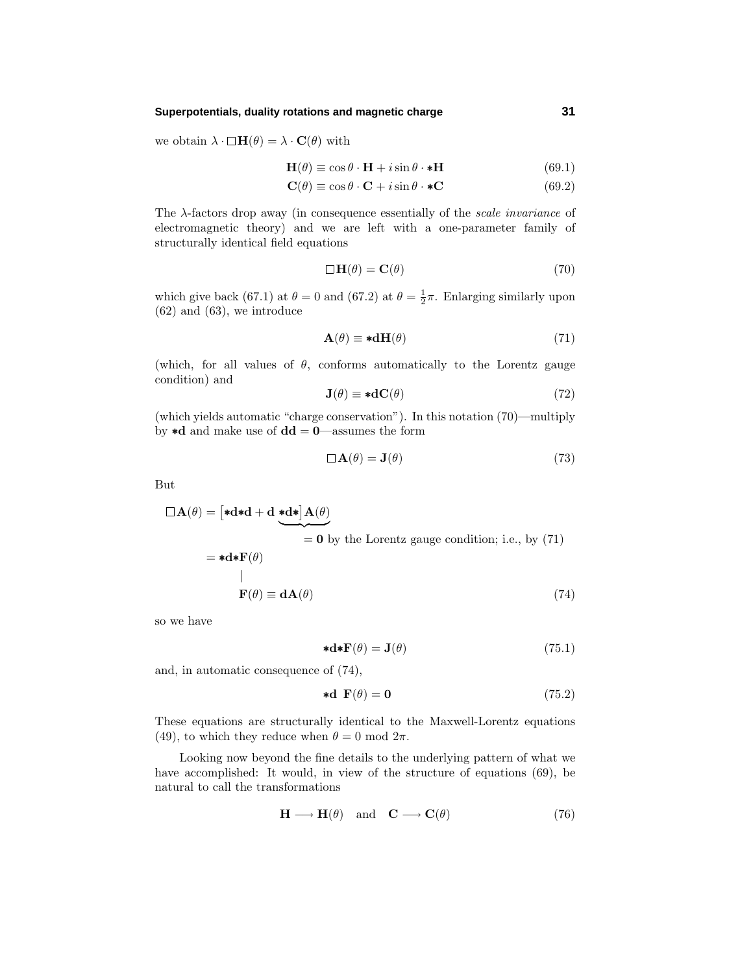## **Superpotentials, duality rotations and magnetic charge 31**

we obtain  $\lambda \cdot \Box \mathbf{H}(\theta) = \lambda \cdot \mathbf{C}(\theta)$  with

$$
\mathbf{H}(\theta) \equiv \cos \theta \cdot \mathbf{H} + i \sin \theta \cdot \mathbf{*} \mathbf{H} \tag{69.1}
$$

$$
\mathbf{C}(\theta) \equiv \cos \theta \cdot \mathbf{C} + i \sin \theta \cdot \mathbf{C} \tag{69.2}
$$

The  $\lambda$ -factors drop away (in consequence essentially of the *scale invariance* of electromagnetic theory) and we are left with a one-parameter family of structurally identical field equations

$$
\Box \mathbf{H}(\theta) = \mathbf{C}(\theta) \tag{70}
$$

which give back (67.1) at  $\theta = 0$  and (67.2) at  $\theta = \frac{1}{2}\pi$ . Enlarging similarly upon  $(62)$  and  $(63)$ , we introduce

$$
\mathbf{A}(\theta) \equiv * \mathbf{d}\mathbf{H}(\theta) \tag{71}
$$

(which, for all values of  $\theta$ , conforms automatically to the Lorentz gauge condition) and

$$
\mathbf{J}(\theta) \equiv * \mathbf{d}\mathbf{C}(\theta) \tag{72}
$$

(which yields automatic "charge conservation"). In this notation (70)—multiply by ∗**d** and make use of **dd** = **0**—assumes the form

$$
\Box \mathbf{A}(\theta) = \mathbf{J}(\theta) \tag{73}
$$

But

$$
\Box \mathbf{A}(\theta) = \left[ * \mathbf{d} * \mathbf{d} + \mathbf{d} \underbrace{* \mathbf{d} *}_{=0} \mathbf{A}(\theta) \right]
$$
  
=  $*\mathbf{d} * \mathbf{F}(\theta)$   
=  $*\mathbf{d} * \mathbf{F}(\theta)$   
=  $\mathbf{d} \mathbf{A}(\theta)$  (74)

so we have

$$
d\mathbf{*} \mathbf{F}(\theta) = \mathbf{J}(\theta) \tag{75.1}
$$

and, in automatic consequence of (74),

$$
\star \mathbf{d} \ \mathbf{F}(\theta) = \mathbf{0} \tag{75.2}
$$

These equations are structurally identical to the Maxwell-Lorentz equations (49), to which they reduce when  $\theta = 0 \text{ mod } 2\pi$ .

Looking now beyond the fine details to the underlying pattern of what we have accomplished: It would, in view of the structure of equations (69), be natural to call the transformations

$$
\mathbf{H} \longrightarrow \mathbf{H}(\theta) \quad \text{and} \quad \mathbf{C} \longrightarrow \mathbf{C}(\theta) \tag{76}
$$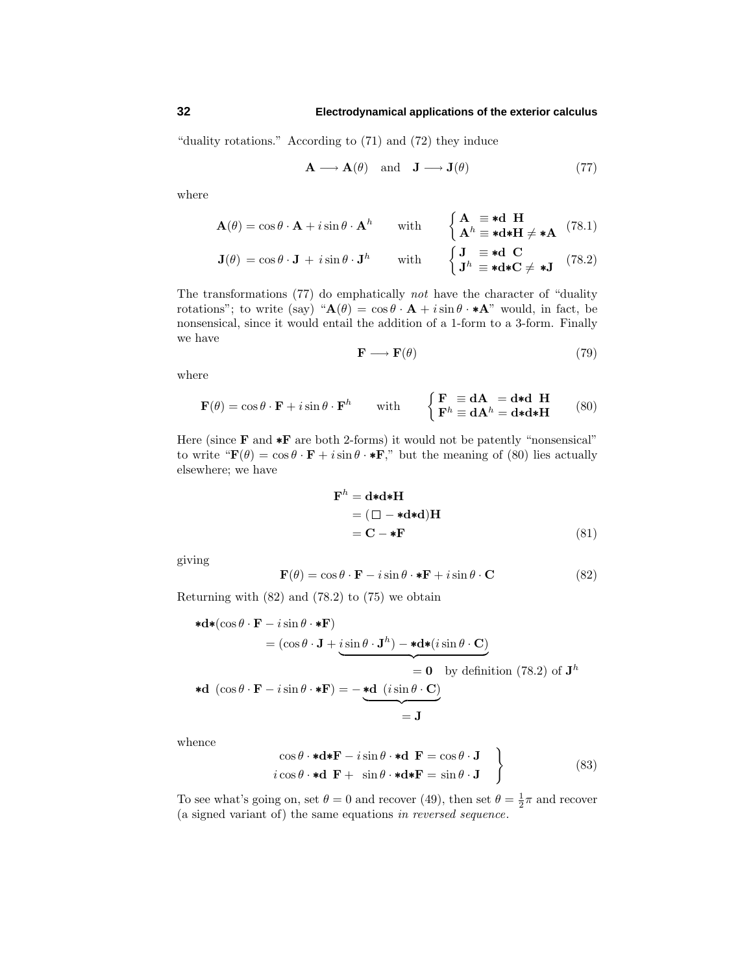"duality rotations." According to  $(71)$  and  $(72)$  they induce

$$
\mathbf{A} \longrightarrow \mathbf{A}(\theta) \quad \text{and} \quad \mathbf{J} \longrightarrow \mathbf{J}(\theta) \tag{77}
$$

where

$$
\mathbf{A}(\theta) = \cos \theta \cdot \mathbf{A} + i \sin \theta \cdot \mathbf{A}^h \quad \text{with} \quad \begin{cases} \mathbf{A} \equiv \mathbf{A} \mathbf{H} \\ \mathbf{A}^h \equiv \mathbf{A} \mathbf{A} \mathbf{H} \neq \mathbf{A} \end{cases} (78.1)
$$

$$
\mathbf{J}(\theta) = \cos \theta \cdot \mathbf{J} + i \sin \theta \cdot \mathbf{J}^h \quad \text{with} \quad \begin{cases} \mathbf{J} \equiv \mathbf{A} \mathbf{C} \\ \mathbf{J}^h \equiv \mathbf{A} \mathbf{A} \mathbf{C} \neq \mathbf{J} \end{cases} (78.2)
$$

The transformations (77) do emphatically not have the character of "duality rotations"; to write (say) " $\mathbf{A}(\theta) = \cos \theta \cdot \mathbf{A} + i \sin \theta \cdot \mathbf{A}$ " would, in fact, be nonsensical, since it would entail the addition of a 1-form to a 3-form. Finally we have

$$
\mathbf{F} \longrightarrow \mathbf{F}(\theta) \tag{79}
$$

where

$$
\mathbf{F}(\theta) = \cos \theta \cdot \mathbf{F} + i \sin \theta \cdot \mathbf{F}^h \quad \text{with} \quad \begin{cases} \mathbf{F} \equiv \mathbf{d}\mathbf{A} = \mathbf{d} * \mathbf{d} \ \mathbf{H} \\ \mathbf{F}^h \equiv \mathbf{d}\mathbf{A}^h = \mathbf{d} * \mathbf{d} * \mathbf{H} \end{cases} \tag{80}
$$

Here (since **F** and **∗F** are both 2-forms) it would not be patently "nonsensical" to write " $\mathbf{F}(\theta) = \cos \theta \cdot \mathbf{F} + i \sin \theta \cdot \mathbf{F}$ ," but the meaning of (80) lies actually elsewhere; we have

$$
\mathbf{F}^{h} = \mathbf{d} * \mathbf{d} * \mathbf{H}
$$
  
=  $(\Box - * \mathbf{d} * \mathbf{d}) \mathbf{H}$   
=  $\mathbf{C} - * \mathbf{F}$  (81)

giving

$$
\mathbf{F}(\theta) = \cos \theta \cdot \mathbf{F} - i \sin \theta \cdot \mathbf{*} \mathbf{F} + i \sin \theta \cdot \mathbf{C}
$$
 (82)

Returning with (82) and (78.2) to (75) we obtain

$$
\begin{aligned}\n\ast \mathbf{d} \ast (\cos \theta \cdot \mathbf{F} - i \sin \theta \cdot \mathbf{F}) \\
&= (\cos \theta \cdot \mathbf{J} + i \sin \theta \cdot \mathbf{J}^h) - \mathbf{d} \ast (i \sin \theta \cdot \mathbf{C}) \\
&= \mathbf{0} \quad \text{by definition (78.2) of } \mathbf{J}^h \\
\ast \mathbf{d} \ (\cos \theta \cdot \mathbf{F} - i \sin \theta \cdot \mathbf{F}) &= -\underbrace{\ast \mathbf{d} \ (i \sin \theta \cdot \mathbf{C})}_{\mathbf{J}} \\
&= \mathbf{J}\n\end{aligned}
$$

whence

$$
\begin{array}{c}\n\cos\theta \cdot \star \mathbf{d} * \mathbf{F} - i \sin\theta \cdot \star \mathbf{d} \ \mathbf{F} = \cos\theta \cdot \mathbf{J} \\
i \cos\theta \cdot \star \mathbf{d} \ \mathbf{F} + \sin\theta \cdot \star \mathbf{d} * \mathbf{F} = \sin\theta \cdot \mathbf{J}\n\end{array}
$$
\n(83)

To see what's going on, set  $\theta = 0$  and recover (49), then set  $\theta = \frac{1}{2}\pi$  and recover (a signed variant of) the same equations in reversed sequence.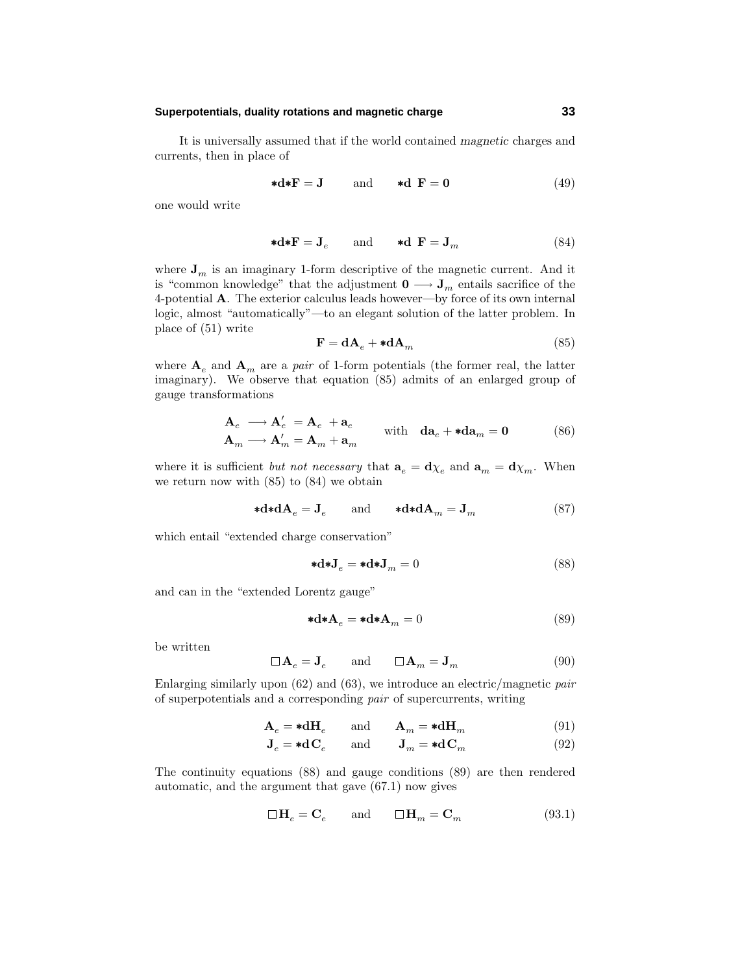## **Superpotentials, duality rotations and magnetic charge 33**

It is universallyassumed that if the world contained *magnetic* charges and currents, then in place of

$$
\ast \mathbf{d} \ast \mathbf{F} = \mathbf{J} \qquad \text{and} \qquad \ast \mathbf{d} \ \mathbf{F} = \mathbf{0} \tag{49}
$$

one would write

$$
\ast \mathbf{d} \ast \mathbf{F} = \mathbf{J}_e \qquad \text{and} \qquad \ast \mathbf{d} \ \mathbf{F} = \mathbf{J}_m \tag{84}
$$

where  $J_m$  is an imaginary 1-form descriptive of the magnetic current. And it is "common knowledge" that the adjustment  $\mathbf{0} \longrightarrow \mathbf{J}_m$  entails sacrifice of the 4-potential  $\bf{A}$ . The exterior calculus leads however—by force of its own internal logic, almost "automatically"—to an elegant solution of the latter problem. In place of (51) write

$$
\mathbf{F} = \mathbf{d}\mathbf{A}_e + \mathbf{*d}\mathbf{A}_m \tag{85}
$$

where  $A_e$  and  $A_m$  are a *pair* of 1-form potentials (the former real, the latter imaginary). We observe that equation (85) admits of an enlarged group of gauge transformations

$$
\begin{aligned}\n\mathbf{A}_e &\longrightarrow \mathbf{A}_e' &= \mathbf{A}_e + \mathbf{a}_e \\
\mathbf{A}_m &\longrightarrow \mathbf{A}_m' &= \mathbf{A}_m + \mathbf{a}_m\n\end{aligned}\n\quad \text{with} \quad \mathbf{d}\mathbf{a}_e + \mathbf{*d}\mathbf{a}_m = \mathbf{0}\n\tag{86}
$$

where it is sufficient *but not necessary* that  $\mathbf{a}_e = \mathbf{d}\chi_e$  and  $\mathbf{a}_m = \mathbf{d}\chi_m$ . When we return now with (85) to (84) we obtain

$$
\ast \mathbf{d} \ast \mathbf{d} \mathbf{A}_e = \mathbf{J}_e \quad \text{and} \quad \ast \mathbf{d} \ast \mathbf{d} \mathbf{A}_m = \mathbf{J}_m \tag{87}
$$

which entail "extended charge conservation"

$$
\ast \mathbf{d} \ast \mathbf{J}_e = \ast \mathbf{d} \ast \mathbf{J}_m = 0 \tag{88}
$$

and can in the "extended Lorentz gauge"

$$
\ast \mathbf{d} \ast \mathbf{A}_e = \ast \mathbf{d} \ast \mathbf{A}_m = 0 \tag{89}
$$

be written

$$
\Box \mathbf{A}_e = \mathbf{J}_e \quad \text{and} \quad \Box \mathbf{A}_m = \mathbf{J}_m \tag{90}
$$

Enlarging similarly upon  $(62)$  and  $(63)$ , we introduce an electric/magnetic pair of superpotentials and a corresponding pair of supercurrents, writing

$$
\mathbf{A}_e = * \mathbf{d} \mathbf{H}_e \quad \text{and} \quad \mathbf{A}_m = * \mathbf{d} \mathbf{H}_m \tag{91}
$$

$$
\mathbf{J}_e = * \mathbf{d}\mathbf{C}_e \quad \text{and} \quad \mathbf{J}_m = * \mathbf{d}\mathbf{C}_m \tag{92}
$$

The continuityequations (88) and gauge conditions (89) are then rendered automatic, and the argument that gave (67.1) now gives

$$
\Box\, {\bf H}_e = {\bf C}_e \qquad\text{and}\qquad \Box\, {\bf H}_m = {\bf C}_m \eqno(93.1)
$$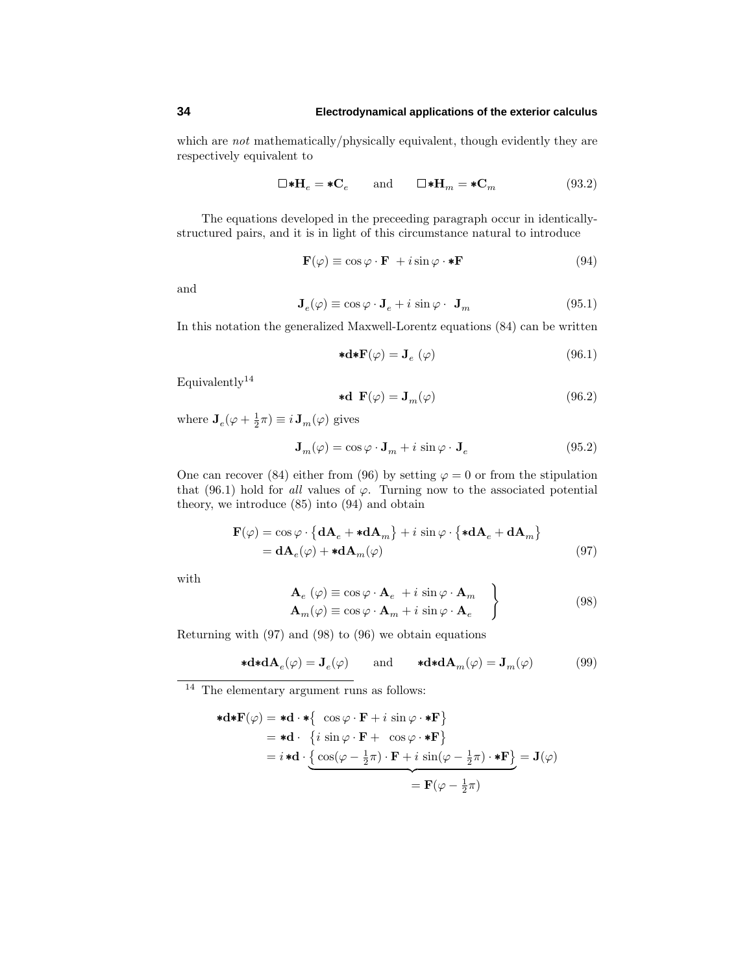which are *not* mathematically/physically equivalent, though evidently they are respectively equivalent to

$$
\square \ast \mathbf{H}_e = \ast \mathbf{C}_e \qquad \text{and} \qquad \square \ast \mathbf{H}_m = \ast \mathbf{C}_m \eqno{(93.2)}
$$

The equations developed in the preceeding paragraph occur in identicallystructured pairs, and it is in light of this circumstance natural to introduce

$$
\mathbf{F}(\varphi) \equiv \cos \varphi \cdot \mathbf{F} + i \sin \varphi \cdot * \mathbf{F} \tag{94}
$$

and

$$
\mathbf{J}_e(\varphi) \equiv \cos \varphi \cdot \mathbf{J}_e + i \sin \varphi \cdot \mathbf{J}_m \tag{95.1}
$$

In this notation the generalized Maxwell-Lorentz equations (84) can be written

$$
\mathbf{*d} \mathbf{*F}(\varphi) = \mathbf{J}_e \ (\varphi) \tag{96.1}
$$

Equivalently<sup>14</sup>

$$
\mathbf{*d} \ \mathbf{F}(\varphi) = \mathbf{J}_m(\varphi) \tag{96.2}
$$

where  $\mathbf{J}_e(\varphi + \frac{1}{2}\pi) \equiv i \mathbf{J}_m(\varphi)$  gives

$$
\mathbf{J}_m(\varphi) = \cos\varphi \cdot \mathbf{J}_m + i\sin\varphi \cdot \mathbf{J}_e \tag{95.2}
$$

One can recover (84) either from (96) by setting  $\varphi = 0$  or from the stipulation that (96.1) hold for *all* values of  $\varphi$ . Turning now to the associated potential theory, we introduce (85) into (94) and obtain

$$
\mathbf{F}(\varphi) = \cos \varphi \cdot \{ \mathbf{d} \mathbf{A}_e + \mathbf{*} \mathbf{d} \mathbf{A}_m \} + i \sin \varphi \cdot \{ \mathbf{*} \mathbf{d} \mathbf{A}_e + \mathbf{d} \mathbf{A}_m \}
$$
  
=  $\mathbf{d} \mathbf{A}_e(\varphi) + \mathbf{*} \mathbf{d} \mathbf{A}_m(\varphi)$  (97)

with

$$
\mathbf{A}_{e} \ (\varphi) \equiv \cos \varphi \cdot \mathbf{A}_{e} + i \sin \varphi \cdot \mathbf{A}_{m} \n\mathbf{A}_{m}(\varphi) \equiv \cos \varphi \cdot \mathbf{A}_{m} + i \sin \varphi \cdot \mathbf{A}_{e} \qquad (98)
$$

Returning with (97) and (98) to (96) we obtain equations

$$
\ast \mathbf{d} \ast \mathbf{d} \mathbf{A}_e(\varphi) = \mathbf{J}_e(\varphi) \quad \text{and} \quad \ast \mathbf{d} \ast \mathbf{d} \mathbf{A}_m(\varphi) = \mathbf{J}_m(\varphi) \tag{99}
$$

 $^{14}\,$  The elementary argument runs as follows:

$$
\begin{aligned}\n\ast \mathbf{d} \ast \mathbf{F}(\varphi) &= \ast \mathbf{d} \cdot \ast \left\{ \begin{array}{l} \cos \varphi \cdot \mathbf{F} + i \, \sin \varphi \cdot \ast \mathbf{F} \right\} \\
&= \ast \mathbf{d} \cdot \left\{ i \, \sin \varphi \cdot \mathbf{F} + \, \cos \varphi \cdot \ast \mathbf{F} \right\} \\
&= i \ast \mathbf{d} \cdot \left\{ \frac{\cos(\varphi - \frac{1}{2}\pi) \cdot \mathbf{F} + i \, \sin(\varphi - \frac{1}{2}\pi) \cdot \ast \mathbf{F} \right\}}{\mathbf{F}(\varphi - \frac{1}{2}\pi)} = \mathbf{J}(\varphi) \\
&= \mathbf{F}(\varphi - \frac{1}{2}\pi)\n\end{array}\n\end{aligned}
$$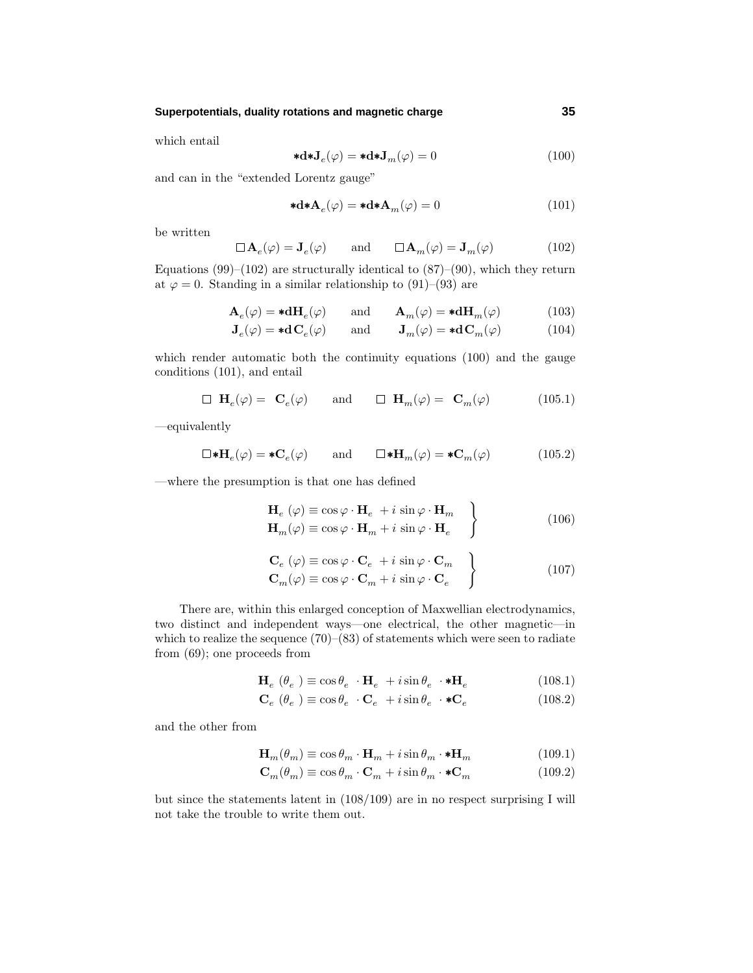## **Superpotentials, duality rotations and magnetic charge 35**

which entail

$$
\mathbf{*d}\mathbf{*J}_e(\varphi) = \mathbf{*d}\mathbf{*J}_m(\varphi) = 0 \tag{100}
$$

and can in the "extended Lorentz gauge"

$$
\mathbf{*d} \mathbf{*A}_e(\varphi) = \mathbf{*d} \mathbf{*A}_m(\varphi) = 0 \tag{101}
$$

be written

$$
\Box \mathbf{A}_e(\varphi) = \mathbf{J}_e(\varphi) \quad \text{and} \quad \Box \mathbf{A}_m(\varphi) = \mathbf{J}_m(\varphi) \quad (102)
$$

Equations  $(99)$ – $(102)$  are structurally identical to  $(87)$ – $(90)$ , which they return at  $\varphi = 0$ . Standing in a similar relationship to (91)–(93) are

$$
\mathbf{A}_e(\varphi) = * \mathbf{d} \mathbf{H}_e(\varphi) \quad \text{and} \quad \mathbf{A}_m(\varphi) = * \mathbf{d} \mathbf{H}_m(\varphi) \quad (103)
$$

$$
\mathbf{J}_e(\varphi) = * \mathbf{d}\mathbf{C}_e(\varphi) \quad \text{and} \quad \mathbf{J}_m(\varphi) = * \mathbf{d}\mathbf{C}_m(\varphi) \quad (104)
$$

which render automatic both the continuity equations (100) and the gauge conditions (101), and entail

$$
\Box \mathbf{H}_e(\varphi) = \mathbf{C}_e(\varphi) \quad \text{and} \quad \Box \mathbf{H}_m(\varphi) = \mathbf{C}_m(\varphi) \quad (105.1)
$$

—equivalently

$$
\Box * \mathbf{H}_e(\varphi) = * \mathbf{C}_e(\varphi) \quad \text{and} \quad \Box * \mathbf{H}_m(\varphi) = * \mathbf{C}_m(\varphi) \quad (105.2)
$$

—where the presumption is that one has defined

$$
\mathbf{H}_{e} \ (\varphi) \equiv \cos \varphi \cdot \mathbf{H}_{e} + i \sin \varphi \cdot \mathbf{H}_{m} \n\mathbf{H}_{m}(\varphi) \equiv \cos \varphi \cdot \mathbf{H}_{m} + i \sin \varphi \cdot \mathbf{H}_{e} \qquad (106)
$$

$$
\begin{aligned}\n\mathbf{C}_{e} \ (\varphi) &\equiv \cos \varphi \cdot \mathbf{C}_{e} + i \, \sin \varphi \cdot \mathbf{C}_{m} \\
\mathbf{C}_{m}(\varphi) &\equiv \cos \varphi \cdot \mathbf{C}_{m} + i \, \sin \varphi \cdot \mathbf{C}_{e}\n\end{aligned}\n\tag{107}
$$

There are, within this enlarged conception of Maxwellian electrodynamics, two distinct and independent ways—one electrical, the other magnetic—in which to realize the sequence  $(70)$ – $(83)$  of statements which were seen to radiate from (69); one proceeds from

$$
\mathbf{H}_{e} \ (\theta_{e}) \equiv \cos \theta_{e} \cdot \mathbf{H}_{e} + i \sin \theta_{e} \cdot \mathbf{*} \mathbf{H}_{e} \tag{108.1}
$$

$$
\mathbf{C}_e \ (\theta_e) \equiv \cos \theta_e \cdot \mathbf{C}_e + i \sin \theta_e \cdot \mathbf{C}_e \tag{108.2}
$$

and the other from

$$
\mathbf{H}_{m}(\theta_{m}) \equiv \cos \theta_{m} \cdot \mathbf{H}_{m} + i \sin \theta_{m} \cdot \mathbf{*} \mathbf{H}_{m} \tag{109.1}
$$

$$
\mathbf{C}_{m}(\theta_{m}) \equiv \cos \theta_{m} \cdot \mathbf{C}_{m} + i \sin \theta_{m} \cdot \mathbf{C}_{m} \tag{109.2}
$$

but since the statements latent in (108/109) are in no respect surprising I will not take the trouble to write them out.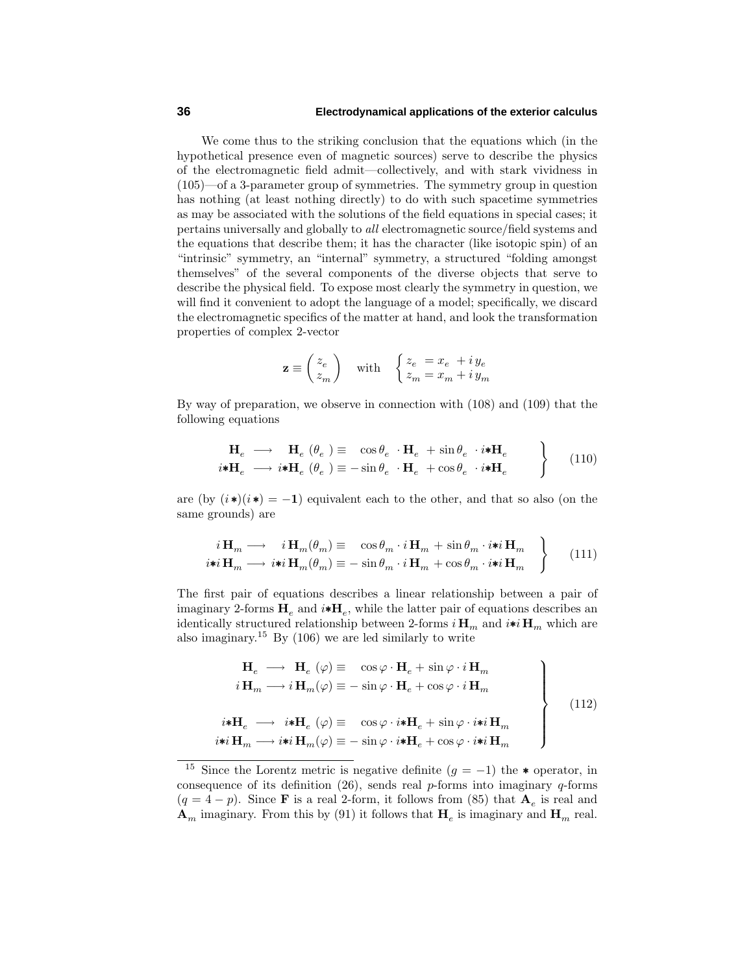#### **36 Electrodynamical applications of the exterior calculus**

We come thus to the striking conclusion that the equations which (in the hypothetical presence even of magnetic sources) serve to describe the physics of the electromagnetic field admit—collectively, and with stark vividness in (105)—of a 3-parameter group of symmetries. The symmetry group in question has nothing (at least nothing directly) to do with such spacetime symmetries as maybe associated with the solutions of the field equations in special cases; it pertains universally and globally to all electromagnetic source/field systems and the equations that describe them; it has the character (like isotopic spin) of an "intrinsic" symmetry, an "internal" symmetry, a structured "folding amongst themselves" of the several components of the diverse objects that serve to describe the physical field. To expose most clearly the symmetry in question, we will find it convenient to adopt the language of a model; specifically, we discard the electromagnetic specifics of the matter at hand, and look the transformation properties of complex 2-vector

$$
\mathbf{z} \equiv \begin{pmatrix} z_e \\ z_m \end{pmatrix} \quad \text{with} \quad \begin{cases} z_e \; = x_e \; + i \, y_e \\ z_m \; = x_m + i \, y_m \end{cases}
$$

Bywayof preparation, we observe in connection with (108) and (109) that the following equations

$$
\begin{array}{c}\n\mathbf{H}_{e} \longrightarrow \mathbf{H}_{e} \ (\theta_{e}) \equiv \cos \theta_{e} \cdot \mathbf{H}_{e} + \sin \theta_{e} \cdot i \ast \mathbf{H}_{e} \\
i \ast \mathbf{H}_{e} \longrightarrow i \ast \mathbf{H}_{e} \ (\theta_{e}) \equiv -\sin \theta_{e} \cdot \mathbf{H}_{e} + \cos \theta_{e} \cdot i \ast \mathbf{H}_{e}\n\end{array}
$$
\n(110)

are (by  $(i*)$ ( $i$  \*) $(= -1)$  equivalent each to the other, and that so also (on the same grounds) are

$$
i\mathbf{H}_m \longrightarrow i\mathbf{H}_m(\theta_m) \equiv \cos \theta_m \cdot i\mathbf{H}_m + \sin \theta_m \cdot i \ast i\mathbf{H}_m
$$
  

$$
i \ast i\mathbf{H}_m \longrightarrow i \ast i\mathbf{H}_m(\theta_m) \equiv -\sin \theta_m \cdot i\mathbf{H}_m + \cos \theta_m \cdot i \ast i\mathbf{H}_m
$$
 (111)

The first pair of equations describes a linear relationship between a pair of imaginary 2-forms  $H_e$  and  $i * H_e$ , while the latter pair of equations describes an identically structured relationship between 2-forms  $i$  **H**<sub>*m*</sub> and  $i$ **\*** $i$  **H**<sub>*m*</sub> which are also imaginary.<sup>15</sup> By (106) we are led similarly to write

$$
\mathbf{H}_e \longrightarrow \mathbf{H}_e \ (\varphi) \equiv \cos \varphi \cdot \mathbf{H}_e + \sin \varphi \cdot i \mathbf{H}_m
$$
\n
$$
i \mathbf{H}_m \longrightarrow i \mathbf{H}_m(\varphi) \equiv -\sin \varphi \cdot \mathbf{H}_e + \cos \varphi \cdot i \mathbf{H}_m
$$
\n
$$
i \ast \mathbf{H}_e \longrightarrow i \ast \mathbf{H}_e \ (\varphi) \equiv \cos \varphi \cdot i \ast \mathbf{H}_e + \sin \varphi \cdot i \ast i \mathbf{H}_m
$$
\n
$$
i \ast i \mathbf{H}_m \longrightarrow i \ast i \mathbf{H}_m(\varphi) \equiv -\sin \varphi \cdot i \ast \mathbf{H}_e + \cos \varphi \cdot i \ast i \mathbf{H}_m
$$
\n(112)

<sup>&</sup>lt;sup>15</sup> Since the Lorentz metric is negative definite  $(g = -1)$  the  $*$  operator, in consequence of its definition (26), sends real *p*-forms into imaginary *q*-forms  $(q = 4 - p)$ . Since **F** is a real 2-form, it follows from (85) that  $A_e$  is real and  $\mathbf{A}_m$  imaginary. From this by (91) it follows that  $\mathbf{H}_e$  is imaginary and  $\mathbf{H}_m$  real.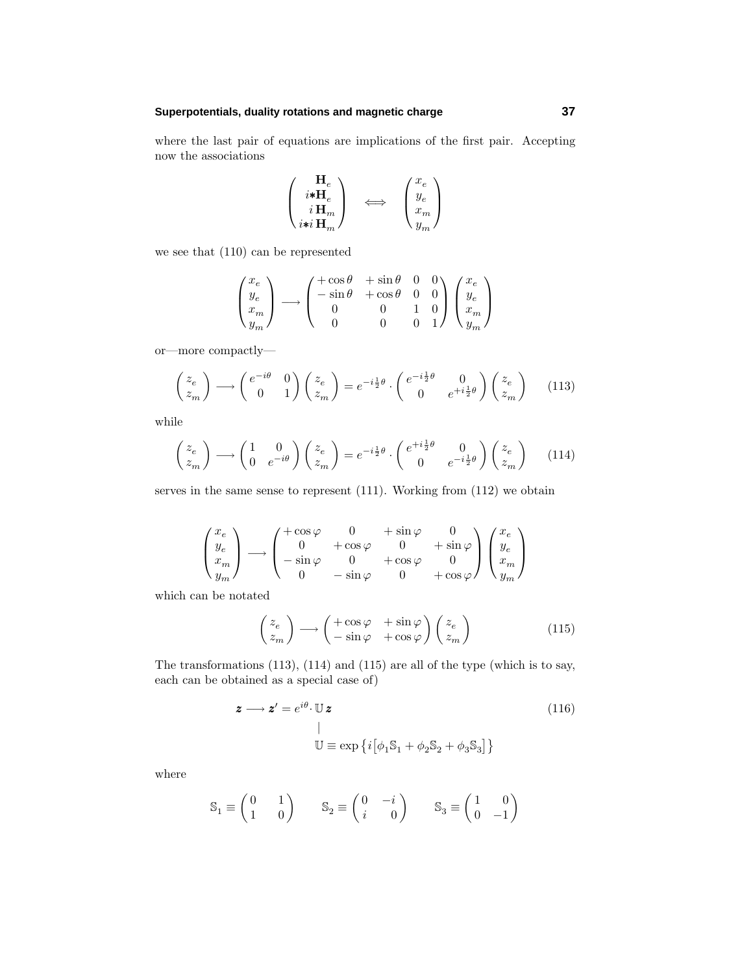## **Superpotentials, duality rotations and magnetic charge 37**

where the last pair of equations are implications of the first pair. Accepting now the associations

$$
\begin{pmatrix}\n\mathbf{H}_e \\
i \mathbf{*} \mathbf{H}_e \\
i \mathbf{H}_m \\
i \mathbf{*} i \mathbf{H}_m\n\end{pmatrix}\n\iff\n\begin{pmatrix}\nx_e \\
y_e \\
x_m \\
y_m\n\end{pmatrix}
$$

we see that (110) can be represented

$$
\begin{pmatrix} x_e \\ y_e \\ x_m \\ y_m \end{pmatrix} \longrightarrow \begin{pmatrix} +\cos\theta & +\sin\theta & 0 & 0 \\ -\sin\theta & +\cos\theta & 0 & 0 \\ 0 & 0 & 1 & 0 \\ 0 & 0 & 0 & 1 \end{pmatrix} \begin{pmatrix} x_e \\ y_e \\ x_m \\ y_m \end{pmatrix}
$$

or—more compactly—

$$
\begin{pmatrix} z_e \\ z_m \end{pmatrix} \longrightarrow \begin{pmatrix} e^{-i\theta} & 0 \\ 0 & 1 \end{pmatrix} \begin{pmatrix} z_e \\ z_m \end{pmatrix} = e^{-i\frac{1}{2}\theta} \cdot \begin{pmatrix} e^{-i\frac{1}{2}\theta} & 0 \\ 0 & e^{+i\frac{1}{2}\theta} \end{pmatrix} \begin{pmatrix} z_e \\ z_m \end{pmatrix}
$$
 (113)

while

$$
\begin{pmatrix} z_e \\ z_m \end{pmatrix} \longrightarrow \begin{pmatrix} 1 & 0 \\ 0 & e^{-i\theta} \end{pmatrix} \begin{pmatrix} z_e \\ z_m \end{pmatrix} = e^{-i\frac{1}{2}\theta} \cdot \begin{pmatrix} e^{+i\frac{1}{2}\theta} & 0 \\ 0 & e^{-i\frac{1}{2}\theta} \end{pmatrix} \begin{pmatrix} z_e \\ z_m \end{pmatrix}
$$
 (114)

serves in the same sense to represent (111). Working from (112) we obtain

$$
\begin{pmatrix} x_e \\ y_e \\ x_m \\ y_m \end{pmatrix} \longrightarrow \begin{pmatrix} +\cos\varphi & 0 & +\sin\varphi & 0 \\ 0 & +\cos\varphi & 0 & +\sin\varphi \\ -\sin\varphi & 0 & +\cos\varphi & 0 \\ 0 & -\sin\varphi & 0 & +\cos\varphi \end{pmatrix} \begin{pmatrix} x_e \\ y_e \\ x_m \\ y_m \end{pmatrix}
$$

which can be notated

$$
\begin{pmatrix} z_e \\ z_m \end{pmatrix} \longrightarrow \begin{pmatrix} +\cos\varphi & +\sin\varphi \\ -\sin\varphi & +\cos\varphi \end{pmatrix} \begin{pmatrix} z_e \\ z_m \end{pmatrix}
$$
 (115)

The transformations (113), (114) and (115) are all of the type (which is to say, each can be obtained as a special case of)

$$
\mathbf{z} \longrightarrow \mathbf{z}' = e^{i\theta} \cdot \mathbb{U} \mathbf{z}
$$
\n
$$
\downarrow
$$
\n
$$
\mathbb{U} \equiv \exp\left\{i\left[\phi_1 \mathbb{S}_1 + \phi_2 \mathbb{S}_2 + \phi_3 \mathbb{S}_3\right]\right\}
$$
\n
$$
(116)
$$

where

$$
\mathbb{S}_1 \equiv \begin{pmatrix} 0 & 1 \\ 1 & 0 \end{pmatrix} \qquad \mathbb{S}_2 \equiv \begin{pmatrix} 0 & -i \\ i & 0 \end{pmatrix} \qquad \mathbb{S}_3 \equiv \begin{pmatrix} 1 & 0 \\ 0 & -1 \end{pmatrix}
$$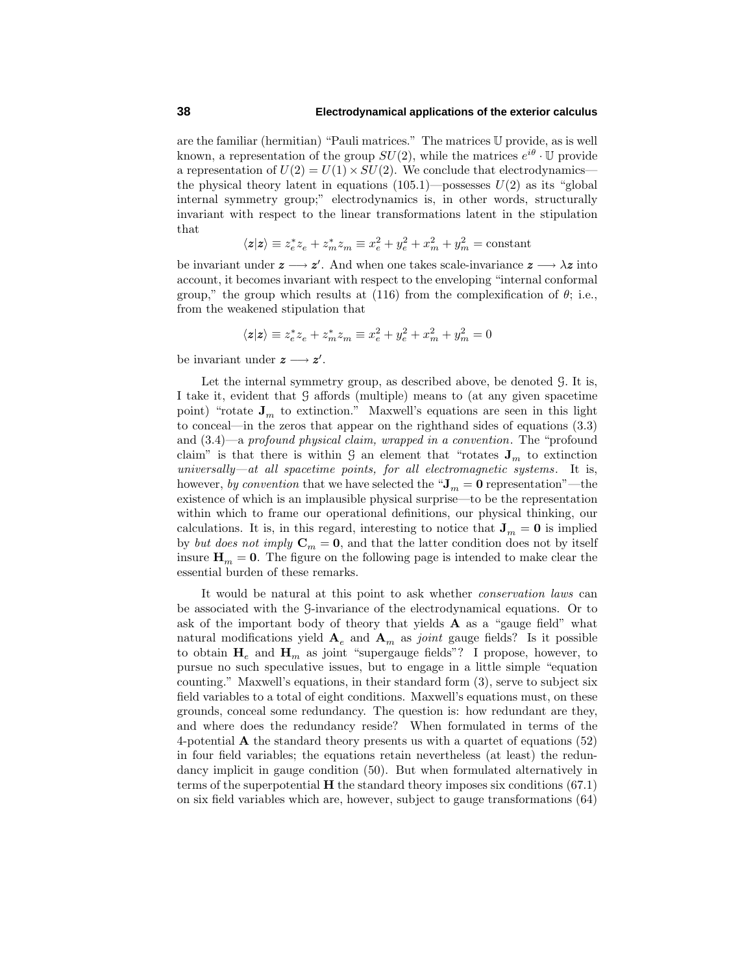## **38 Electrodynamical applications of the exterior calculus**

are the familiar (hermitian) "Pauli matrices." The matrices U provide, as is well known, a representation of the group  $SU(2)$ , while the matrices  $e^{i\theta}$  · U provide a representation of  $U(2) = U(1) \times SU(2)$ . We conclude that electrodynamics the physical theory latent in equations  $(105.1)$ —possesses  $U(2)$  as its "global" internal symmetry group;" electrodynamics is, in other words, structurally invariant with respect to the linear transformations latent in the stipulation that

$$
\langle \mathbf{z} | \mathbf{z} \rangle \equiv z_e^* z_e + z_m^* z_m \equiv x_e^2 + y_e^2 + x_m^2 + y_m^2 = \text{constant}
$$

be invariant under  $z \rightarrow z'$ . And when one takes scale-invariance  $z \rightarrow \lambda z$  into account, it becomes invariant with respect to the enveloping "internal conformal group," the group which results at  $(116)$  from the complexification of  $\theta$ ; i.e., from the weakened stipulation that

$$
\langle \mathbf{z}|\mathbf{z}\rangle \equiv z_e^*z_e+z_m^*z_m\equiv x_e^2+y_e^2+x_m^2+y_m^2=0
$$

be invariant under  $z \rightarrow z'$ .

Let the internal symmetry group, as described above, be denoted G. It is, I take it, evident that G affords (multiple) means to (at anygiven spacetime point) "rotate  $J_m$  to extinction." Maxwell's equations are seen in this light to conceal—in the zeros that appear on the righthand sides of equations (3.3) and (3.4)—a profound physical claim, wrapped in a convention. The "profound claim" is that there is within  $\mathcal{G}$  an element that "rotates  $\mathbf{J}_m$  to extinction  $university—at$  all spacetime points, for all electromagnetic systems. It is, however, by convention that we have selected the " $J_m = 0$  representation"—the existence of which is an implausible physical surprise—to be the representation within which to frame our operational definitions, our physical thinking, our calculations. It is, in this regard, interesting to notice that  $J_m = 0$  is implied by but does not imply  $\mathbf{C}_m = \mathbf{0}$ , and that the latter condition does not by itself insure  $\mathbf{H}_m = \mathbf{0}$ . The figure on the following page is intended to make clear the essential burden of these remarks.

It would be natural at this point to ask whether conservation laws can be associated with the G-invariance of the electrodynamical equations. Or to ask of the important body of theory that yields  $A$  as a "gauge field" what natural modifications yield  $A_e$  and  $A_m$  as *joint* gauge fields? Is it possible to obtain  $H_e$  and  $H_m$  as joint "supergauge fields"? I propose, however, to pursue no such speculative issues, but to engage in a little simple "equation counting." Maxwell's equations, in their standard form (3), serve to subject six field variables to a total of eight conditions. Maxwell's equations must, on these grounds, conceal some redundancy. The question is: how redundant are they, and where does the redundancy reside? When formulated in terms of the 4-potential **A** the standard theorypresents us with a quartet of equations (52) in four field variables; the equations retain nevertheless (at least) the redundancy implicit in gauge condition  $(50)$ . But when formulated alternatively in terms of the superpotential  $H$  the standard theory imposes six conditions  $(67.1)$ on six field variables which are, however, subject to gauge transformations (64)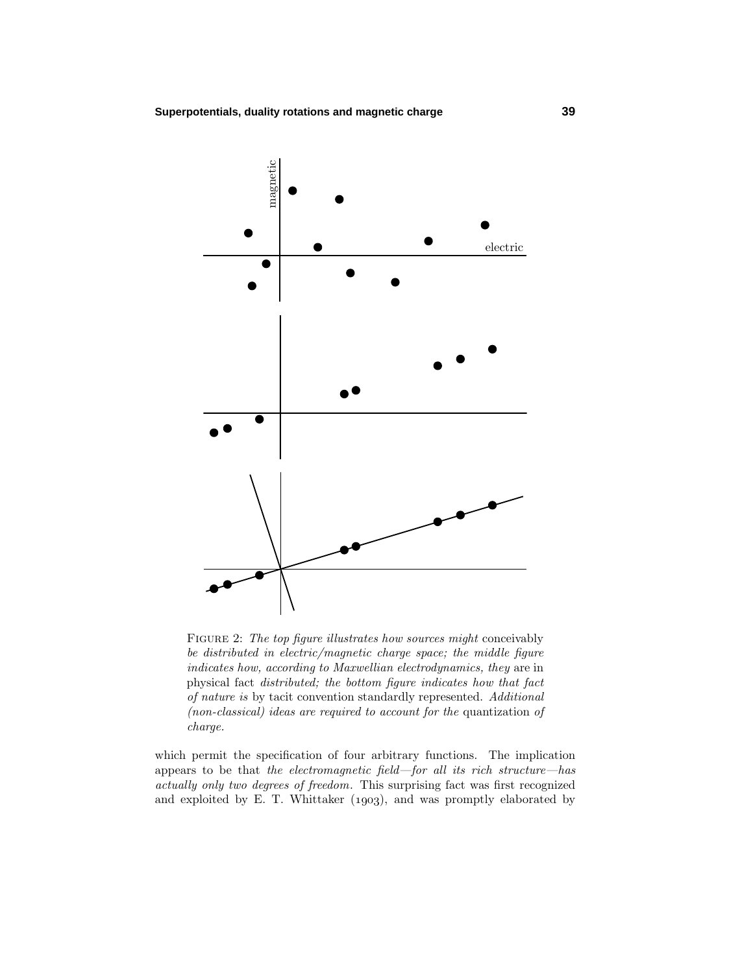

FIGURE 2: The top figure illustrates how sources might conceivably be distributed in electric/magnetic charge space; the middle figure indicates how, according to Maxwellian electrodynamics, they are in physical fact distributed; the bottom figure indicates how that fact of nature is by tacit convention standardly represented. Additional (non-classical) ideas are required to account for the quantization of charge.

which permit the specification of four arbitrary functions. The implication appears to be that the electromagnetic field—for all its rich structure—has actually only two degrees of freedom. This surprising fact was first recognized and exploited by E. T. Whittaker  $(1903)$ , and was promptly elaborated by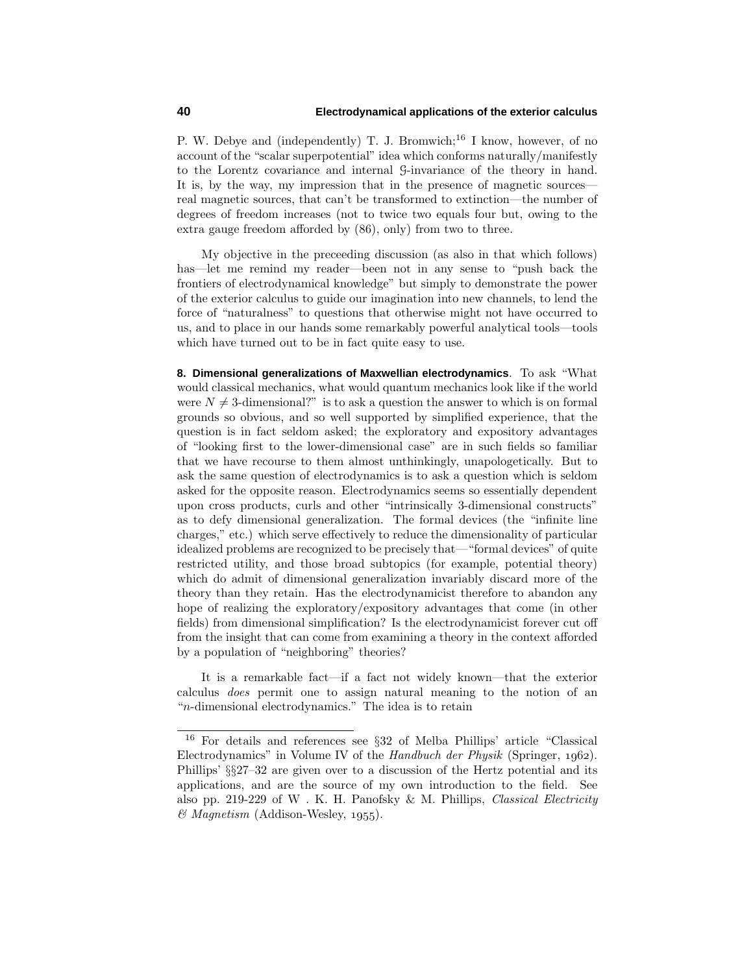P. W. Debye and (independently) T. J. Bromwich;<sup>16</sup> I know, however, of no account of the "scalar superpotential" idea which conforms naturally/manifestly to the Lorentz covariance and internal G-invariance of the theoryin hand. It is, by the way, my impression that in the presence of magnetic sources real magnetic sources, that can't be transformed to extinction—the number of degrees of freedom increases (not to twice two equals four but, owing to the extra gauge freedom afforded by(86), only) from two to three.

Myobjective in the preceeding discussion (as also in that which follows) has—let me remind my reader—been not in any sense to "push back the frontiers of electrodynamical knowledge" but simply to demonstrate the power of the exterior calculus to guide our imagination into new channels, to lend the force of "naturalness" to questions that otherwise might not have occurred to us, and to place in our hands some remarkably powerful analytical tools—tools which have turned out to be in fact quite easy to use.

**8. Dimensional generalizations of Maxwellian electrodynamics**. To ask "What would classical mechanics, what would quantum mechanics look like if the world were  $N \neq 3$ -dimensional?" is to ask a question the answer to which is on formal grounds so obvious, and so well supported bysimplified experience, that the question is in fact seldom asked; the exploratoryand expositoryadvantages of "looking first to the lower-dimensional case" are in such fields so familiar that we have recourse to them almost unthinkingly, unapologetically. But to ask the same question of electrodynamics is to ask a question which is seldom asked for the opposite reason. Electrodynamics seems so essentially dependent upon cross products, curls and other "intrinsically 3-dimensional constructs" as to defy dimensional generalization. The formal devices (the "infinite line charges," etc.) which serve effectively to reduce the dimensionality of particular idealized problems are recognized to be precisely that—"formal devices" of quite restricted utility, and those broad subtopics (for example, potential theory) which do admit of dimensional generalization invariably discard more of the theorythan theyretain. Has the electrodynamicist therefore to abandon any hope of realizing the exploratory/expository advantages that come (in other fields) from dimensional simplification? Is the electrodynamicist forever cut off from the insight that can come from examining a theoryin the context afforded bya population of "neighboring" theories?

It is a remarkable fact—if a fact not widelyknown—that the exterior calculus does permit one to assign natural meaning to the notion of an "*n*-dimensional electrodynamics." The idea is to retain

<sup>16</sup> For details and references see §32 of Melba Phillips' article "Classical Electrodynamics" in Volume IV of the Handbuch der Physik (Springer,  $1962$ ). Phillips' §§27–32 are given over to a discussion of the Hertz potential and its applications, and are the source of myown introduction to the field. See also pp. 219-229 of W. K. H. Panofsky & M. Phillips, Classical Electricity  $\mathcal{O}$  *Magnetism* (Addison-Wesley, 1955).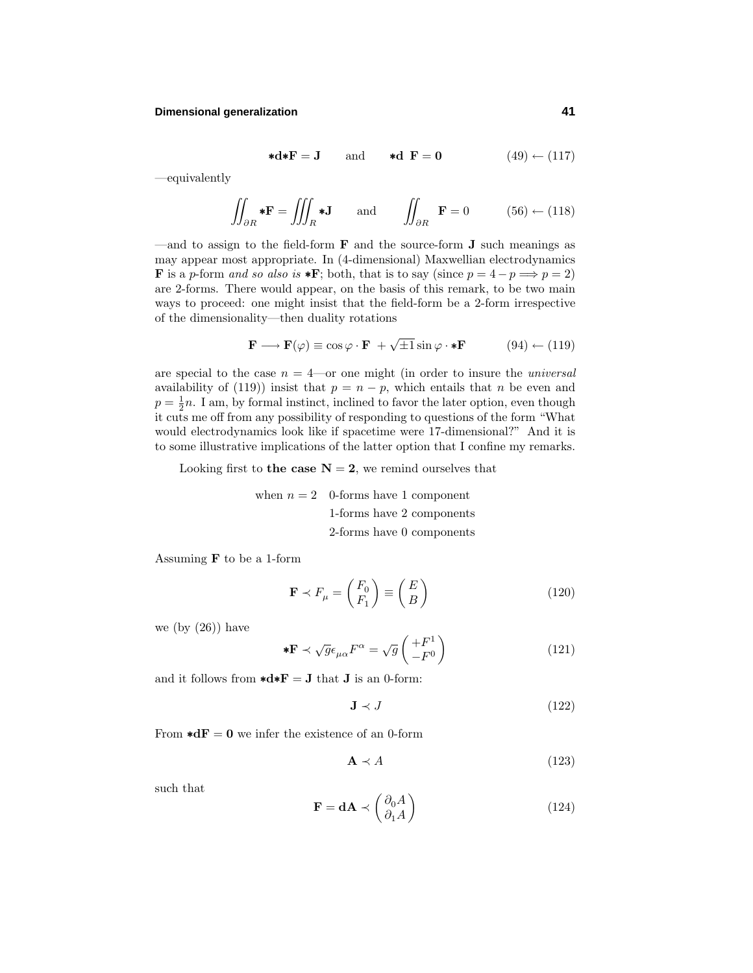## **Dimensional generalization 41**

$$
\ast \mathbf{d} \ast \mathbf{F} = \mathbf{J} \qquad \text{and} \qquad \ast \mathbf{d} \ \mathbf{F} = \mathbf{0} \tag{49} \leftarrow (117)
$$

—equivalently

$$
\iint_{\partial R} * \mathbf{F} = \iiint_{R} * \mathbf{J} \quad \text{and} \quad \iint_{\partial R} \mathbf{F} = 0 \quad (56) \leftarrow (118)
$$

—and to assign to the field-form **F** and the source-form **J** such meanings as mayappear most appropriate. In (4-dimensional) Maxwellian electrodynamics **F** is a *p*-form and so also is \***F**; both, that is to say (since  $p = 4 - p \implies p = 2$ ) are 2-forms. There would appear, on the basis of this remark, to be two main ways to proceed: one might insist that the field-form be a 2-form irrespective of the dimensionality—then duality rotations

$$
\mathbf{F} \longrightarrow \mathbf{F}(\varphi) \equiv \cos \varphi \cdot \mathbf{F} + \sqrt{\pm 1} \sin \varphi \cdot \mathbf{*} \mathbf{F} \tag{94} \leftarrow (119)
$$

are special to the case  $n = 4$ —or one might (in order to insure the *universal* availability of (119)) insist that  $p = n - p$ , which entails that *n* be even and  $p = \frac{1}{2}n$ . I am, by formal instinct, inclined to favor the later option, even though it cuts me off from anypossibilityof responding to questions of the form "What would electrodynamics look like if spacetime were 17-dimensional?" And it is to some illustrative implications of the latter option that I confine myremarks.

Looking first to **the case**  $N = 2$ , we remind ourselves that

when  $n = 2$  0-forms have 1 component 1-forms have 2 components 2-forms have 0 components

Assuming **F** to be a 1-form

$$
\mathbf{F} \prec F_{\mu} = \begin{pmatrix} F_0 \\ F_1 \end{pmatrix} \equiv \begin{pmatrix} E \\ B \end{pmatrix}
$$
 (120)

we (by  $(26)$ ) have

$$
* \mathbf{F} \prec \sqrt{g} \epsilon_{\mu \alpha} F^{\alpha} = \sqrt{g} \begin{pmatrix} +F^1\\ -F^0 \end{pmatrix}
$$
 (121)

and it follows from  $\star d \star \mathbf{F} = \mathbf{J}$  that **J** is an 0-form:

$$
\mathbf{J} \prec J \tag{122}
$$

From  $\star dF = 0$  we infer the existence of an 0-form

$$
\mathbf{A} \prec A \tag{123}
$$

such that

$$
\mathbf{F} = \mathbf{d}\mathbf{A} \prec \begin{pmatrix} \partial_0 A \\ \partial_1 A \end{pmatrix} \tag{124}
$$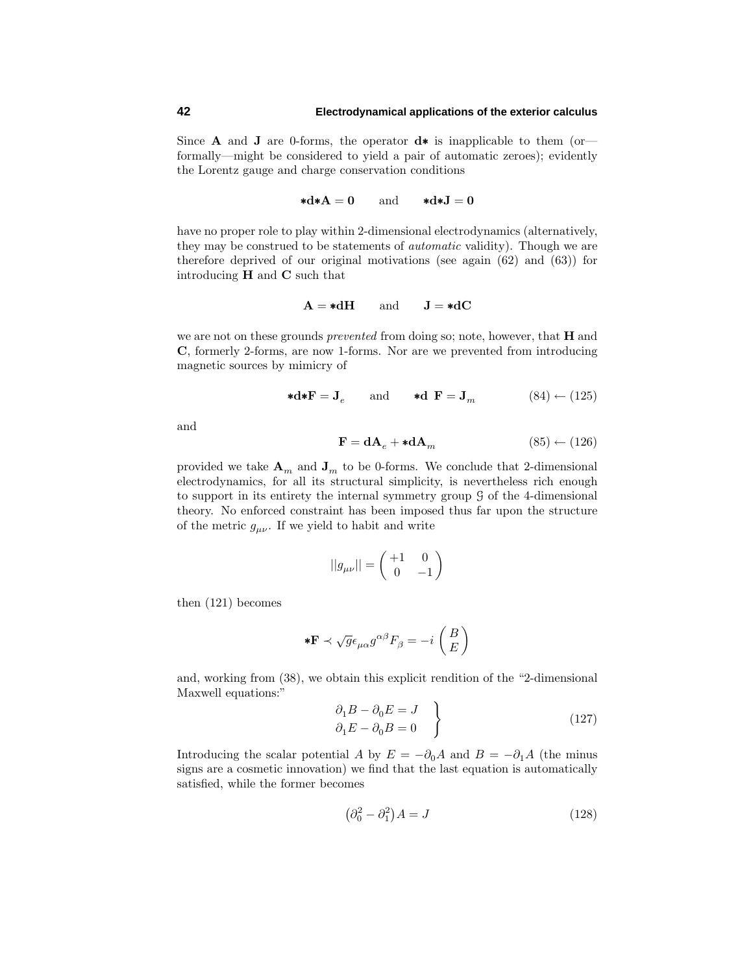Since **A** and **J** are 0-forms, the operator **d**∗ is inapplicable to them (or formally—might be considered to yield a pair of automatic zeroes); evidently the Lorentz gauge and charge conservation conditions

$$
\ast \mathbf{d} \ast \mathbf{A} = \mathbf{0} \quad \text{and} \quad \ast \mathbf{d} \ast \mathbf{J} = \mathbf{0}
$$

have no proper role to play within 2-dimensional electrodynamics (alternatively, they may be construed to be statements of *automatic* validity). Though we are therefore deprived of our original motivations (see again (62) and (63)) for introducing **H** and **C** such that

$$
A = *dH \qquad and \qquad J = *dC
$$

we are not on these grounds prevented from doing so; note, however, that **H** and **C**, formerly 2-forms, are now 1-forms. Nor are we prevented from introducing magnetic sources bymimicryof

$$
\ast \mathbf{d} \ast \mathbf{F} = \mathbf{J}_e \qquad \text{and} \qquad \ast \mathbf{d} \ \mathbf{F} = \mathbf{J}_m \tag{84} \leftarrow (125)
$$

and

$$
\mathbf{F} = \mathbf{d}\mathbf{A}_e + \mathbf{*d}\mathbf{A}_m \tag{85} \leftarrow (126)
$$

provided we take  $\mathbf{A}_m$  and  $\mathbf{J}_m$  to be 0-forms. We conclude that 2-dimensional electrodynamics, for all its structural simplicity, is nevertheless rich enough to support in its entirety the internal symmetry group  $\mathcal G$  of the 4-dimensional theory. No enforced constraint has been imposed thus far upon the structure of the metric  $g_{\mu\nu}$ . If we yield to habit and write

$$
||g_{\mu\nu}|| = \begin{pmatrix} +1 & 0\\ 0 & -1 \end{pmatrix}
$$

then (121) becomes

$$
* \mathbf{F} \prec \sqrt{g} \epsilon_{\mu\alpha} g^{\alpha\beta} F_{\beta} = -i \begin{pmatrix} B \\ E \end{pmatrix}
$$

and, working from (38), we obtain this explicit rendition of the "2-dimensional Maxwell equations:"

$$
\left\{\n\begin{aligned}\n\partial_1 B - \partial_0 E &= J \\
\partial_1 E - \partial_0 B &= 0\n\end{aligned}\n\right\} \tag{127}
$$

Introducing the scalar potential *A* by  $E = -\partial_0 A$  and  $B = -\partial_1 A$  (the minus signs are a cosmetic innovation) we find that the last equation is automatically satisfied, while the former becomes

$$
\left(\partial_0^2 - \partial_1^2\right)A = J\tag{128}
$$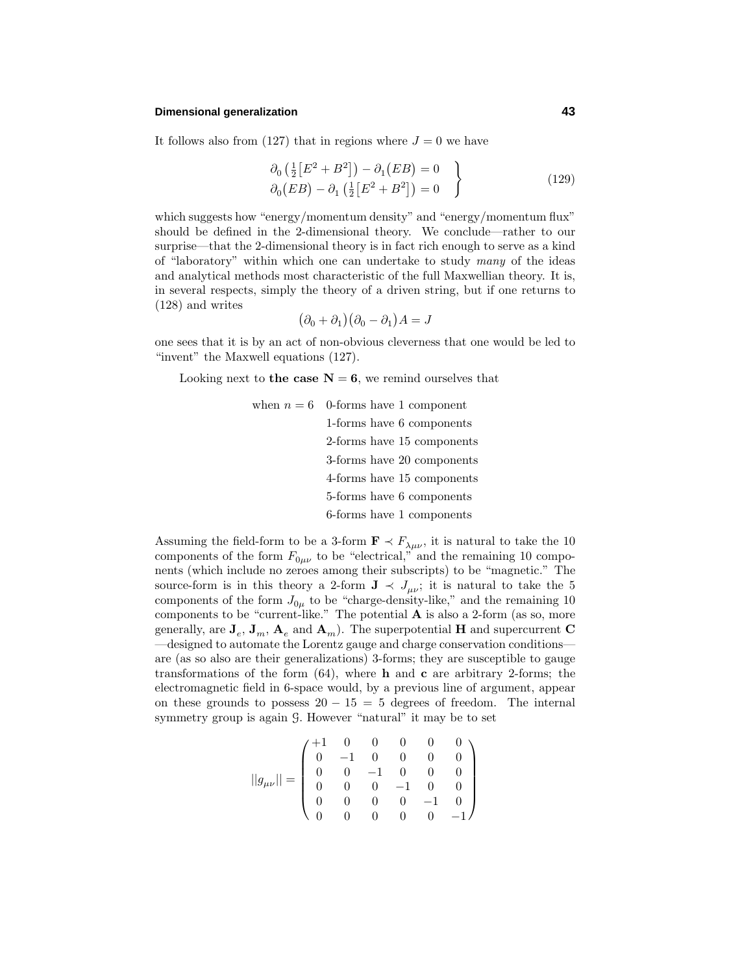## **Dimensional generalization 43**

It follows also from (127) that in regions where  $J=0$  we have

$$
\partial_0 \left( \frac{1}{2} \left[ E^2 + B^2 \right] \right) - \partial_1 \left( E B \right) = 0
$$
\n
$$
\partial_0 \left( E B \right) - \partial_1 \left( \frac{1}{2} \left[ E^2 + B^2 \right] \right) = 0
$$
\n(129)

which suggests how "energy/momentum density" and "energy/momentum flux" should be defined in the 2-dimensional theory. We conclude—rather to our surprise—that the 2-dimensional theory is in fact rich enough to serve as a kind of "laboratory" within which one can undertake to study many of the ideas and analytical methods most characteristic of the full Maxwellian theory. It is, in several respects, simply the theory of a driven string, but if one returns to (128) and writes

$$
(\partial_0 + \partial_1)(\partial_0 - \partial_1)A = J
$$

one sees that it is byan act of non-obvious cleverness that one would be led to "invent" the Maxwell equations (127).

Looking next to **the case**  $N = 6$ , we remind ourselves that

when  $n = 6$  0-forms have 1 component 1-forms have 6 components 2-forms have 15 components 3-forms have 20 components 4-forms have 15 components 5-forms have 6 components 6-forms have 1 components

Assuming the field-form to be a 3-form  $\mathbf{F} \prec F_{\lambda\mu\nu}$ , it is natural to take the 10 components of the form  $F_{0\mu\nu}$  to be "electrical," and the remaining 10 components (which include no zeroes among their subscripts) to be "magnetic." The source-form is in this theory a 2-form  $J \prec J_{\mu\nu}$ ; it is natural to take the 5 components of the form  $J_{0\mu}$  to be "charge-density-like," and the remaining 10 components to be "current-like." The potential **A** is also a 2-form (as so, more generally, are  $\mathbf{J}_e$ ,  $\mathbf{J}_m$ ,  $\mathbf{A}_e$  and  $\mathbf{A}_m$ ). The superpotential **H** and supercurrent **C** —designed to automate the Lorentz gauge and charge conservation conditions are (as so also are their generalizations) 3-forms; they are susceptible to gauge transformations of the form  $(64)$ , where **h** and **c** are arbitrary 2-forms; the electromagnetic field in 6-space would, by a previous line of argument, appear on these grounds to possess  $20 - 15 = 5$  degrees of freedom. The internal symmetry group is again G. However "natural" it may be to set

$$
||g_{\mu\nu}||=\left(\begin{matrix} +1 & 0 & 0 & 0 & 0 & 0 \\ 0 & -1 & 0 & 0 & 0 & 0 \\ 0 & 0 & -1 & 0 & 0 & 0 \\ 0 & 0 & 0 & -1 & 0 & 0 \\ 0 & 0 & 0 & 0 & -1 & 0 \\ 0 & 0 & 0 & 0 & 0 & -1 \end{matrix}\right)
$$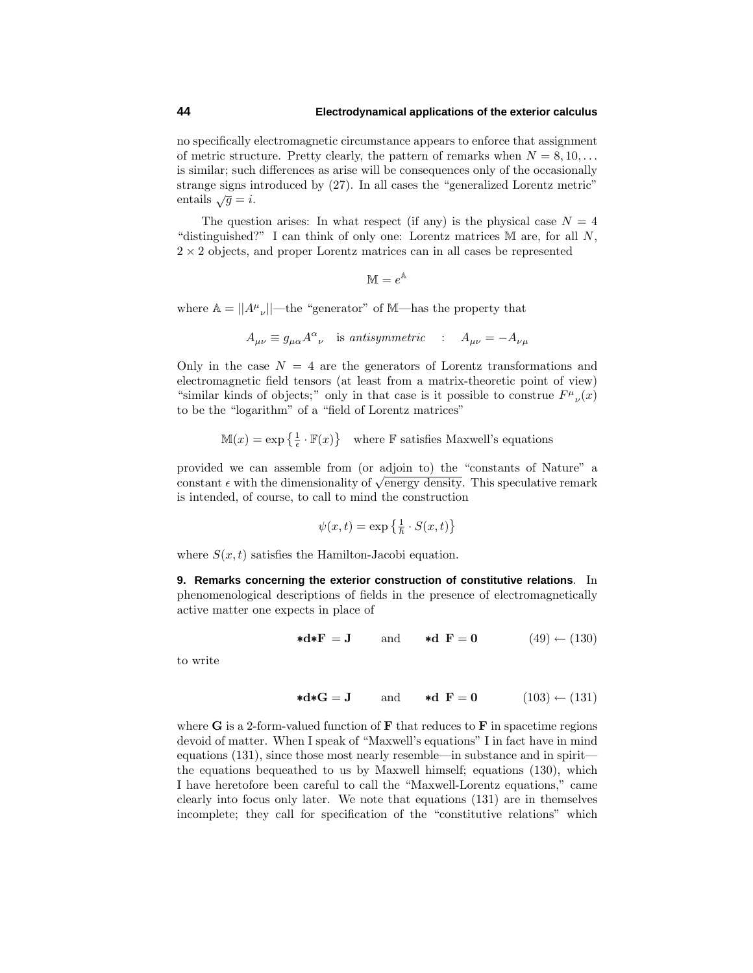no specifically electromagnetic circumstance appears to enforce that assignment of metric structure. Pretty clearly, the pattern of remarks when  $N = 8, 10, \ldots$ is similar; such differences as arise will be consequences onlyof the occasionally strange signs introduced by(27). In all cases the "generalized Lorentz metric" entails  $\sqrt{g} = i$ .

The question arises: In what respect (if any) is the physical case  $N = 4$ "distinguished?" I can think of onlyone: Lorentz matrices M are, for all *N*,  $2 \times 2$  objects, and proper Lorentz matrices can in all cases be represented

$$
\mathbb{M} = e^{\mathbb{A}}
$$

where  $\mathbb{A} = ||A^{\mu}{}_{\nu}||$ —the "generator" of M—has the property that

$$
A_{\mu\nu} \equiv g_{\mu\alpha} A^{\alpha}{}_{\nu} \quad \text{is antisymmetric} \quad : \quad A_{\mu\nu} = -A_{\nu\mu}
$$

Only in the case  $N = 4$  are the generators of Lorentz transformations and electromagnetic field tensors (at least from a matrix-theoretic point of view) "similar kinds of objects;" only in that case is it possible to construe  $F^{\mu}{}_{\nu}(x)$ to be the "logarithm" of a "field of Lorentz matrices"

 $\mathbb{M}(x) = \exp\left\{\frac{1}{\epsilon} \cdot \mathbb{F}(x)\right\}$  where F satisfies Maxwell's equations

provided we can assemble from (or adjoin to) the "constants of Nature" a constant  $\epsilon$  with the dimensionality of  $\sqrt{\text{energy density}}$ . This speculative remark is intended, of course, to call to mind the construction

$$
\psi(x,t) = \exp\left\{\frac{1}{\hslash} \cdot S(x,t)\right\}
$$

where  $S(x, t)$  satisfies the Hamilton-Jacobi equation.

**9. Remarks concerning the exterior construction of constitutive relations**. In phenomenological descriptions of fields in the presence of electromagnetically active matter one expects in place of

$$
\ast \mathbf{d} \ast \mathbf{F} = \mathbf{J} \qquad \text{and} \qquad \ast \mathbf{d} \ \mathbf{F} = \mathbf{0} \tag{49} \leftarrow (130)
$$

to write

$$
\star \mathbf{d} \star \mathbf{G} = \mathbf{J} \quad \text{and} \quad \star \mathbf{d} \ \mathbf{F} = \mathbf{0} \quad (103) \leftarrow (131)
$$

where **G** is a 2-form-valued function of **F** that reduces to **F** in spacetime regions devoid of matter. When I speak of "Maxwell's equations" I in fact have in mind equations  $(131)$ , since those most nearly resemble—in substance and in spirit the equations bequeathed to us by Maxwell himself; equations (130), which I have heretofore been careful to call the "Maxwell-Lorentz equations," came clearly into focus only later. We note that equations  $(131)$  are in themselves incomplete; they call for specification of the "constitutive relations" which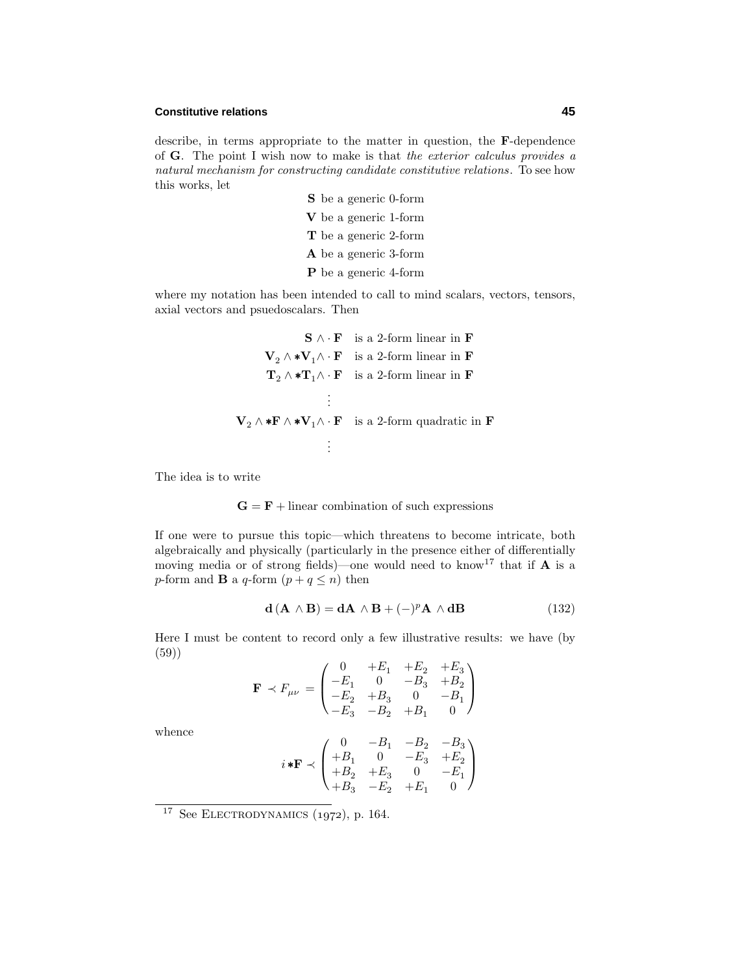## **Constitutive relations 45**

describe, in terms appropriate to the matter in question, the **F**-dependence of **G**. The point I wish now to make is that the exterior calculus provides a natural mechanism for constructing candidate constitutive relations. To see how this works, let

> **S** be a generic 0-form **V** be a generic 1-form **T** be a generic 2-form **A** be a generic 3-form **P** be a generic 4-form

where my notation has been intended to call to mind scalars, vectors, tensors, axial vectors and psuedoscalars. Then

$$
\mathbf{S} \wedge \mathbf{F} \text{ is a 2-form linear in } \mathbf{F}
$$
\n
$$
\mathbf{V}_2 \wedge \mathbf{*} \mathbf{V}_1 \wedge \mathbf{F} \text{ is a 2-form linear in } \mathbf{F}
$$
\n
$$
\mathbf{T}_2 \wedge \mathbf{*} \mathbf{T}_1 \wedge \mathbf{F} \text{ is a 2-form linear in } \mathbf{F}
$$
\n
$$
\vdots
$$
\n
$$
\mathbf{V}_2 \wedge \mathbf{*} \mathbf{F} \wedge \mathbf{*} \mathbf{V}_1 \wedge \mathbf{F} \text{ is a 2-form quadratic in } \mathbf{F}
$$
\n
$$
\vdots
$$

The idea is to write

$$
G = F + linear combination of such expressions
$$

If one were to pursue this topic—which threatens to become intricate, both algebraically and physically (particularly in the presence either of differentially moving media or of strong fields)—one would need to know<sup>17</sup> that if  $A$  is a *p*-form and **B** a *q*-form  $(p+q \leq n)$  then

$$
\mathbf{d}\left(\mathbf{A}\wedge\mathbf{B}\right) = \mathbf{d}\mathbf{A}\wedge\mathbf{B} + (-)^p \mathbf{A}\wedge\mathbf{d}\mathbf{B} \tag{132}
$$

Here I must be content to record onlya few illustrative results: we have (by (59))

$$
\mathbf{F} \prec F_{\mu\nu} = \begin{pmatrix} 0 & +E_1 & +E_2 & +E_3 \\ -E_1 & 0 & -B_3 & +B_2 \\ -E_2 & +B_3 & 0 & -B_1 \\ -E_3 & -B_2 & +B_1 & 0 \end{pmatrix}
$$

whence

$$
i * F \prec \begin{pmatrix} 0 & -B_1 & -B_2 & -B_3 \ +B_1 & 0 & -E_3 & +E_2 \ +B_2 & +E_3 & 0 & -E_1 \ +B_3 & -E_2 & +E_1 & 0 \end{pmatrix}
$$

 $17$  See ELECTRODYNAMICS (1972), p. 164.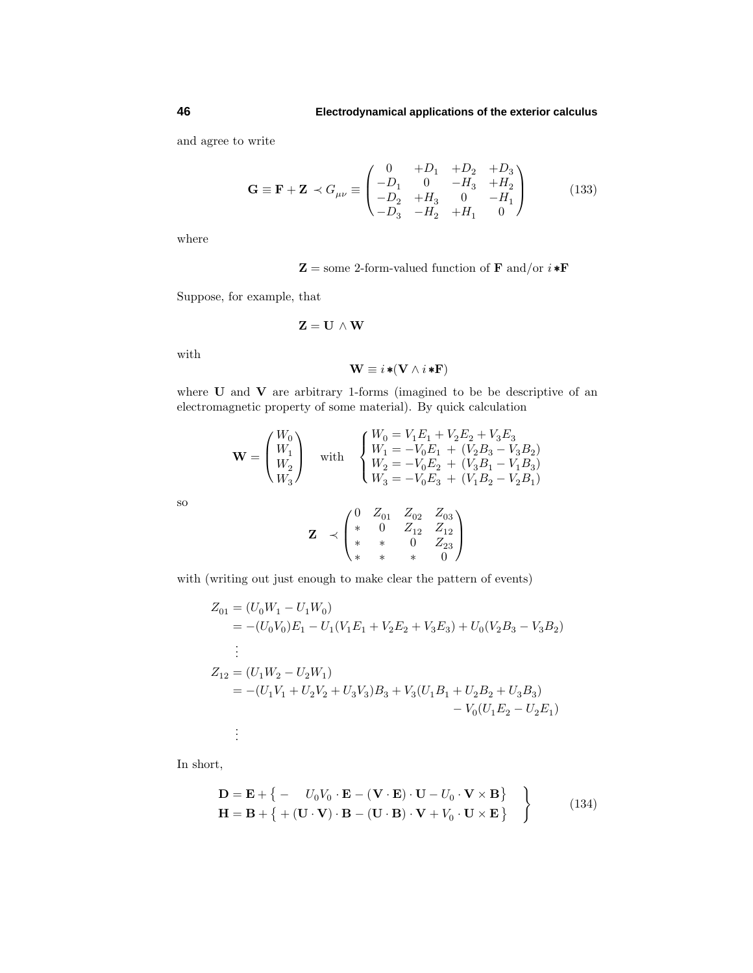and agree to write

$$
\mathbf{G} \equiv \mathbf{F} + \mathbf{Z} \prec G_{\mu\nu} \equiv \begin{pmatrix} 0 & +D_1 & +D_2 & +D_3 \\ -D_1 & 0 & -H_3 & +H_2 \\ -D_2 & +H_3 & 0 & -H_1 \\ -D_3 & -H_2 & +H_1 & 0 \end{pmatrix}
$$
(133)

where

$$
\mathbf{Z} =
$$
 some 2-form-valued function of **F** and/or  $i * \mathbf{F}$ 

Suppose, for example, that

$$
\mathbf{Z} = \mathbf{U} \, \wedge \mathbf{W}
$$

with

$$
\mathbf{W} \equiv i \ast (\mathbf{V} \wedge i \ast \mathbf{F})
$$

where **U** and **V** are arbitrary 1-forms (imagined to be be descriptive of an electromagnetic property of some material). By quick calculation

$$
\mathbf{W} = \begin{pmatrix} W_0 \\ W_1 \\ W_2 \\ W_3 \end{pmatrix} \quad \text{with} \quad \begin{cases} W_0 = V_1 E_1 + V_2 E_2 + V_3 E_3 \\ W_1 = -V_0 E_1 + (V_2 B_3 - V_3 B_2) \\ W_2 = -V_0 E_2 + (V_3 B_1 - V_1 B_3) \\ W_3 = -V_0 E_3 + (V_1 B_2 - V_2 B_1) \end{cases}
$$

so

$$
\mathbf{Z} \prec \begin{pmatrix} 0 & Z_{01} & Z_{02} & Z_{03} \\ * & 0 & Z_{12} & Z_{12} \\ * & * & 0 & Z_{23} \\ * & * & * & 0 \end{pmatrix}
$$

with (writing out just enough to make clear the pattern of events)

$$
Z_{01} = (U_0W_1 - U_1W_0)
$$
  
= -(U\_0V\_0)E\_1 - U\_1(V\_1E\_1 + V\_2E\_2 + V\_3E\_3) + U\_0(V\_2B\_3 - V\_3B\_2)  
:  

$$
Z_{12} = (U_1W_2 - U_2W_1)
$$
  
= -(U\_1V\_1 + U\_2V\_2 + U\_3V\_3)B\_3 + V\_3(U\_1B\_1 + U\_2B\_2 + U\_3B\_3)  
- V\_0(U\_1E\_2 - U\_2E\_1)  
:

In short,

$$
\mathbf{D} = \mathbf{E} + \left\{ -U_0 V_0 \cdot \mathbf{E} - (\mathbf{V} \cdot \mathbf{E}) \cdot \mathbf{U} - U_0 \cdot \mathbf{V} \times \mathbf{B} \right\} \n\mathbf{H} = \mathbf{B} + \left\{ + (\mathbf{U} \cdot \mathbf{V}) \cdot \mathbf{B} - (\mathbf{U} \cdot \mathbf{B}) \cdot \mathbf{V} + V_0 \cdot \mathbf{U} \times \mathbf{E} \right\}
$$
\n(134)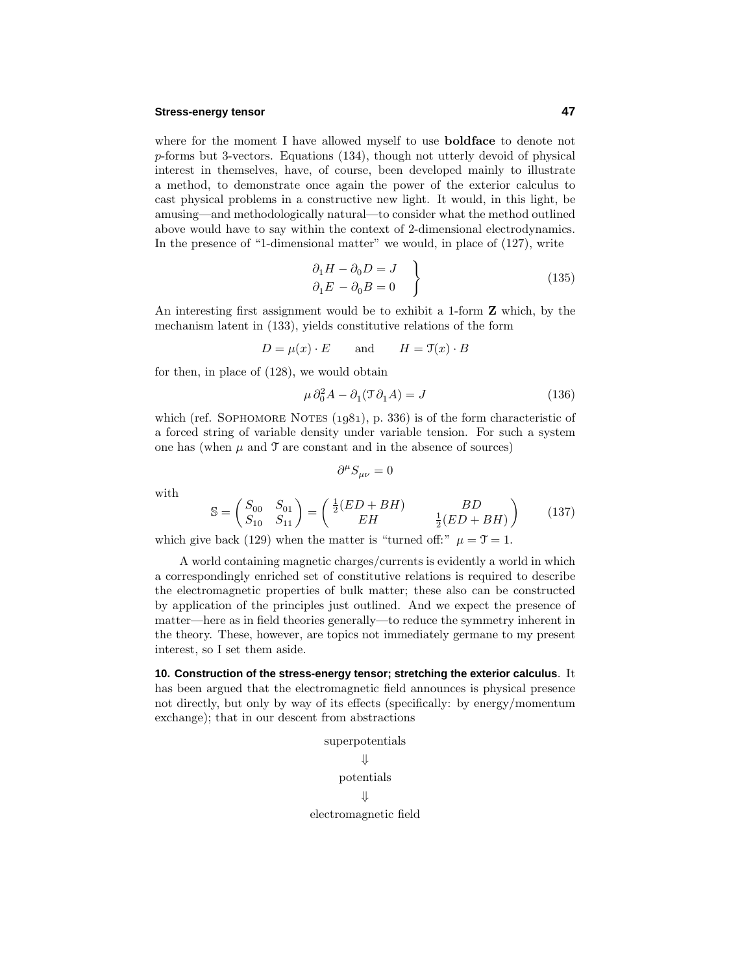## **Stress-energy tensor 47**

where for the moment I have allowed myself to use **boldface** to denote not *p*-forms but 3-vectors. Equations (134), though not utterlydevoid of physical interest in themselves, have, of course, been developed mainly to illustrate a method, to demonstrate once again the power of the exterior calculus to cast physical problems in a constructive new light. It would, in this light, be amusing—and methodologicallynatural—to consider what the method outlined above would have to say within the context of 2-dimensional electrodynamics. In the presence of "1-dimensional matter" we would, in place of (127), write

$$
\begin{aligned}\n\partial_1 H - \partial_0 D &= J \\
\partial_1 E - \partial_0 B &= 0\n\end{aligned} \tag{135}
$$

An interesting first assignment would be to exhibit a 1-form **Z** which, bythe mechanism latent in (133), yields constitutive relations of the form

$$
D = \mu(x) \cdot E \qquad \text{and} \qquad H = \mathfrak{T}(x) \cdot B
$$

for then, in place of (128), we would obtain

$$
\mu \, \partial_0^2 A - \partial_1 (\mathfrak{T} \partial_1 A) = J \tag{136}
$$

which (ref. SOPHOMORE NOTES  $(1981)$ , p. 336) is of the form characteristic of a forced string of variable densityunder variable tension. For such a system one has (when  $\mu$  and  $\mathcal T$  are constant and in the absence of sources)

$$
\partial^{\mu}S_{\mu\nu}=0
$$

with

$$
\mathbb{S} = \begin{pmatrix} S_{00} & S_{01} \\ S_{10} & S_{11} \end{pmatrix} = \begin{pmatrix} \frac{1}{2}(ED + BH) & BD \\ EH & \frac{1}{2}(ED + BH) \end{pmatrix} \tag{137}
$$

which give back (129) when the matter is "turned off:"  $\mu = \mathcal{T} = 1$ .

A world containing magnetic charges/currents is evidentlya world in which a correspondingly enriched set of constitutive relations is required to describe the electromagnetic properties of bulk matter; these also can be constructed byapplication of the principles just outlined. And we expect the presence of matter—here as in field theories generally—to reduce the symmetry inherent in the theory. These, however, are topics not immediately germane to my present interest, so I set them aside.

**10. Construction of the stress-energy tensor; stretching the exterior calculus**. It has been argued that the electromagnetic field announces is physical presence not directly, but only by way of its effects (specifically: by energy/momentum exchange); that in our descent from abstractions

> superpotentials ⇓ potentials  $\mathbf{\Pi}$ electromagnetic field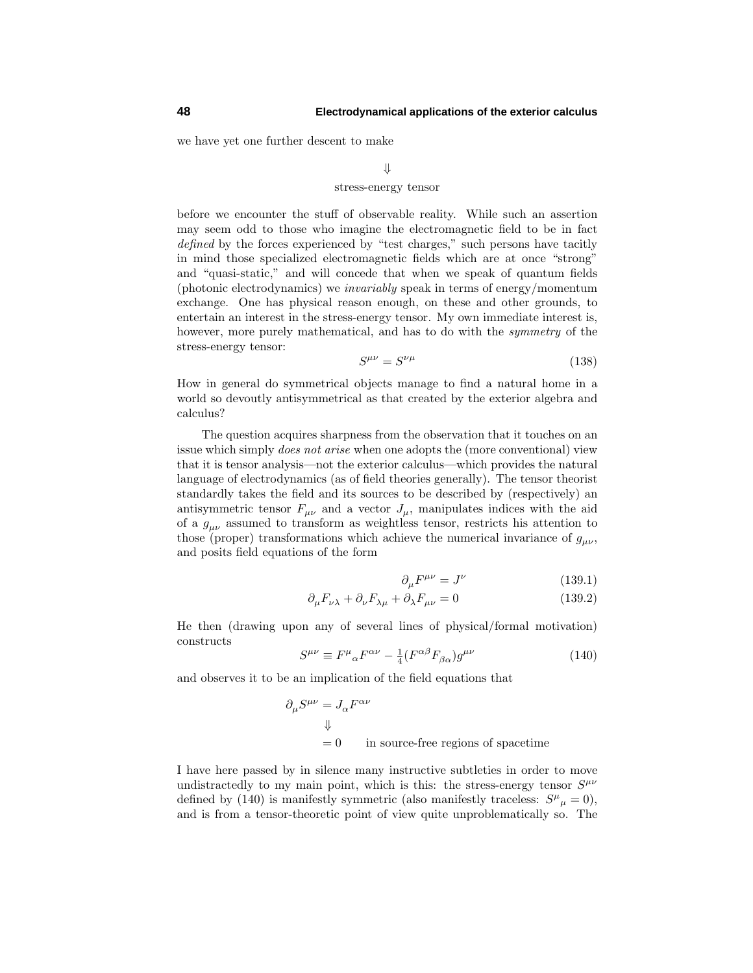we have yet one further descent to make

## ⇓ stress-energy tensor

before we encounter the stuff of observable reality. While such an assertion mayseem odd to those who imagine the electromagnetic field to be in fact defined by the forces experienced by "test charges," such persons have tacitly in mind those specialized electromagnetic fields which are at once "strong" and "quasi-static," and will concede that when we speak of quantum fields (photonic electrodynamics) we invariably speak in terms of energy/momentum exchange. One has physical reason enough, on these and other grounds, to entertain an interest in the stress-energy tensor. My own immediate interest is, however, more purely mathematical, and has to do with the *symmetry* of the stress-energy tensor:

$$
S^{\mu\nu} = S^{\nu\mu} \tag{138}
$$

How in general do symmetrical objects manage to find a natural home in a world so devoutly antisymmetrical as that created by the exterior algebra and calculus?

The question acquires sharpness from the observation that it touches on an issue which simply does not arise when one adopts the (more conventional) view that it is tensor analysis—not the exterior calculus—which provides the natural language of electrodynamics (as of field theories generally). The tensor theorist standardly takes the field and its sources to be described by (respectively) an antisymmetric tensor  $F_{\mu\nu}$  and a vector  $J_{\mu}$ , manipulates indices with the aid of a *gµν* assumed to transform as weightless tensor, restricts his attention to those (proper) transformations which achieve the numerical invariance of  $g_{\mu\nu}$ , and posits field equations of the form

$$
\partial_{\mu}F^{\mu\nu} = J^{\nu} \tag{139.1}
$$

$$
\partial_{\mu}F_{\nu\lambda} + \partial_{\nu}F_{\lambda\mu} + \partial_{\lambda}F_{\mu\nu} = 0 \qquad (139.2)
$$

He then (drawing upon anyof several lines of physical/formal motivation) constructs

$$
S^{\mu\nu} \equiv F^{\mu}{}_{\alpha} F^{\alpha\nu} - \frac{1}{4} (F^{\alpha\beta} F_{\beta\alpha}) g^{\mu\nu} \tag{140}
$$

and observes it to be an implication of the field equations that

$$
\partial_{\mu}S^{\mu\nu}=J_{\alpha}F^{\alpha\nu}
$$
  

$$
\Downarrow
$$
  
= 0 in source-free regions of spacetime

I have here passed by in silence many instructive subtleties in order to move undistractedly to my main point, which is this: the stress-energy tensor  $S^{\mu\nu}$ defined by (140) is manifestly symmetric (also manifestly traceless:  $S^{\mu}{}_{\mu} = 0$ ), and is from a tensor-theoretic point of view quite unproblematicallyso. The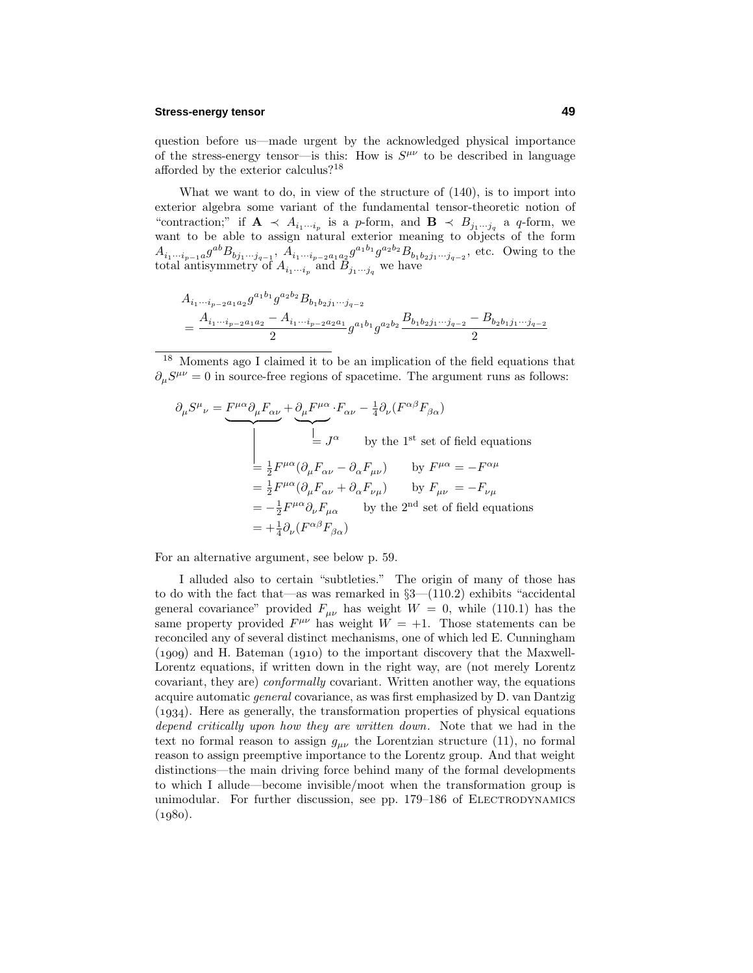## **Stress-energy tensor 49**

question before us—made urgent by the acknowledged physical importance of the stress-energy tensor—is this: How is  $S^{\mu\nu}$  to be described in language afforded by the exterior calculus?<sup>18</sup>

What we want to do, in view of the structure of (140), is to import into exterior algebra some variant of the fundamental tensor-theoretic notion of "contraction;" if  $\mathbf{A} \prec A_{i_1 \cdots i_p}$  is a *p*-form, and  $\mathbf{B} \prec B_{j_1 \cdots j_q}$  a *q*-form, we want to be able to assign natural exterior meaning to objects of the form  $A_{i_1\cdots i_{p-1}a}g^{ab}B_{bj_1\cdots j_{q-1}}, A_{i_1\cdots i_{p-2}a_1a_2}g^{a_1b_1}g^{a_2b_2}B_{b_1b_2j_1\cdots j_{q-2}},$  etc. Owing to the total antisymmetry of  $A_{i_1\cdots i_p}$  and  $B_{j_1\cdots j_q}$  we have

$$
A_{i_1\cdots i_{p-2}a_1a_2}g^{a_1b_1}g^{a_2b_2}B_{b_1b_2j_1\cdots j_{q-2}}
$$
  
= 
$$
\frac{A_{i_1\cdots i_{p-2}a_1a_2}-A_{i_1\cdots i_{p-2}a_2a_1}}{2}g^{a_1b_1}g^{a_2b_2}\frac{B_{b_1b_2j_1\cdots j_{q-2}}-B_{b_2b_1j_1\cdots j_{q-2}}}{2}
$$

<sup>18</sup> Moments ago I claimed it to be an implication of the field equations that  $\partial_{\mu}S^{\mu\nu} = 0$  in source-free regions of spacetime. The argument runs as follows:

$$
\partial_{\mu}S^{\mu}{}_{\nu} = \underbrace{F^{\mu\alpha}\partial_{\mu}F_{\alpha\nu}}_{=J^{\alpha}} + \underbrace{\partial_{\mu}F^{\mu\alpha}}_{=J^{\alpha}} \cdot F_{\alpha\nu} - \frac{1}{4}\partial_{\nu}(F^{\alpha\beta}F_{\beta\alpha})
$$
\n
$$
= J^{\alpha} \qquad \text{by the 1st set of field equations}
$$
\n
$$
= \frac{1}{2}F^{\mu\alpha}(\partial_{\mu}F_{\alpha\nu} - \partial_{\alpha}F_{\mu\nu}) \qquad \text{by } F^{\mu\alpha} = -F^{\alpha\mu}
$$
\n
$$
= \frac{1}{2}F^{\mu\alpha}(\partial_{\mu}F_{\alpha\nu} + \partial_{\alpha}F_{\nu\mu}) \qquad \text{by } F_{\mu\nu} = -F_{\nu\mu}
$$
\n
$$
= -\frac{1}{2}F^{\mu\alpha}\partial_{\nu}F_{\mu\alpha} \qquad \text{by the 2nd set of field equations}
$$
\n
$$
= +\frac{1}{4}\partial_{\nu}(F^{\alpha\beta}F_{\beta\alpha})
$$

For an alternative argument, see below p. 59.

I alluded also to certain "subtleties." The origin of manyof those has to do with the fact that—as was remarked in §3—(110.2) exhibits "accidental general covariance" provided  $F_{\mu\nu}$  has weight  $W = 0$ , while (110.1) has the same property provided  $F^{\mu\nu}$  has weight  $W = +1$ . Those statements can be reconciled anyof several distinct mechanisms, one of which led E. Cunningham  $(1909)$  and H. Bateman  $(1910)$  to the important discovery that the Maxwell-Lorentz equations, if written down in the right way, are (not merely Lorentz covariant, they are) conformally covariant. Written another way, the equations acquire automatic general covariance, as was first emphasized byD. van Dantzig  $(1934)$ . Here as generally, the transformation properties of physical equations depend critically upon how they are written down. Note that we had in the text no formal reason to assign  $g_{\mu\nu}$  the Lorentzian structure (11), no formal reason to assign preemptive importance to the Lorentz group. And that weight distinctions—the main driving force behind manyof the formal developments to which I allude—become invisible/moot when the transformation group is unimodular. For further discussion, see pp. 179–186 of ELECTRODYNAMICS  $(1980).$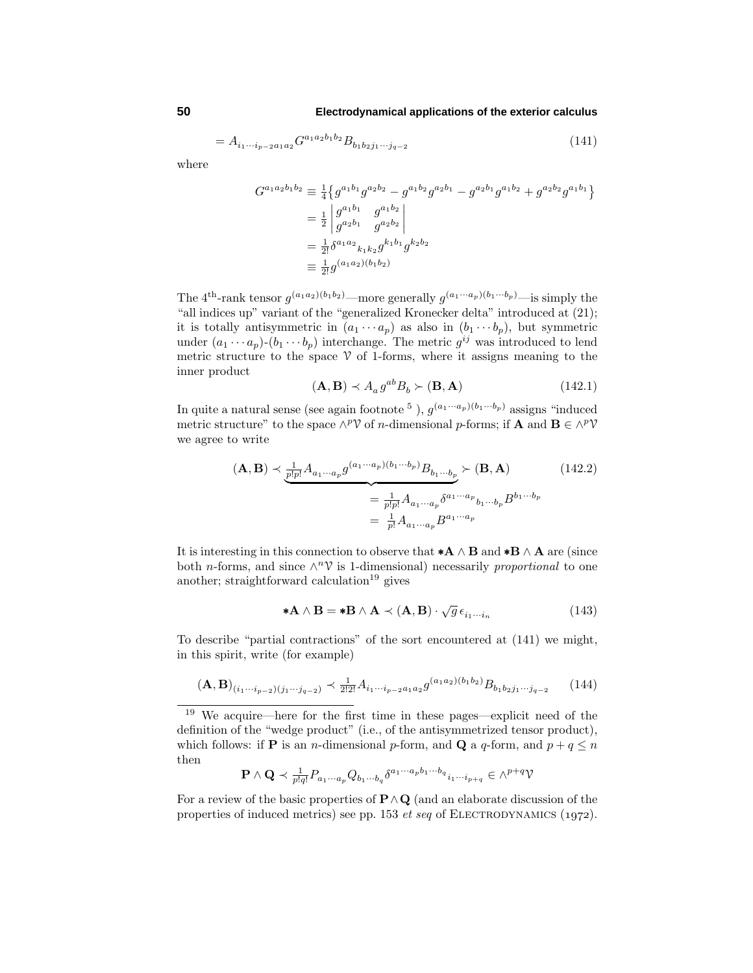$$
= A_{i_1 \cdots i_{p-2} a_1 a_2} G^{a_1 a_2 b_1 b_2} B_{b_1 b_2 j_1 \cdots j_{q-2}} \tag{141}
$$

where

$$
G^{a_1 a_2 b_1 b_2} \equiv \frac{1}{4} \left\{ g^{a_1 b_1} g^{a_2 b_2} - g^{a_1 b_2} g^{a_2 b_1} - g^{a_2 b_1} g^{a_1 b_2} + g^{a_2 b_2} g^{a_1 b_1} \right\}
$$
  

$$
= \frac{1}{2} \left| \begin{array}{cc} g^{a_1 b_1} & g^{a_1 b_2} \\ g^{a_2 b_1} & g^{a_2 b_2} \end{array} \right|
$$
  

$$
= \frac{1}{2!} \delta^{a_1 a_2}{}_{k_1 k_2} g^{k_1 b_1} g^{k_2 b_2}
$$
  

$$
\equiv \frac{1}{2!} g^{(a_1 a_2)(b_1 b_2)}
$$

The 4<sup>th</sup>-rank tensor  $g^{(a_1a_2)(b_1b_2)}$ —more generally  $g^{(a_1\cdots a_p)(b_1\cdots b_p)}$ —is simply the "all indices up" variant of the "generalized Kronecker delta" introduced at (21); it is totally antisymmetric in  $(a_1 \cdots a_p)$  as also in  $(b_1 \cdots b_p)$ , but symmetric under  $(a_1 \cdots a_p)$ - $(b_1 \cdots b_p)$  interchange. The metric  $g^{ij}$  was introduced to lend metric structure to the space  $\mathcal V$  of 1-forms, where it assigns meaning to the inner product

$$
(\mathbf{A}, \mathbf{B}) \prec A_a g^{ab} B_b \succ (\mathbf{B}, \mathbf{A}) \tag{142.1}
$$

In quite a natural sense (see again footnote <sup>5</sup>),  $g^{(a_1 \cdots a_p)(b_1 \cdots b_p)}$  assigns "induced metric structure" to the space  $\wedge^p \mathcal{V}$  of *n*-dimensional *p*-forms; if **A** and **B**  $\in \wedge^p \mathcal{V}$ we agree to write

$$
(\mathbf{A}, \mathbf{B}) \prec \underbrace{\frac{1}{p!p!} A_{a_1 \cdots a_p} g^{(a_1 \cdots a_p)(b_1 \cdots b_p)} B_{b_1 \cdots b_p}}_{= \frac{1}{p!p!} A_{a_1 \cdots a_p} \delta^{a_1 \cdots a_p} b_1 \cdots b_p} = \frac{1}{p!} A_{a_1 \cdots a_p} B^{a_1 \cdots a_p}
$$
\n(142.2)

It is interesting in this connection to observe that ∗**A** ∧ **B** and ∗**B** ∧ **A** are (since both *n*-forms, and since  $\wedge^n \mathcal{V}$  is 1-dimensional) necessarily proportional to one another; straightforward calculation<sup>19</sup> gives

$$
*A \wedge B = *B \wedge A \prec (A, B) \cdot \sqrt{g} \epsilon_{i_1 \cdots i_n}
$$
 (143)

To describe "partial contractions" of the sort encountered at (141) we might, in this spirit, write (for example)

$$
(\mathbf{A}, \mathbf{B})_{(i_1 \cdots i_{p-2})(j_1 \cdots j_{q-2})} \prec \frac{1}{2!2!} A_{i_1 \cdots i_{p-2} a_1 a_2} g^{(a_1 a_2)(b_1 b_2)} B_{b_1 b_2 j_1 \cdots j_{q-2}} \tag{144}
$$

<sup>19</sup> We acquire—here for the first time in these pages—explicit need of the definition of the "wedge product" (i.e., of the antisymmetrized tensor product), which follows: if **P** is an *n*-dimensional *p*-form, and **Q** a *q*-form, and  $p + q \leq n$ then

$$
\mathbf{P} \wedge \mathbf{Q} \prec \frac{1}{p!q!} P_{a_1 \cdots a_p} Q_{b_1 \cdots b_q} \delta^{a_1 \cdots a_p b_1 \cdots b_q}{}_{i_1 \cdots i_{p+q}} \in \wedge^{p+q} \mathcal{V}
$$

For a review of the basic properties of **P**∧**Q** (and an elaborate discussion of the properties of induced metrics) see pp. 153  $et\,seq$  of ELECTRODYNAMICS (1972).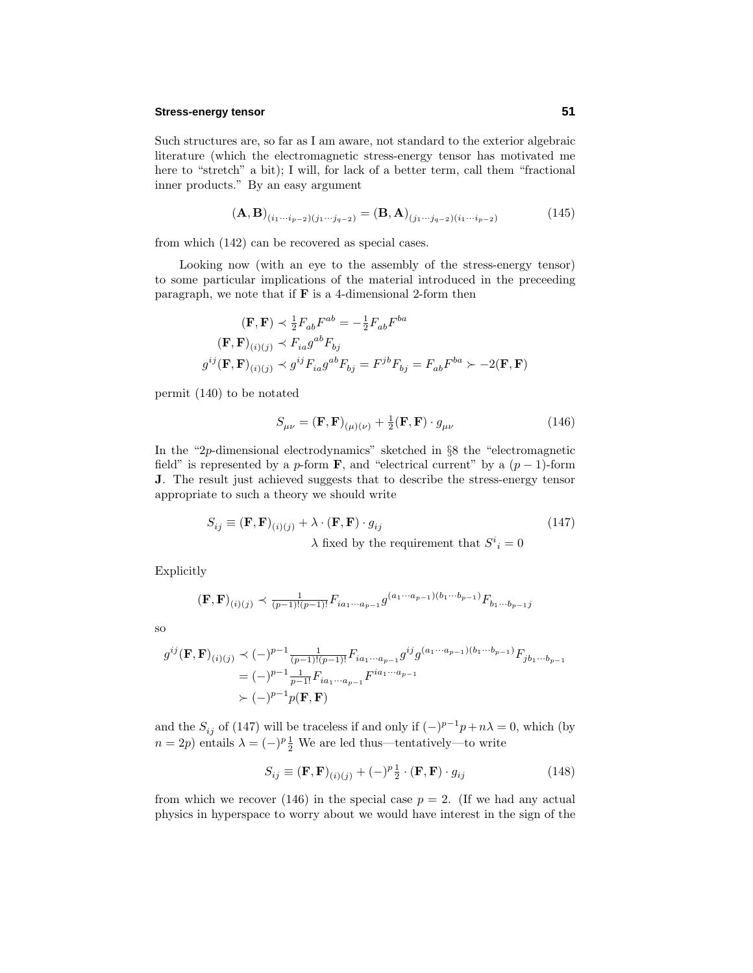## **Stress-energy tensor 51**

Such structures are, so far as I am aware, not standard to the exterior algebraic literature (which the electromagnetic stress-energy tensor has motivated me here to "stretch" a bit); I will, for lack of a better term, call them "fractional inner products." By an easy argument

$$
(\mathbf{A}, \mathbf{B})_{(i_1 \cdots i_{p-2})(j_1 \cdots j_{q-2})} = (\mathbf{B}, \mathbf{A})_{(j_1 \cdots j_{q-2})(i_1 \cdots i_{p-2})}
$$
(145)

from which (142) can be recovered as special cases.

Looking now (with an eye to the assembly of the stress-energy tensor) to some particular implications of the material introduced in the preceeding paragraph, we note that if **F** is a 4-dimensional 2-form then

$$
\begin{aligned} (\mathbf{F}, \mathbf{F}) &\prec \frac{1}{2} F_{ab} F^{ab} = -\frac{1}{2} F_{ab} F^{ba} \\ (\mathbf{F}, \mathbf{F})_{(i)(j)} &\prec F_{ia} g^{ab} F_{bj} \\ g^{ij} (\mathbf{F}, \mathbf{F})_{(i)(j)} &\prec g^{ij} F_{ia} g^{ab} F_{bj} = F^{jb} F_{bj} = F_{ab} F^{ba} \succ -2(\mathbf{F}, \mathbf{F}) \end{aligned}
$$

permit (140) to be notated

$$
S_{\mu\nu} = (\mathbf{F}, \mathbf{F})_{(\mu)(\nu)} + \frac{1}{2} (\mathbf{F}, \mathbf{F}) \cdot g_{\mu\nu}
$$
 (146)

In the "2*p*-dimensional electrodynamics" sketched in §8 the "electromagnetic field" is represented by a *p*-form **F**, and "electrical current" by a  $(p-1)$ -form **J**. The result just achieved suggests that to describe the stress-energy tensor appropriate to such a theory we should write

$$
S_{ij} \equiv (\mathbf{F}, \mathbf{F})_{(i)(j)} + \lambda \cdot (\mathbf{F}, \mathbf{F}) \cdot g_{ij}
$$
\n(147)

 $\lambda$  fixed by the requirement that  $S^i{}_i = 0$ 

Explicitly

$$
(\mathbf{F}, \mathbf{F})_{(i)(j)} \prec \frac{1}{(p-1)!(p-1)!} F_{ia_1 \cdots a_{p-1}} g^{(a_1 \cdots a_{p-1})(b_1 \cdots b_{p-1})} F_{b_1 \cdots b_{p-1} j}
$$

so

$$
g^{ij}(\mathbf{F}, \mathbf{F})_{(i)(j)} \prec (-)^{p-1} \frac{1}{(p-1)!(p-1)!} F_{ia_1 \cdots a_{p-1}} g^{ij} g^{(a_1 \cdots a_{p-1})(b_1 \cdots b_{p-1})} F_{jb_1 \cdots b_{p-1}}
$$
  
=  $(-)^{p-1} \frac{1}{p-1!} F_{ia_1 \cdots a_{p-1}} F^{ia_1 \cdots a_{p-1}}$   
 $\succ (-)^{p-1} p(\mathbf{F}, \mathbf{F})$ 

and the  $S_{ij}$  of (147) will be traceless if and only if  $(-)^{p-1}p + n\lambda = 0$ , which (by  $n = 2p$ ) entails  $\lambda = (-)^p \frac{1}{2}$  We are led thus—tentatively—to write

$$
S_{ij} \equiv (\mathbf{F}, \mathbf{F})_{(i)(j)} + (-)^{p} \frac{1}{2} \cdot (\mathbf{F}, \mathbf{F}) \cdot g_{ij}
$$
 (148)

from which we recover (146) in the special case  $p = 2$ . (If we had any actual physics in hyperspace to worry about we would have interest in the sign of the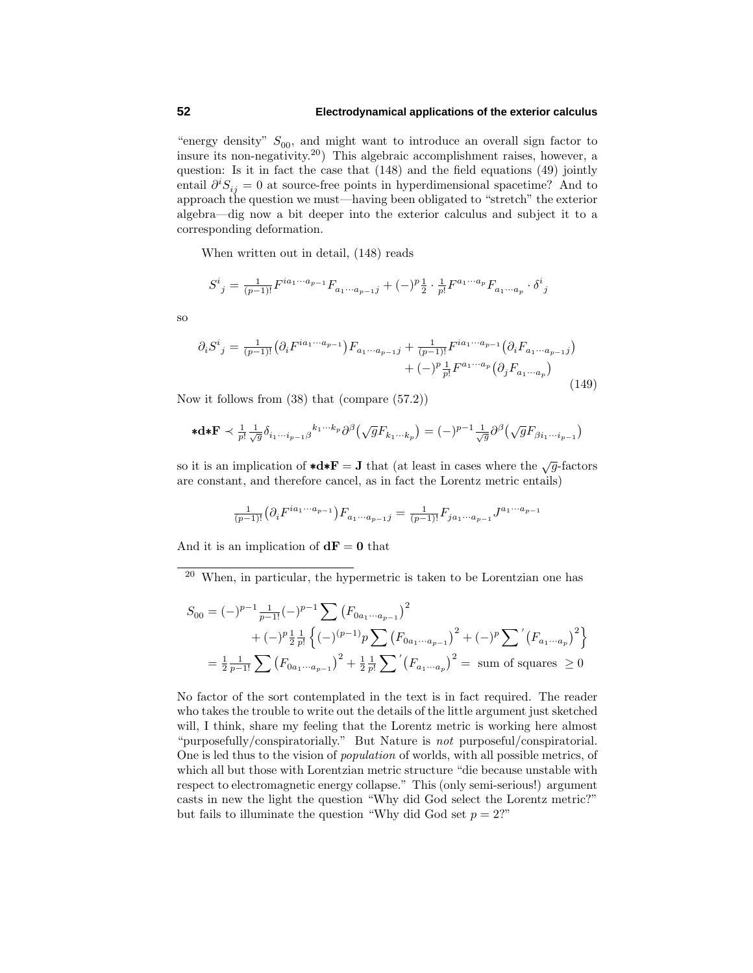## **52 Electrodynamical applications of the exterior calculus**

"energy density"  $S_{00}$ , and might want to introduce an overall sign factor to insure its non-negativity.20) This algebraic accomplishment raises, however, a question: Is it in fact the case that (148) and the field equations (49) jointly entail  $\partial^i S_{ij} = 0$  at source-free points in hyperdimensional spacetime? And to approach the question we must—having been obligated to "stretch" the exterior algebra—dig now a bit deeper into the exterior calculus and subject it to a corresponding deformation.

When written out in detail, (148) reads

$$
S^{i}{}_{j} = \frac{1}{(p-1)!} F^{ia_{1}...a_{p-1}} F_{a_{1}...a_{p-1}j} + (-)^{p} \frac{1}{2} \cdot \frac{1}{p!} F^{a_{1}...a_{p}} F_{a_{1}...a_{p}} \cdot \delta^{i}{}_{j}
$$

so

$$
\partial_i S^i{}_j = \frac{1}{(p-1)!} \left( \partial_i F^{ia_1 \cdots a_{p-1}} \right) F_{a_1 \cdots a_{p-1}j} + \frac{1}{(p-1)!} F^{ia_1 \cdots a_{p-1}} \left( \partial_i F_{a_1 \cdots a_{p-1}j} \right) + (-)^p \frac{1}{p!} F^{a_1 \cdots a_p} \left( \partial_j F_{a_1 \cdots a_p} \right)
$$
\n(149)

Now it follows from (38) that (compare (57.2))

$$
\ast \mathbf{d} \ast \mathbf{F} \prec \tfrac{1}{p!} \tfrac{1}{\sqrt{g}} \delta_{i_1 \cdots i_{p-1} \beta}{}^{k_1 \cdots k_p} \partial^\beta \big( \sqrt{g} F_{k_1 \cdots k_p} \big) = (-)^{p-1} \tfrac{1}{\sqrt{g}} \partial^\beta \big( \sqrt{g} F_{\beta i_1 \cdots i_{p-1}} \big)
$$

so it is an implication of  $\star d \star \mathbf{F} = \mathbf{J}$  that (at least in cases where the  $\sqrt{g}$ -factors are constant, and therefore cancel, as in fact the Lorentz metric entails)

$$
\frac{1}{(p-1)!} \left( \partial_i F^{ia_1 \cdots a_{p-1}} \right) F_{a_1 \cdots a_{p-1} j} = \frac{1}{(p-1)!} F_{ja_1 \cdots a_{p-1}} J^{a_1 \cdots a_{p-1}}
$$

And it is an implication of  $dF = 0$  that

<sup>20</sup> When, in particular, the hypermetric is taken to be Lorentzian one has

$$
S_{00} = (-)^{p-1} \frac{1}{p-1!} (-)^{p-1} \sum \left( F_{0a_1 \cdots a_{p-1}} \right)^2
$$
  
+  $(-)^p \frac{1}{2} \frac{1}{p!} \left\{ (-)^{(p-1)} p \sum \left( F_{0a_1 \cdots a_{p-1}} \right)^2 + (-)^p \sum \left( F_{a_1 \cdots a_p} \right)^2 \right\}$   
=  $\frac{1}{2} \frac{1}{p-1!} \sum \left( F_{0a_1 \cdots a_{p-1}} \right)^2 + \frac{1}{2} \frac{1}{p!} \sum \left( F_{a_1 \cdots a_p} \right)^2 = \text{ sum of squares } \ge 0$ 

No factor of the sort contemplated in the text is in fact required. The reader who takes the trouble to write out the details of the little argument just sketched will, I think, share my feeling that the Lorentz metric is working here almost "purposefully/conspiratorially." But Nature is not purposeful/conspiratorial. One is led thus to the vision of population of worlds, with all possible metrics, of which all but those with Lorentzian metric structure "die because unstable with respect to electromagnetic energycollapse." This (onlysemi-serious!) argument casts in new the light the question "Why did God select the Lorentz metric?" but fails to illuminate the question "Why did God set  $p = 2$ ?"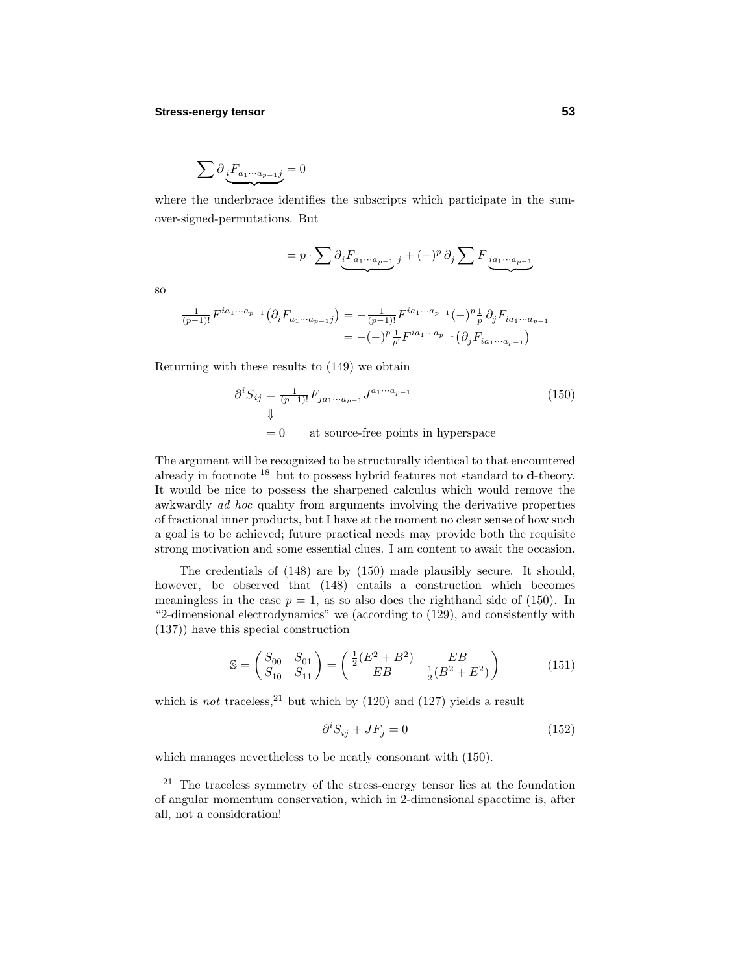## **Stress-energy tensor 53**

$$
\sum \partial_{\underbrace{i}F_{a_1\cdots a_{p-1}j}} = 0
$$

where the underbrace identifies the subscripts which participate in the sumover-signed-permutations. But

$$
=p\cdot\sum\partial_{\underbrace{i}F_{a_{1}\cdots a_{p-1}}}_{\underbrace{j}}\,j}+(-)^{p}\,\partial_{j}\sum F_{\underbrace{ia_{1}\cdots a_{p-1}}}_{\underbrace{k_{p-1}}}
$$

so

$$
\frac{1}{(p-1)!}F^{ia_1\cdots a_{p-1}}\left(\partial_i F_{a_1\cdots a_{p-1}j}\right)=-\frac{1}{(p-1)!}F^{ia_1\cdots a_{p-1}}(-)^p\frac{1}{p}\,\partial_j F_{ia_1\cdots a_{p-1}}\\ =-(-)^p\frac{1}{p!}F^{ia_1\cdots a_{p-1}}\left(\partial_j F_{ia_1\cdots a_{p-1}}\right)
$$

Returning with these results to (149) we obtain

$$
\partial^i S_{ij} = \frac{1}{(p-1)!} F_{ja_1 \cdots a_{p-1}} J^{a_1 \cdots a_{p-1}}
$$
\n
$$
\downarrow
$$
\n
$$
= 0 \qquad \text{at source-free points in hyperspace}
$$
\n
$$
(150)
$$

The argument will be recognized to be structurally identical to that encountered alreadyin footnote <sup>18</sup> but to possess hybrid features not standard to **d**-theory. It would be nice to possess the sharpened calculus which would remove the awkwardly *ad hoc* quality from arguments involving the derivative properties of fractional inner products, but I have at the moment no clear sense of how such a goal is to be achieved; future practical needs mayprovide both the requisite strong motivation and some essential clues. I am content to await the occasion.

The credentials of  $(148)$  are by  $(150)$  made plausibly secure. It should, however, be observed that (148) entails a construction which becomes meaningless in the case  $p = 1$ , as so also does the righthand side of (150). In "2-dimensional electrodynamics" we (according to (129), and consistently with (137)) have this special construction

$$
\mathbb{S} = \begin{pmatrix} S_{00} & S_{01} \\ S_{10} & S_{11} \end{pmatrix} = \begin{pmatrix} \frac{1}{2}(E^2 + B^2) & EB \\ EB & \frac{1}{2}(B^2 + E^2) \end{pmatrix} \tag{151}
$$

which is not traceless,  $21$  but which by (120) and (127) yields a result

$$
\partial^i S_{ij} + J F_j = 0 \tag{152}
$$

which manages nevertheless to be neatly consonant with  $(150)$ .

 $21$  The traceless symmetry of the stress-energy tensor lies at the foundation of angular momentum conservation, which in 2-dimensional spacetime is, after all, not a consideration!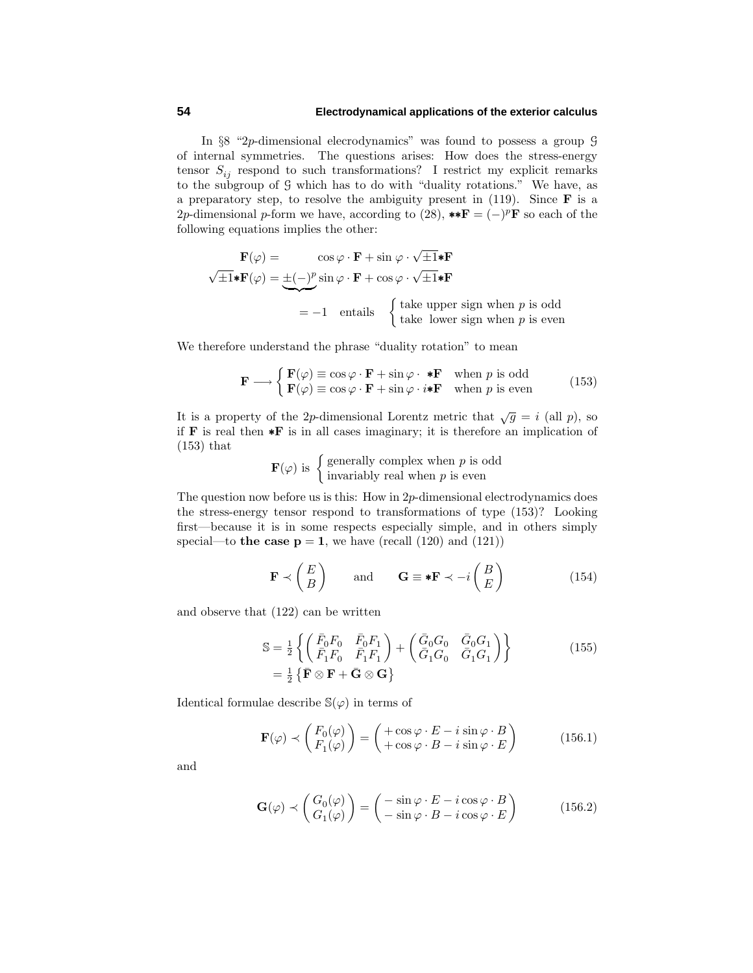## **54 Electrodynamical applications of the exterior calculus**

In §8 "2*p*-dimensional elecrodynamics" was found to possess a group G of internal symmetries. The questions arises: How does the stress-energy tensor  $S_{ij}$  respond to such transformations? I restrict my explicit remarks to the subgroup of G which has to do with "duality rotations." We have, as a preparatory step, to resolve the ambiguity present in  $(119)$ . Since **F** is a 2*p*-dimensional *p*-form we have, according to (28), \*\* $\mathbf{F} = (-)^p \mathbf{F}$  so each of the following equations implies the other:

$$
\mathbf{F}(\varphi) = \cos \varphi \cdot \mathbf{F} + \sin \varphi \cdot \sqrt{\pm 1} \cdot \mathbf{F}
$$
  

$$
\sqrt{\pm 1} \cdot \mathbf{F}(\varphi) = \pm (-)^p \sin \varphi \cdot \mathbf{F} + \cos \varphi \cdot \sqrt{\pm 1} \cdot \mathbf{F}
$$
  
= -1 entails {take upper sign when *p* is odd  
take lower sign when *p* is even

We therefore understand the phrase "duality rotation" to mean

$$
\mathbf{F} \longrightarrow \begin{cases} \mathbf{F}(\varphi) \equiv \cos \varphi \cdot \mathbf{F} + \sin \varphi \cdot \ast \mathbf{F} & \text{when } p \text{ is odd} \\ \mathbf{F}(\varphi) \equiv \cos \varphi \cdot \mathbf{F} + \sin \varphi \cdot i \ast \mathbf{F} & \text{when } p \text{ is even} \end{cases}
$$
(153)

It is a property of the 2*p*-dimensional Lorentz metric that  $\sqrt{g} = i$  (all *p*), so if **F** is real then ∗**F** is in all cases imaginary; it is therefore an implication of (153) that

$$
\mathbf{F}(\varphi)
$$
 is  $\begin{cases} \text{generally complex when } p \text{ is odd} \\ \text{invariably real when } p \text{ is even} \end{cases}$ 

The question now before us is this: How in 2*p*-dimensional electrodynamics does the stress-energy tensor respond to transformations of type  $(153)$ ? Looking first—because it is in some respects especially simple, and in others simply special—to **the case**  $p = 1$ , we have (recall (120) and (121))

$$
\mathbf{F} \prec \begin{pmatrix} E \\ B \end{pmatrix} \quad \text{and} \quad \mathbf{G} \equiv \mathbf{F} \prec -i \begin{pmatrix} B \\ E \end{pmatrix} \tag{154}
$$

and observe that (122) can be written

$$
\mathbb{S} = \frac{1}{2} \left\{ \begin{pmatrix} \bar{F}_0 F_0 & \bar{F}_0 F_1 \\ \bar{F}_1 F_0 & \bar{F}_1 F_1 \end{pmatrix} + \begin{pmatrix} \bar{G}_0 G_0 & \bar{G}_0 G_1 \\ \bar{G}_1 G_0 & \bar{G}_1 G_1 \end{pmatrix} \right\} \tag{155}
$$
\n
$$
= \frac{1}{2} \left\{ \bar{\mathbf{F}} \otimes \mathbf{F} + \bar{\mathbf{G}} \otimes \mathbf{G} \right\}
$$

Identical formulae describe  $\mathbb{S}(\varphi)$  in terms of

$$
\mathbf{F}(\varphi) \prec \begin{pmatrix} F_0(\varphi) \\ F_1(\varphi) \end{pmatrix} = \begin{pmatrix} +\cos\varphi \cdot E - i\sin\varphi \cdot B \\ +\cos\varphi \cdot B - i\sin\varphi \cdot E \end{pmatrix}
$$
(156.1)

and

$$
\mathbf{G}(\varphi) \prec \begin{pmatrix} G_0(\varphi) \\ G_1(\varphi) \end{pmatrix} = \begin{pmatrix} -\sin\varphi \cdot E - i\cos\varphi \cdot B \\ -\sin\varphi \cdot B - i\cos\varphi \cdot E \end{pmatrix}
$$
(156.2)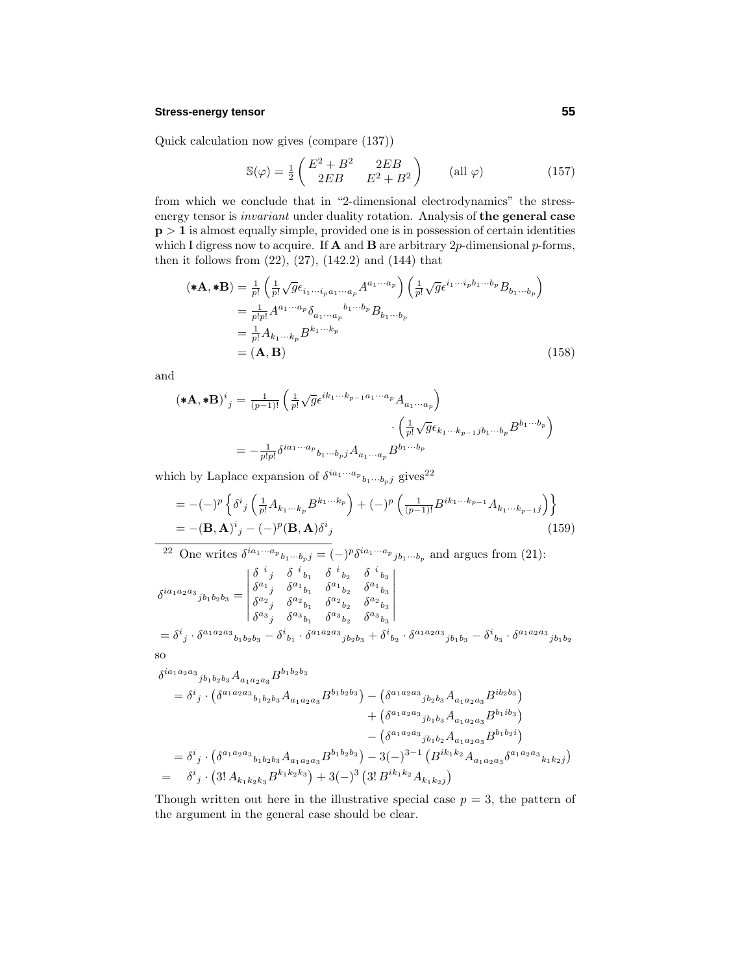## **Stress-energy tensor 55**

Quick calculation now gives (compare (137))

$$
\mathbb{S}(\varphi) = \frac{1}{2} \begin{pmatrix} E^2 + B^2 & 2EB \\ 2EB & E^2 + B^2 \end{pmatrix} \qquad (\text{all } \varphi) \tag{157}
$$

from which we conclude that in "2-dimensional electrodynamics" the stressenergy tensor is *invariant* under duality rotation. Analysis of the general case **p**  $> 1$  is almost equally simple, provided one is in possession of certain identities which I digress now to acquire. If **A** and **B** are arbitrary 2p-dimensional p-forms, then it follows from  $(22)$ ,  $(27)$ ,  $(142.2)$  and  $(144)$  that

$$
(\mathbf{*A}, \mathbf{*B}) = \frac{1}{p!} \left( \frac{1}{p!} \sqrt{g} \epsilon_{i_1 \cdots i_p a_1 \cdots a_p} A^{a_1 \cdots a_p} \right) \left( \frac{1}{p!} \sqrt{g} \epsilon^{i_1 \cdots i_p b_1 \cdots b_p} B_{b_1 \cdots b_p} \right)
$$
  
\n
$$
= \frac{1}{p! p!} A^{a_1 \cdots a_p} \delta_{a_1 \cdots a_p}{}^{b_1 \cdots b_p} B_{b_1 \cdots b_p}
$$
  
\n
$$
= \frac{1}{p!} A_{k_1 \cdots k_p} B^{k_1 \cdots k_p}
$$
  
\n
$$
= (\mathbf{A}, \mathbf{B}) \qquad (158)
$$

and

$$
(\ast \mathbf{A}, \ast \mathbf{B})^{i}{}_{j} = \frac{1}{(p-1)!} \left( \frac{1}{p!} \sqrt{g} \epsilon^{ik_1 \cdots k_{p-1} a_1 \cdots a_p} A_{a_1 \cdots a_p} \right) \cdot \left( \frac{1}{p!} \sqrt{g} \epsilon_{k_1 \cdots k_{p-1} j b_1 \cdots b_p} B^{b_1 \cdots b_p} \right)
$$

$$
= -\frac{1}{p! p!} \delta^{ia_1 \cdots a_p} b_1 \cdots b_p j A_{a_1 \cdots a_p} B^{b_1 \cdots b_p}
$$

which by Laplace expansion of  $\delta^{ia_1\cdots a_p}{}_{b_1\cdots b_p j}$  gives<sup>22</sup>

$$
= -(-)^p \left\{ \delta^i{}_j \left( \frac{1}{p!} A_{k_1 \cdots k_p} B^{k_1 \cdots k_p} \right) + (-)^p \left( \frac{1}{(p-1)!} B^{ik_1 \cdots k_{p-1}} A_{k_1 \cdots k_{p-1}j} \right) \right\}
$$
  
= -(**B**, **A**)<sup>i</sup><sub>j</sub> - (-)<sup>p</sup>(**B**, **A**) $\delta^i{}_j$  (159)

$$
^{22} \text{ One writes } \delta^{ia_1 \cdots a_p} b_1 \cdots b_p j = (-)^p \delta^{ia_1 \cdots a_p} j_{b_1 \cdots b_p} \text{ and argues from (21):}
$$
\n
$$
\delta^{ia_1 a_2 a_3} j_{b_1 b_2 b_3} = \begin{vmatrix}\n\delta^{i} j & \delta^{i} b_1 & \delta^{i} b_2 & \delta^{i} b_3 \\
\delta^{a_1} j & \delta^{a_1} b_1 & \delta^{a_1} b_2 & \delta^{a_1} b_3 \\
\delta^{a_2} j & \delta^{a_2} b_1 & \delta^{a_2} b_2 & \delta^{a_2} b_3 \\
\delta^{a_3} j & \delta^{a_3} b_1 & \delta^{a_3} b_2 & \delta^{a_3} b_3\n\end{vmatrix}
$$
\n
$$
= \delta^{i} j \cdot \delta^{a_1 a_2 a_3} b_1 b_2 b_3 - \delta^{i} b_1 \cdot \delta^{a_1 a_2 a_3} j_{b_2 b_3} + \delta^{i} b_2 \cdot \delta^{a_1 a_2 a_3} j_{b_1 b_3} - \delta^{i} b_3 \cdot \delta^{a_1 a_2 a_3} j_{b_1 b_2}
$$
\nso

$$
\delta^{ia_1a_2a_3}{}_{jb_1b_2b_3}A_{a_1a_2a_3}B^{b_1b_2b_3} \n= \delta^i{}_j \cdot (\delta^{a_1a_2a_3}{}_{b_1b_2b_3}A_{a_1a_2a_3}B^{b_1b_2b_3}) - (\delta^{a_1a_2a_3}{}_{jb_2b_3}A_{a_1a_2a_3}B^{ib_2b_3}) \n+ (\delta^{a_1a_2a_3}{}_{jb_1b_3}A_{a_1a_2a_3}B^{b_1ib_3}) \n- (\delta^{a_1a_2a_3}{}_{jb_1b_2}A_{a_1a_2a_3}B^{b_1b_2i}) \n= \delta^i{}_j \cdot (\delta^{a_1a_2a_3}{}_{b_1b_2b_3}A_{a_1a_2a_3}B^{b_1b_2b_3}) - 3(-)^{3-1} (B^{ik_1k_2}A_{a_1a_2a_3}\delta^{a_1a_2a_3}{}_{k_1k_2j}) \n= \delta^i{}_j \cdot (3!A_{k_1k_2k_3}B^{k_1k_2k_3}) + 3(-)^3 (3!B^{ik_1k_2}A_{k_1k_2j})
$$

Though written out here in the illustrative special case  $p = 3$ , the pattern of the argument in the general case should be clear.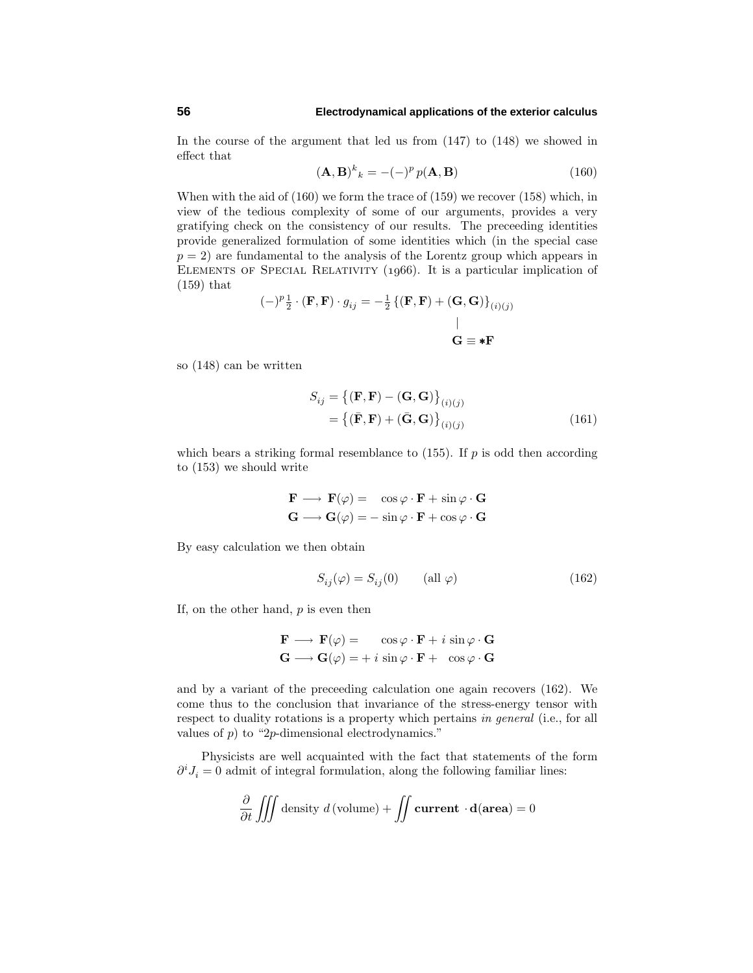## **56 Electrodynamical applications of the exterior calculus**

In the course of the argument that led us from (147) to (148) we showed in effect that

$$
(\mathbf{A}, \mathbf{B})^k{}_k = -(-)^p p(\mathbf{A}, \mathbf{B}) \tag{160}
$$

When with the aid of (160) we form the trace of (159) we recover (158) which, in view of the tedious complexity of some of our arguments, provides a very gratifying check on the consistency of our results. The preceeding identities provide generalized formulation of some identities which (in the special case  $p = 2$ ) are fundamental to the analysis of the Lorentz group which appears in ELEMENTS OF SPECIAL RELATIVITY (1966). It is a particular implication of (159) that

$$
(-)^{p}\frac{1}{2} \cdot (\mathbf{F}, \mathbf{F}) \cdot g_{ij} = -\frac{1}{2} \left\{ (\mathbf{F}, \mathbf{F}) + (\mathbf{G}, \mathbf{G}) \right\}_{(i)(j)}
$$
  
 
$$
\mid
$$
  
 
$$
\mathbf{G} \equiv \mathbf{F}
$$

so (148) can be written

$$
S_{ij} = \{ (\mathbf{F}, \mathbf{F}) - (\mathbf{G}, \mathbf{G}) \}_{(i)(j)}
$$
  
= \{ (\bar{\mathbf{F}}, \mathbf{F}) + (\bar{\mathbf{G}}, \mathbf{G}) \}\_{(i)(j)} (161)

which bears a striking formal resemblance to  $(155)$ . If *p* is odd then according to (153) we should write

$$
\mathbf{F} \longrightarrow \mathbf{F}(\varphi) = \cos \varphi \cdot \mathbf{F} + \sin \varphi \cdot \mathbf{G}
$$

$$
\mathbf{G} \longrightarrow \mathbf{G}(\varphi) = -\sin \varphi \cdot \mathbf{F} + \cos \varphi \cdot \mathbf{G}
$$

Byeasycalculation we then obtain

$$
S_{ij}(\varphi) = S_{ij}(0) \qquad \text{(all } \varphi) \tag{162}
$$

If, on the other hand, *p* is even then

$$
\mathbf{F} \longrightarrow \mathbf{F}(\varphi) = \cos \varphi \cdot \mathbf{F} + i \sin \varphi \cdot \mathbf{G}
$$

$$
\mathbf{G} \longrightarrow \mathbf{G}(\varphi) = + i \sin \varphi \cdot \mathbf{F} + \cos \varphi \cdot \mathbf{G}
$$

and by a variant of the preceeding calculation one again recovers (162). We come thus to the conclusion that invariance of the stress-energy tensor with respect to duality rotations is a property which pertains in general (i.e., for all values of *p*) to "2*p*-dimensional electrodynamics."

Physicists are well acquainted with the fact that statements of the form  $∂<sup>i</sup>J<sub>i</sub> = 0$  admit of integral formulation, along the following familiar lines:

$$
\frac{\partial}{\partial t} \iiint \text{density } d(\text{volume}) + \iint \text{current } \cdot \mathbf{d}(\text{area}) = 0
$$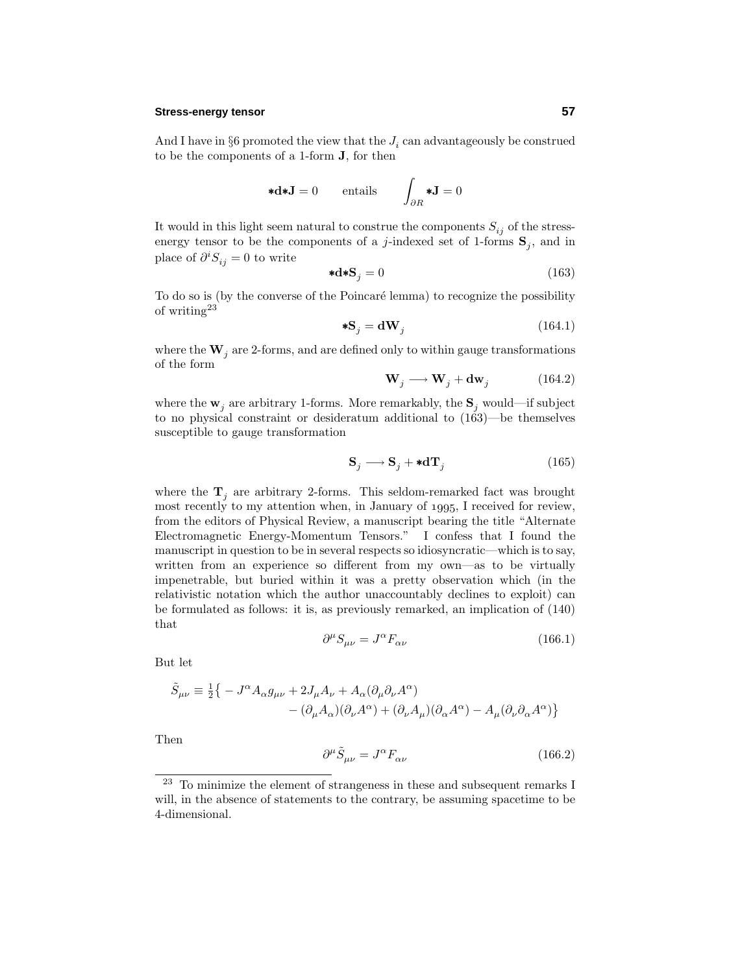## **Stress-energy tensor 57**

And I have in  $\S6$  promoted the view that the  $J_i$  can advantageously be construed to be the components of a 1-form **J**, for then

$$
\ast \mathbf{d} \ast \mathbf{J} = 0 \qquad \text{entails} \qquad \int_{\partial R} \ast \mathbf{J} = 0
$$

It would in this light seem natural to construe the components  $S_{ij}$  of the stressenergy tensor to be the components of a *j*-indexed set of 1-forms  $\mathbf{S}_j$ , and in place of  $\partial^i S_{ij} = 0$  to write

$$
\ast \mathbf{d} \ast \mathbf{S}_j = 0 \tag{163}
$$

To do so is (by the converse of the Poincaré lemma) to recognize the possibility of writing<sup>23</sup>

$$
*S_j = dW_j \tag{164.1}
$$

where the  $W_i$  are 2-forms, and are defined only to within gauge transformations of the form

$$
\mathbf{W}_j \longrightarrow \mathbf{W}_j + \mathbf{dw}_j \tag{164.2}
$$

where the  $\mathbf{w}_i$  are arbitrary 1-forms. More remarkably, the  $\mathbf{S}_i$  would—if subject to no physical constraint or desideratum additional to (163)—be themselves susceptible to gauge transformation

$$
\mathbf{S}_{j} \longrightarrow \mathbf{S}_{j} + \ast \mathbf{d} \mathbf{T}_{j} \tag{165}
$$

where the  $\mathbf{T}_j$  are arbitrary 2-forms. This seldom-remarked fact was brought most recently to my attention when, in January of 1995, I received for review, from the editors of Physical Review, a manuscript bearing the title "Alternate Electromagnetic Energy-Momentum Tensors." I confess that I found the manuscript in question to be in several respects so idiosyncratic—which is to say, written from an experience so different from my own—as to be virtually impenetrable, but buried within it was a prettyobservation which (in the relativistic notation which the author unaccountably declines to exploit) can be formulated as follows: it is, as previously remarked, an implication of  $(140)$ that

$$
\partial^{\mu}S_{\mu\nu} = J^{\alpha}F_{\alpha\nu} \tag{166.1}
$$

But let

$$
\begin{split} \tilde{S}_{\mu\nu} & \equiv \tfrac{1}{2} \big\{ - J^\alpha A_\alpha g_{\mu\nu} + 2 J_\mu A_\nu + A_\alpha (\partial_\mu \partial_\nu A^\alpha) \\ & \quad - (\partial_\mu A_\alpha) (\partial_\nu A^\alpha) + (\partial_\nu A_\mu) (\partial_\alpha A^\alpha) - A_\mu (\partial_\nu \partial_\alpha A^\alpha) \big\} \end{split}
$$

Then

$$
\partial^{\mu}\tilde{S}_{\mu\nu} = J^{\alpha}F_{\alpha\nu} \tag{166.2}
$$

<sup>&</sup>lt;sup>23</sup> To minimize the element of strangeness in these and subsequent remarks I will, in the absence of statements to the contrary, be assuming spacetime to be 4-dimensional.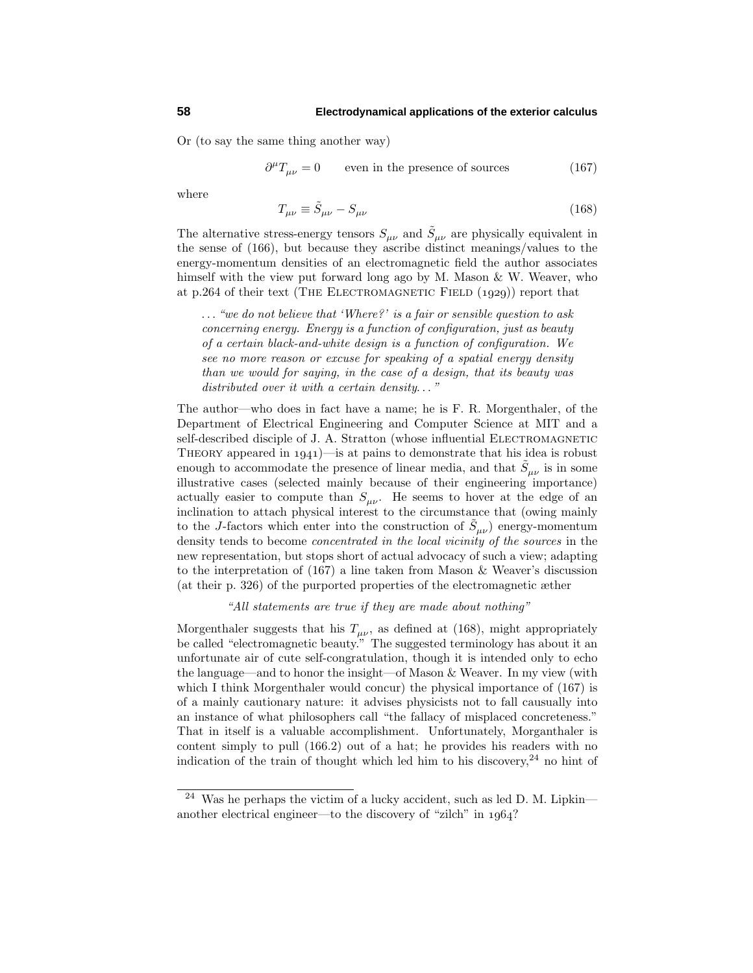Or (to saythe same thing another way)

$$
\partial^{\mu}T_{\mu\nu} = 0 \qquad \text{even in the presence of sources} \tag{167}
$$

where

$$
T_{\mu\nu} \equiv \tilde{S}_{\mu\nu} - S_{\mu\nu} \tag{168}
$$

The alternative stress-energy tensors  $S_{\mu\nu}$  and  $\tilde{S}_{\mu\nu}$  are physically equivalent in the sense of  $(166)$ , but because they ascribe distinct meanings/values to the energy-momentum densities of an electromagnetic field the author associates himself with the view put forward long ago by M. Mason & W. Weaver, who at p.264 of their text (THE ELECTROMAGNETIC FIELD  $(1929)$ ) report that

*...* "we do not believe that 'Where?' is a fair or sensible question to ask concerning energy.Energy is a function of configuration, just as beauty of a certain black-and-white design is a function of configuration.We see no more reason or excuse for speaking of a spatial energy density than we would for saying, in the case of a design, that its beauty was distributed over it with a certain density*...* "

The author—who does in fact have a name; he is F. R. Morgenthaler, of the Department of Electrical Engineering and Computer Science at MIT and a self-described disciple of J. A. Stratton (whose influential ELECTROMAGNETIC THEORY appeared in  $1941$ )—is at pains to demonstrate that his idea is robust enough to accommodate the presence of linear media, and that  $\tilde{S}_{\mu\nu}$  is in some illustrative cases (selected mainlybecause of their engineering importance) actually easier to compute than  $S_{\mu\nu}$ . He seems to hover at the edge of an inclination to attach physical interest to the circumstance that (owing mainly to the *J*-factors which enter into the construction of  $\tilde{S}_{\mu\nu}$ ) energy-momentum density tends to become *concentrated in the local vicinity of the sources* in the new representation, but stops short of actual advocacyof such a view; adapting to the interpretation of (167) a line taken from Mason & Weaver's discussion (at their p. 326) of the purported properties of the electromagnetic æther

"All statements are true if they are made about nothing"

Morgenthaler suggests that his  $T_{\mu\nu}$ , as defined at (168), might appropriately be called "electromagnetic beauty." The suggested terminology has about it an unfortunate air of cute self-congratulation, though it is intended onlyto echo the language—and to honor the insight—of Mason & Weaver. In myview (with which I think Morgenthaler would concur) the physical importance of  $(167)$  is of a mainlycautionarynature: it advises physicists not to fall causuallyinto an instance of what philosophers call "the fallacy of misplaced concreteness." That in itself is a valuable accomplishment. Unfortunately, Morganthaler is content simply to pull  $(166.2)$  out of a hat; he provides his readers with no indication of the train of thought which led him to his discovery,  $24$  no hint of

Was he perhaps the victim of a lucky accident, such as led D. M. Lipkin another electrical engineer—to the discovery of "zilch" in  $1964$ ?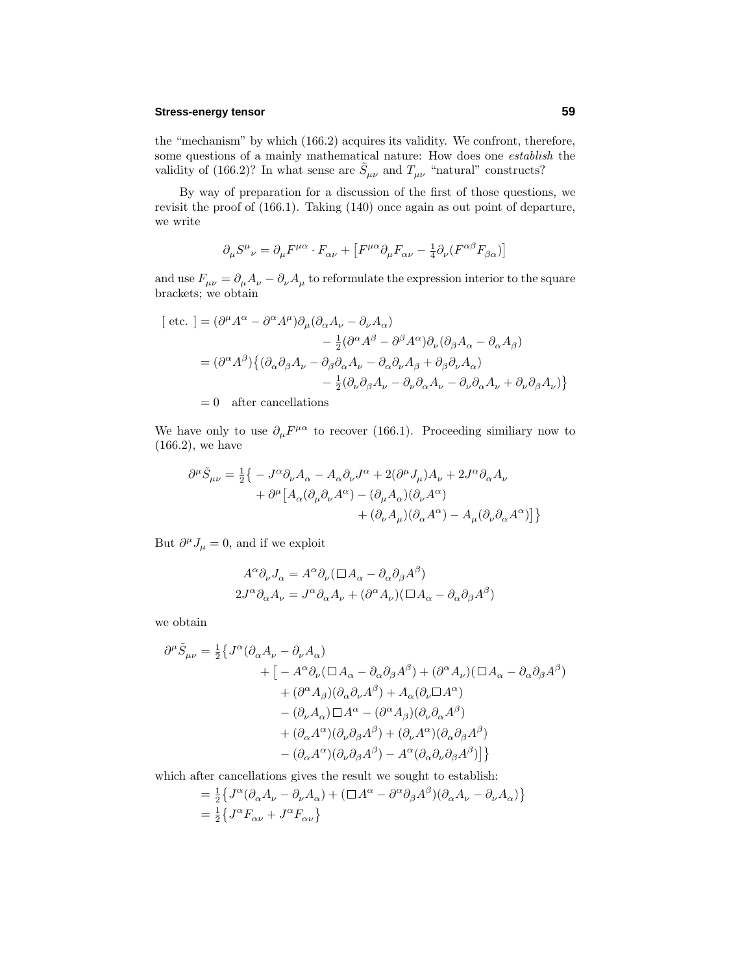## **Stress-energy tensor 59**

the "mechanism" by which (166.2) acquires its validity. We confront, therefore, some questions of a mainly mathematical nature: How does one *establish* the validity of (166.2)? In what sense are  $\tilde{S}_{\mu\nu}$  and  $T_{\mu\nu}$  "natural" constructs?

Bywayof preparation for a discussion of the first of those questions, we revisit the proof of (166.1). Taking (140) once again as out point of departure, we write

$$
\partial_{\mu}S^{\mu}{}_{\nu} = \partial_{\mu}F^{\mu\alpha} \cdot F_{\alpha\nu} + \left[F^{\mu\alpha}\partial_{\mu}F_{\alpha\nu} - \frac{1}{4}\partial_{\nu}(F^{\alpha\beta}F_{\beta\alpha})\right]
$$

and use  $F_{\mu\nu}=\partial_\mu A_\nu-\partial_\nu A_\mu$  to reformulate the expression interior to the square brackets; we obtain

[ etc. ] = 
$$
(\partial^{\mu}A^{\alpha} - \partial^{\alpha}A^{\mu})\partial_{\mu}(\partial_{\alpha}A_{\nu} - \partial_{\nu}A_{\alpha})
$$
  
\t\t\t\t\t $- \frac{1}{2}(\partial^{\alpha}A^{\beta} - \partial^{\beta}A^{\alpha})\partial_{\nu}(\partial_{\beta}A_{\alpha} - \partial_{\alpha}A_{\beta})$   
\t\t\t\t\t $= (\partial^{\alpha}A^{\beta})\{(\partial_{\alpha}\partial_{\beta}A_{\nu} - \partial_{\beta}\partial_{\alpha}A_{\nu} - \partial_{\alpha}\partial_{\nu}A_{\beta} + \partial_{\beta}\partial_{\nu}A_{\alpha})$   
\t\t\t\t\t $- \frac{1}{2}(\partial_{\nu}\partial_{\beta}A_{\nu} - \partial_{\nu}\partial_{\alpha}A_{\nu} - \partial_{\nu}\partial_{\alpha}A_{\nu} + \partial_{\nu}\partial_{\beta}A_{\nu})\}$   
\t\t\t\t\t $= 0$  after cancellations

We have only to use  $\partial_{\mu}F^{\mu\alpha}$  to recover (166.1). Proceeding similiary now to (166.2), we have

$$
\begin{split} \partial^\mu \tilde{S}_{\mu\nu} &= \tfrac{1}{2} \big\{ - J^\alpha \partial_\nu A_\alpha - A_\alpha \partial_\nu J^\alpha + 2 (\partial^\mu J_\mu) A_\nu + 2 J^\alpha \partial_\alpha A_\nu \\ &\quad + \partial^\mu \big[ A_\alpha (\partial_\mu \partial_\nu A^\alpha) - (\partial_\mu A_\alpha) (\partial_\nu A^\alpha) \\ &\quad + (\partial_\nu A_\mu) (\partial_\alpha A^\alpha) - A_\mu (\partial_\nu \partial_\alpha A^\alpha) \big] \big\} \end{split}
$$

But  $\partial^{\mu} J_{\mu} = 0$ , and if we exploit

$$
A^{\alpha} \partial_{\nu} J_{\alpha} = A^{\alpha} \partial_{\nu} (\Box A_{\alpha} - \partial_{\alpha} \partial_{\beta} A^{\beta})
$$
  

$$
2J^{\alpha} \partial_{\alpha} A_{\nu} = J^{\alpha} \partial_{\alpha} A_{\nu} + (\partial^{\alpha} A_{\nu})(\Box A_{\alpha} - \partial_{\alpha} \partial_{\beta} A^{\beta})
$$

we obtain

$$
\begin{split} \partial^{\mu}\tilde{S}_{\mu\nu} & = \tfrac{1}{2}\big\{J^{\alpha}(\partial_{\alpha}A_{\nu}-\partial_{\nu}A_{\alpha}) \\ & \qquad \qquad + \big[-A^{\alpha}\partial_{\nu}(\Box A_{\alpha}-\partial_{\alpha}\partial_{\beta}A^{\beta}) +(\partial^{\alpha}A_{\nu})(\Box A_{\alpha}-\partial_{\alpha}\partial_{\beta}A^{\beta}) \\ & \qquad \qquad +(\partial^{\alpha}A_{\beta})(\partial_{\alpha}\partial_{\nu}A^{\beta}) +A_{\alpha}(\partial_{\nu}\Box A^{\alpha}) \\ & \qquad \qquad -(\partial_{\nu}A_{\alpha})\Box A^{\alpha} -(\partial^{\alpha}A_{\beta})(\partial_{\nu}\partial_{\alpha}A^{\beta}) \\ & \qquad \qquad +(\partial_{\alpha}A^{\alpha})(\partial_{\nu}\partial_{\beta}A^{\beta}) +(\partial_{\nu}A^{\alpha})(\partial_{\alpha}\partial_{\beta}A^{\beta}) \\ & \qquad \qquad -(\partial_{\alpha}A^{\alpha})(\partial_{\nu}\partial_{\beta}A^{\beta}) -A^{\alpha}(\partial_{\alpha}\partial_{\nu}\partial_{\beta}A^{\beta})\big]\big\} \end{split}
$$

which after cancellations gives the result we sought to establish:

$$
\begin{split} &= \tfrac{1}{2} \big\{ J^\alpha (\partial_\alpha A_\nu - \partial_\nu A_\alpha) + (\Box A^\alpha - \partial^\alpha \partial_\beta A^\beta) (\partial_\alpha A_\nu - \partial_\nu A_\alpha) \big\} \\ &= \tfrac{1}{2} \big\{ J^\alpha F_{\alpha\nu} + J^\alpha F_{\alpha\nu} \big\} \end{split}
$$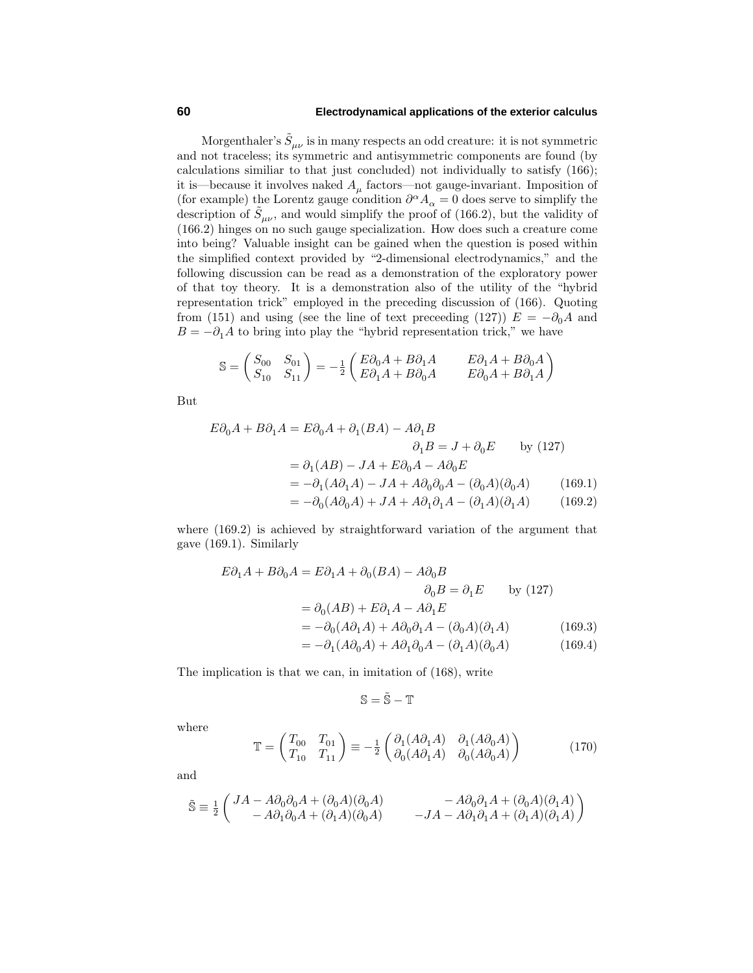## **60 Electrodynamical applications of the exterior calculus**

Morgenthaler's  $\tilde{S}_{\mu\nu}$  is in many respects an odd creature: it is not symmetric and not traceless; its symmetric and antisymmetric components are found (by calculations similiar to that just concluded) not individually to satisfy  $(166)$ ; it is—because it involves naked  $A_\mu$  factors—not gauge-invariant. Imposition of (for example) the Lorentz gauge condition  $\partial^{\alpha} A_{\alpha} = 0$  does serve to simplify the description of  $\tilde{S}_{\mu\nu}$ , and would simplify the proof of (166.2), but the validity of (166.2) hinges on no such gauge specialization. How does such a creature come into being? Valuable insight can be gained when the question is posed within the simplified context provided by"2-dimensional electrodynamics," and the following discussion can be read as a demonstration of the exploratorypower of that toytheory. It is a demonstration also of the utilityof the "hybrid representation trick" employed in the preceding discussion of (166). Quoting from (151) and using (see the line of text preceeding (127))  $E = -\partial_0 A$  and  $B = -\partial_1 A$  to bring into play the "hybrid representation trick," we have

$$
\mathbb{S} = \begin{pmatrix} S_{00} & S_{01} \\ S_{10} & S_{11} \end{pmatrix} = -\frac{1}{2} \begin{pmatrix} E\partial_0 A + B\partial_1 A & E\partial_1 A + B\partial_0 A \\ E\partial_1 A + B\partial_0 A & E\partial_0 A + B\partial_1 A \end{pmatrix}
$$

But

$$
E\partial_0 A + B\partial_1 A = E\partial_0 A + \partial_1 (BA) - A\partial_1 B
$$
  
\n
$$
\partial_1 B = J + \partial_0 E \qquad \text{by (127)}
$$
  
\n
$$
= \partial_1 (AB) - JA + E\partial_0 A - A\partial_0 E
$$
  
\n
$$
= -\partial_1 (A\partial_1 A) - JA + A\partial_0 \partial_0 A - (\partial_0 A)(\partial_0 A) \qquad (169.1)
$$
  
\n
$$
= -\partial_0 (A\partial_0 A) + JA + A\partial_1 \partial_1 A - (\partial_1 A)(\partial_1 A) \qquad (169.2)
$$

where  $(169.2)$  is achieved by straightforward variation of the argument that gave (169.1). Similarly

$$
E\partial_1 A + B\partial_0 A = E\partial_1 A + \partial_0 (BA) - A\partial_0 B
$$
  
\n
$$
\partial_0 B = \partial_1 E \qquad \text{by (127)}
$$
  
\n
$$
= \partial_0 (AB) + E\partial_1 A - A\partial_1 E
$$
  
\n
$$
= -\partial_0 (A\partial_1 A) + A\partial_0 \partial_1 A - (\partial_0 A)(\partial_1 A) \qquad (169.3)
$$
  
\n
$$
= -\partial_1 (A\partial_0 A) + A\partial_1 \partial_0 A - (\partial_1 A)(\partial_0 A) \qquad (169.4)
$$

The implication is that we can, in imitation of (168), write

$$
\mathbb{S}=\tilde{\mathbb{S}}-\mathbb{T}
$$

where

$$
\mathbb{T} = \begin{pmatrix} T_{00} & T_{01} \\ T_{10} & T_{11} \end{pmatrix} \equiv -\frac{1}{2} \begin{pmatrix} \partial_1(A\partial_1A) & \partial_1(A\partial_0A) \\ \partial_0(A\partial_1A) & \partial_0(A\partial_0A) \end{pmatrix} \tag{170}
$$

and

$$
\tilde{\mathbb{S}} \equiv \tfrac{1}{2} \begin{pmatrix} JA - A \partial_0 \partial_0 A + (\partial_0 A)(\partial_0 A) & - A \partial_0 \partial_1 A + (\partial_0 A)(\partial_1 A) \\ - A \partial_1 \partial_0 A + (\partial_1 A)(\partial_0 A) & -JA - A \partial_1 \partial_1 A + (\partial_1 A)(\partial_1 A) \end{pmatrix}
$$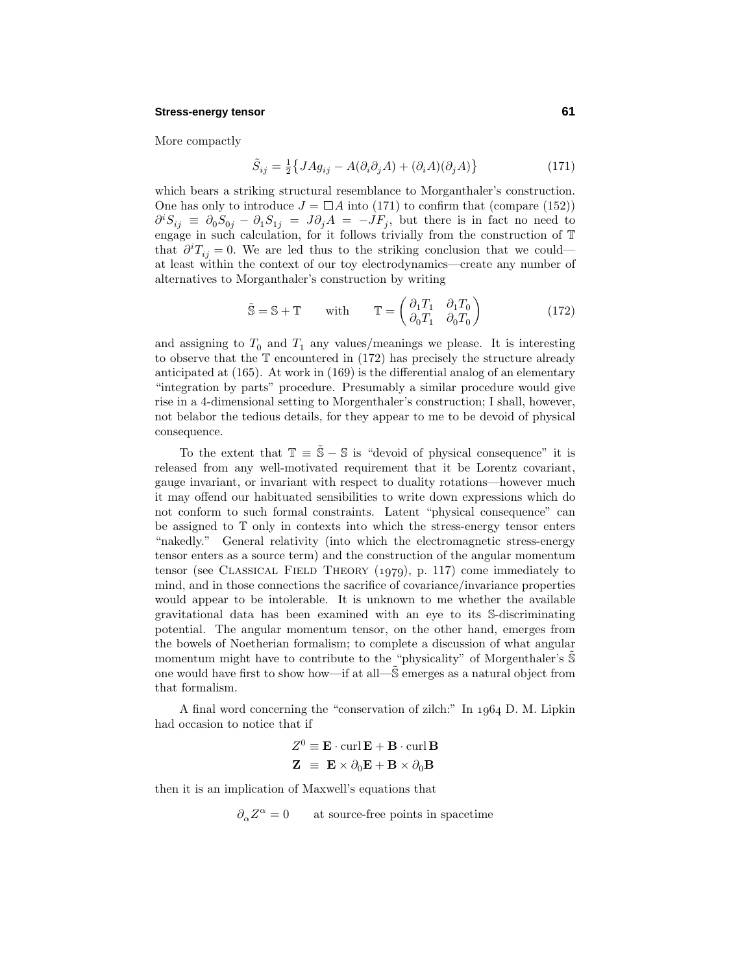#### **Stress-energy tensor 61**

More compactly

$$
\tilde{S}_{ij} = \frac{1}{2} \left\{ J A g_{ij} - A (\partial_i \partial_j A) + (\partial_i A)(\partial_j A) \right\}
$$
\n(171)

which bears a striking structural resemblance to Morganthaler's construction. One has only to introduce  $J = \Box A$  into (171) to confirm that (compare (152))  $\partial^i S_{ij} \equiv \partial_0 S_{0j} - \partial_1 S_{1j} = J \partial_j A = -JF_j$ , but there is in fact no need to engage in such calculation, for it follows trivially from the construction of  $\mathbb T$ that  $\partial^i T_{ij} = 0$ . We are led thus to the striking conclusion that we could at least within the context of our toyelectrodynamics—create anynumber of alternatives to Morganthaler's construction bywriting

$$
\tilde{\mathbb{S}} = \mathbb{S} + \mathbb{T} \qquad \text{with} \qquad \mathbb{T} = \begin{pmatrix} \partial_1 T_1 & \partial_1 T_0 \\ \partial_0 T_1 & \partial_0 T_0 \end{pmatrix} \tag{172}
$$

and assigning to  $T_0$  and  $T_1$  any values/meanings we please. It is interesting to observe that the  $\mathbb T$  encountered in (172) has precisely the structure already anticipated at (165). At work in (169) is the differential analog of an elementary "integration byparts" procedure. Presumablya similar procedure would give rise in a 4-dimensional setting to Morgenthaler's construction; I shall, however, not belabor the tedious details, for they appear to me to be devoid of physical consequence.

To the extent that  $\mathbb{T} = \tilde{\mathbb{S}} - \mathbb{S}$  is "devoid of physical consequence" it is released from anywell-motivated requirement that it be Lorentz covariant, gauge invariant, or invariant with respect to dualityrotations—however much it mayoffend our habituated sensibilities to write down expressions which do not conform to such formal constraints. Latent "physical consequence" can be assigned to  $T$  only in contexts into which the stress-energy tensor enters "nakedly." General relativity (into which the electromagnetic stress-energy tensor enters as a source term) and the construction of the angular momentum tensor (see CLASSICAL FIELD THEORY  $(1979)$ , p. 117) come immediately to mind, and in those connections the sacrifice of covariance/invariance properties would appear to be intolerable. It is unknown to me whether the available gravitational data has been examined with an eye to its S-discriminating potential. The angular momentum tensor, on the other hand, emerges from the bowels of Noetherian formalism; to complete a discussion of what angular momentum might have to contribute to the "physicality" of Morgenthaler's  $\mathbb S$ one would have first to show how—if at all—S˜ emerges as a natural object from that formalism.

A final word concerning the "conservation of zilch:" In  $1964$  D. M. Lipkin had occasion to notice that if

$$
Z^{0} \equiv \mathbf{E} \cdot \operatorname{curl} \mathbf{E} + \mathbf{B} \cdot \operatorname{curl} \mathbf{B}
$$

$$
\mathbf{Z} \equiv \mathbf{E} \times \partial_{0} \mathbf{E} + \mathbf{B} \times \partial_{0} \mathbf{B}
$$

then it is an implication of Maxwell's equations that

 $\partial_{\alpha} Z^{\alpha} = 0$  at source-free points in spacetime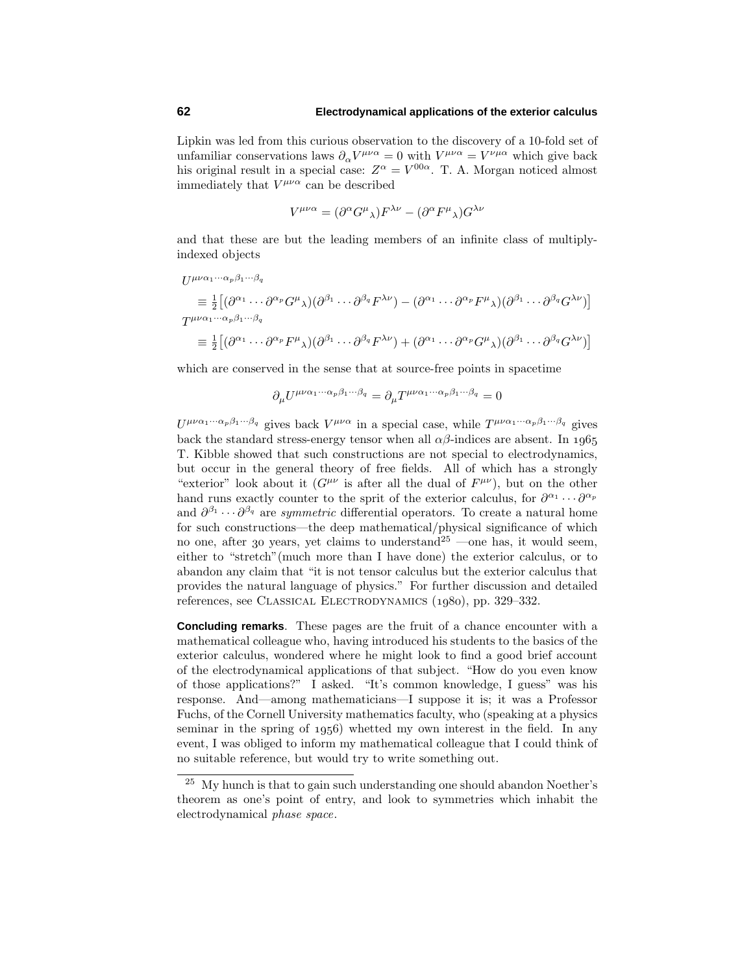Lipkin was led from this curious observation to the discovery of a 10-fold set of unfamiliar conservations laws  $\partial_{\alpha} V^{\mu\nu\alpha} = 0$  with  $V^{\mu\nu\alpha} = V^{\nu\mu\alpha}$  which give back his original result in a special case:  $Z^{\alpha} = V^{00\alpha}$ . T. A. Morgan noticed almost immediately that  $V^{\mu\nu\alpha}$  can be described

$$
V^{\mu\nu\alpha} = (\partial^{\alpha} G^{\mu}{}_{\lambda}) F^{\lambda\nu} - (\partial^{\alpha} F^{\mu}{}_{\lambda}) G^{\lambda\nu}
$$

and that these are but the leading members of an infinite class of multiplyindexed objects

$$
U^{\mu\nu\alpha_1\cdots\alpha_p\beta_1\cdots\beta_q}
$$
\n
$$
\equiv \frac{1}{2} \left[ (\partial^{\alpha_1} \cdots \partial^{\alpha_p} G^{\mu} \lambda)(\partial^{\beta_1} \cdots \partial^{\beta_q} F^{\lambda \nu}) - (\partial^{\alpha_1} \cdots \partial^{\alpha_p} F^{\mu} \lambda)(\partial^{\beta_1} \cdots \partial^{\beta_q} G^{\lambda \nu}) \right]
$$
\n
$$
T^{\mu\nu\alpha_1\cdots\alpha_p\beta_1\cdots\beta_q}
$$
\n
$$
\equiv \frac{1}{2} \left[ (\partial^{\alpha_1} \cdots \partial^{\alpha_p} F^{\mu} \lambda)(\partial^{\beta_1} \cdots \partial^{\beta_q} F^{\lambda \nu}) + (\partial^{\alpha_1} \cdots \partial^{\alpha_p} G^{\mu} \lambda)(\partial^{\beta_1} \cdots \partial^{\beta_q} G^{\lambda \nu}) \right]
$$

which are conserved in the sense that at source-free points in spacetime

 $\partial_{\mu}U^{\mu\nu\alpha_1\cdots\alpha_p\beta_1\cdots\beta_q} = \partial_{\mu}T^{\mu\nu\alpha_1\cdots\alpha_p\beta_1\cdots\beta_q} = 0$ 

 $U^{\mu\nu\alpha_1\cdots\alpha_p\beta_1\cdots\beta_q}$  gives back  $V^{\mu\nu\alpha}$  in a special case, while  $T^{\mu\nu\alpha_1\cdots\alpha_p\beta_1\cdots\beta_q}$  gives back the standard stress-energy tensor when all  $\alpha\beta$ -indices are absent. In 1965 T. Kibble showed that such constructions are not special to electrodynamics, but occur in the general theoryof free fields. All of which has a strongly "exterior" look about it  $(G^{\mu\nu})$  is after all the dual of  $F^{\mu\nu}$ ), but on the other hand runs exactly counter to the sprit of the exterior calculus, for  $\partial^{\alpha_1} \cdots \partial^{\alpha_p}$ and  $\partial^{\beta_1} \cdots \partial^{\beta_q}$  are *symmetric* differential operators. To create a natural home for such constructions—the deep mathematical/physical significance of which no one, after 30 years, yet claims to understand<sup>25</sup> —one has, it would seem, either to "stretch"(much more than I have done) the exterior calculus, or to abandon anyclaim that "it is not tensor calculus but the exterior calculus that provides the natural language of physics." For further discussion and detailed references, see CLASSICAL ELECTRODYNAMICS (1980), pp. 329-332.

**Concluding remarks**. These pages are the fruit of a chance encounter with a mathematical colleague who, having introduced his students to the basics of the exterior calculus, wondered where he might look to find a good brief account of the electrodynamical applications of that subject. "How do you even know of those applications?" I asked. "It's common knowledge, I guess" was his response. And—among mathematicians—I suppose it is; it was a Professor Fuchs, of the Cornell Universitymathematics faculty, who (speaking at a physics seminar in the spring of  $1956$ ) whetted my own interest in the field. In any event, I was obliged to inform mymathematical colleague that I could think of no suitable reference, but would try to write something out.

 $^{25}\,$  My hunch is that to gain such understanding one should abandon Noether's theorem as one's point of entry, and look to symmetries which inhabit the electrodynamical phase space.